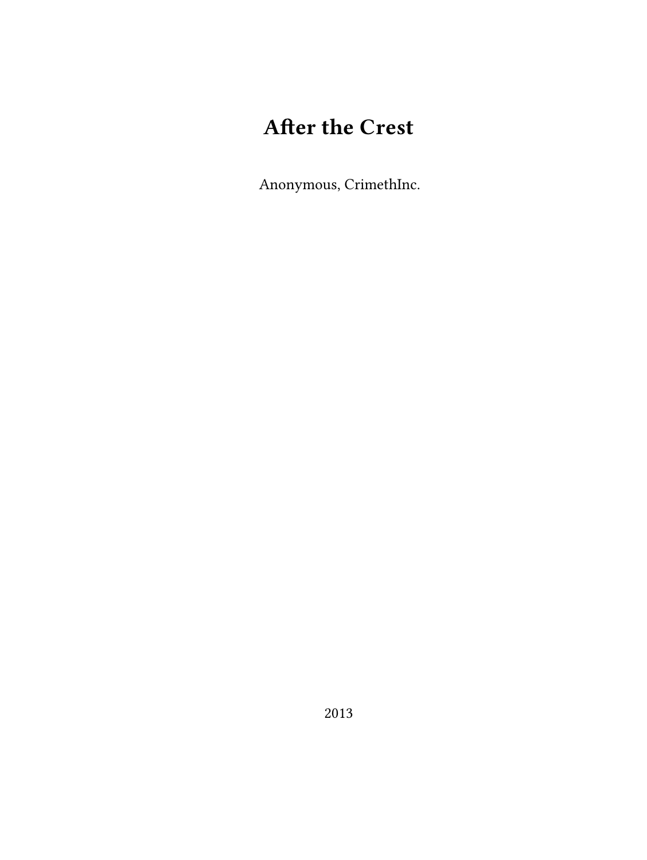# **After the Crest**

Anonymous, CrimethInc.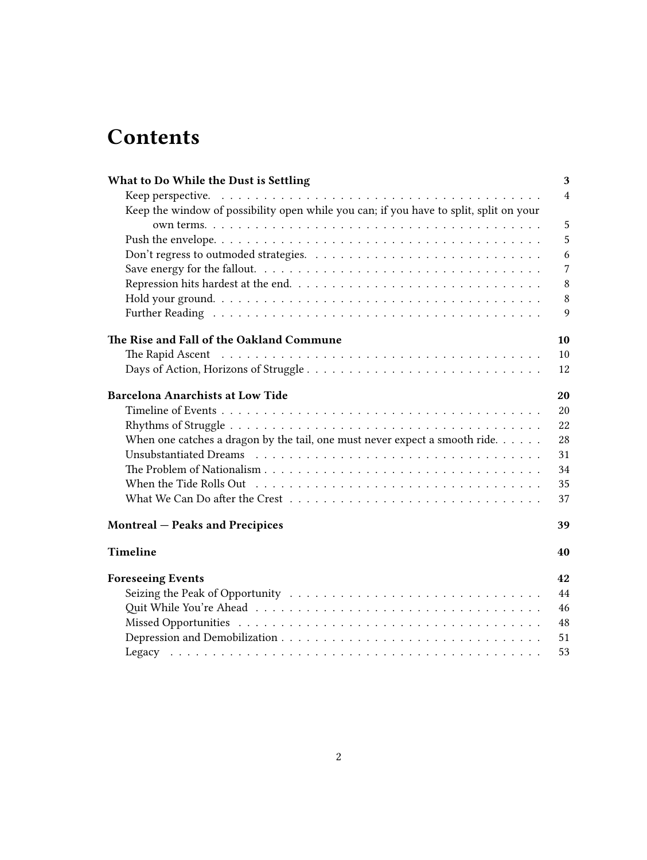# **Contents**

| What to Do While the Dust is Settling                                                  | 3              |
|----------------------------------------------------------------------------------------|----------------|
|                                                                                        | $\overline{4}$ |
| Keep the window of possibility open while you can; if you have to split, split on your |                |
|                                                                                        | 5              |
|                                                                                        | 5              |
|                                                                                        | 6              |
|                                                                                        | 7              |
| Repression hits hardest at the end                                                     | 8              |
|                                                                                        | 8              |
|                                                                                        | 9              |
| The Rise and Fall of the Oakland Commune                                               | 10             |
|                                                                                        | 10             |
|                                                                                        | 12             |
| <b>Barcelona Anarchists at Low Tide</b>                                                | 20             |
|                                                                                        | 20             |
|                                                                                        | 22             |
| When one catches a dragon by the tail, one must never expect a smooth ride. $\dots$    | 28             |
|                                                                                        | 31             |
|                                                                                        | 34             |
|                                                                                        | 35             |
|                                                                                        | 37             |
| Montreal - Peaks and Precipices                                                        | 39             |
| <b>Timeline</b>                                                                        | 40             |
| <b>Foreseeing Events</b>                                                               | 42             |
|                                                                                        | 44             |
|                                                                                        | 46             |
|                                                                                        | 48             |
|                                                                                        | 51             |
|                                                                                        | 53             |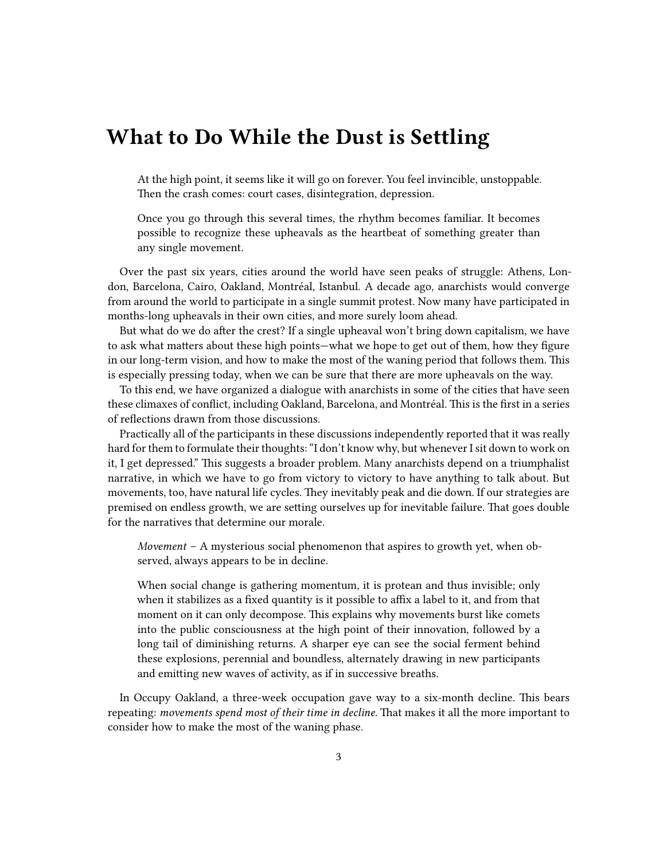# <span id="page-2-0"></span>**What to Do While the Dust is Settling**

At the high point, it seems like it will go on forever. You feel invincible, unstoppable. Then the crash comes: court cases, disintegration, depression.

Once you go through this several times, the rhythm becomes familiar. It becomes possible to recognize these upheavals as the heartbeat of something greater than any single movement.

Over the past six years, cities around the world have seen peaks of struggle: [Athens](http://www.crimethinc.com/blog/2008/12/25/how-to-organize-an-insurrection/), [Lon](http://www.crimethinc.com/blog/2011/01/26/the-uk-student-movement/)[don](http://www.crimethinc.com/blog/2011/01/26/the-uk-student-movement/), [Barcelona](http://www.crimethinc.com/texts/recentfeatures/rosefire.php), [Cairo](http://www.crimethinc.com/blog/2011/02/02/egypt-today-tomorrow-the-world/), [Oakland,](http://www.bayofrage.com/featured-articles/occupy-oakland-is-dead/) [Montréal,](http://www.crimethinc.com/texts/recentfeatures/montreal1.php) [Istanbul.](http://www.salon.com/2013/06/14/%E2%80%9Ci%E2%80%99ve_gone_to_resist_i%E2%80%99ll_be_right_back%E2%80%9D/) A decade ago, anarchists would converge from around the world to participate in a single [summit protest.](http://www.crimethinc.com/texts/pastfeatures/demonstrating.php) Now many have participated in months-long upheavals in their own cities, and more surely loom ahead.

But what do we do after the crest? If a single upheaval won't bring down capitalism, we have to ask what matters about these high points—what we hope to get out of them, how they figure in our long-term vision, and how to make the most of the waning period that follows them. This is especially pressing today, when we can be sure that there are more upheavals on the way.

To this end, we have organized a dialogue with anarchists in some of the cities that have seen these climaxes of conflict, including Oakland, Barcelona, and Montréal. This is the first in a series of reflections drawn from those discussions.

Practically all of the participants in these discussions independently reported that it was really hard for them to formulate their thoughts: "I don't know why, but whenever I sit down to work on it, I get depressed." This suggests a broader problem. Many anarchists depend on a triumphalist narrative, in which we have to go from victory to victory to have anything to talk about. But movements, too, have natural life cycles. They inevitably peak and die down. If our strategies are premised on endless growth, we are setting ourselves up for inevitable failure. That goes double for the narratives that determine our morale.

*[Movement](http://www.crimethinc.com/books/contra/defs/movement.html)* – A mysterious social phenomenon that aspires to growth yet, when observed, always appears to be in decline.

When social change is gathering momentum, it is protean and thus invisible; only when it stabilizes as a fixed quantity is it possible to affix a label to it, and from that moment on it can only decompose. This explains why movements burst like comets into the public consciousness at the high point of their innovation, followed by a long tail of diminishing returns. A sharper eye can see the social ferment behind these explosions, perennial and boundless, alternately drawing in new participants and emitting new waves of activity, as if in successive breaths.

In Occupy Oakland, a three-week occupation gave way to a six-month decline. This bears repeating: *movements spend most of their time in decline.* That makes it all the more important to consider how to make the most of the waning phase.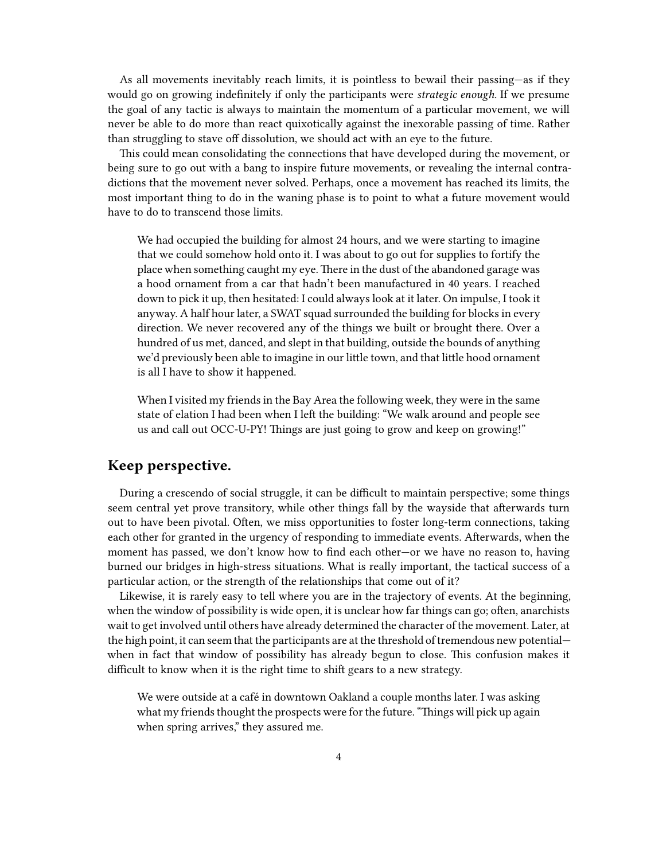As all movements inevitably reach limits, it is pointless to bewail their passing—as if they would go on growing indefinitely if only the participants were *strategic enough.* If we presume the goal of any tactic is always to maintain the momentum of a particular movement, we will never be able to do more than react quixotically against the inexorable passing of time. Rather than struggling to stave off dissolution, we should act with an eye to the future.

This could mean consolidating the connections that have developed during the movement, or being sure to go out with a [bang](https://robertgraham.wordpress.com/2012/09/09/bakunin-the-paris-commune-1871/) to inspire future movements, or revealing the internal contradictions that the movement never solved. Perhaps, once a movement has reached its limits, the most important thing to do in the waning phase is to point to what a future movement would have to do to transcend those limits.

We had [occupied the building](http://www.crimethinc.com/texts/recentfeatures/breaking.php) for almost 24 hours, and we were starting to imagine that we could somehow hold onto it. I was about to go out for supplies to fortify the place when something caught my eye. There in the dust of the abandoned garage was a hood ornament from a car that hadn't been manufactured in 40 years. I reached down to pick it up, then hesitated: I could always look at it later. On impulse, I took it anyway. A half hour later, a SWAT squad surrounded the building for blocks in every direction. We never recovered any of the things we built or brought there. Over a hundred of us met, danced, and slept in that building, outside the bounds of anything we'd previously been able to imagine in our little town, and that little hood ornament is all I have to show it happened.

When I visited my friends in the Bay Area the following week, they were in the same state of elation I had been when I left the building: "We walk around and people see us and call out OCC-U-PY! Things are just going to grow and keep on growing!"

## <span id="page-3-0"></span>**Keep perspective.**

During a crescendo of social struggle, it can be difficult to maintain perspective; some things seem central yet prove transitory, while other things fall by the wayside that afterwards turn out to have been pivotal. Often, we miss opportunities to foster long-term connections, taking each other for granted in the urgency of responding to immediate events. Afterwards, when the moment has passed, we don't know how to find each other—or we have no reason to, having burned our bridges in high-stress situations. What is really important, the tactical success of a particular action, or the strength of the relationships that come out of it?

Likewise, it is rarely easy to tell where you are in the trajectory of events. At the beginning, when the window of possibility is wide open, it is unclear how far things can go; often, anarchists wait to get involved until others have already determined the character of the movement. Later, at the high point, it can seem that the participants are at the threshold of tremendous new potential when in fact that window of possibility has already begun to close. This confusion makes it difficult to know when it is the right time to shift gears to a new strategy.

We were outside at a café in downtown Oakland a couple months later. I was asking what my friends thought the prospects were for the future. "Things will pick up again when spring arrives," they assured me.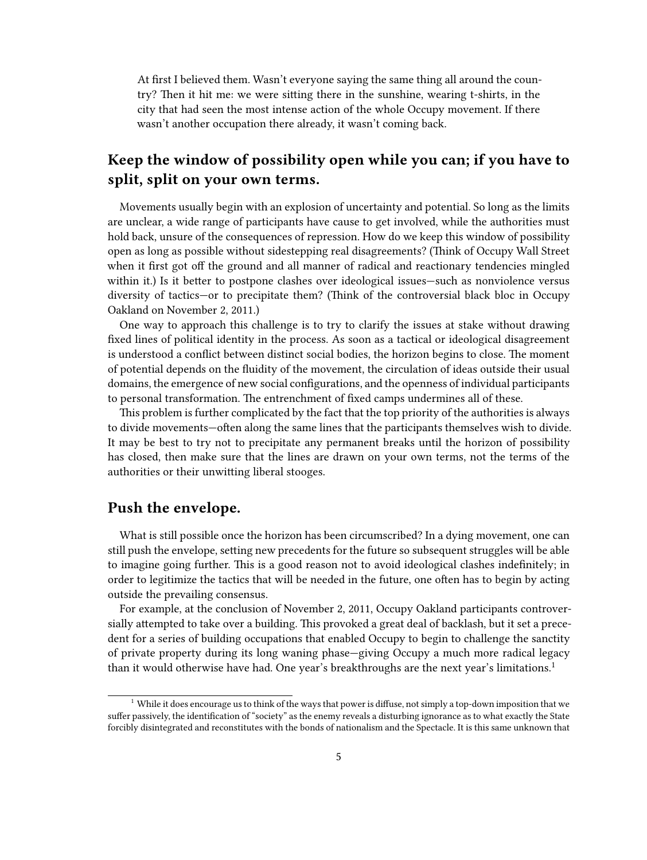At first I believed them. Wasn't everyone saying the same thing all around the country? Then it hit me: we were sitting there in the sunshine, wearing t-shirts, in the city that had seen the most intense action of the whole Occupy movement. If there wasn't another occupation there already, it wasn't coming back.

# <span id="page-4-0"></span>**Keep the window of possibility open while you can; if you have to split, split on your own terms.**

Movements usually begin with an explosion of uncertainty and potential. So long as the limits are unclear, a wide range of participants have cause to get involved, while the authorities must hold back, unsure of the consequences of repression. How do we keep this window of possibility open as long as possible without sidestepping real disagreements? (Think of Occupy Wall Street when it first got off the ground and all manner of radical and [reactionary](http://larouchepac.com/node/19779) tendencies mingled within it.) Is it better to postpone clashes over ideological issues—such as nonviolence versus diversity of tactics—or to precipitate them? (Think of the controversial black bloc in Occupy Oakland on [November 2, 2011](http://www.bayofrage.com/from-the-bay/the-anti-capitalist-march-and-the-black-bloc/).)

One way to approach this challenge is to try to clarify the issues at stake without drawing fixed lines of political identity in the process. As soon as a tactical or ideological disagreement is understood a conflict between distinct social bodies, the horizon begins to close. The moment of potential depends on the fluidity of the movement, the circulation of ideas outside their usual domains, the emergence of new social configurations, and the openness of individual participants to personal transformation. The entrenchment of fixed camps undermines all of these.

This problem is further complicated by the fact that the top priority of the authorities is always to divide movements—often along the same lines that the participants themselves wish to divide. It may be best to try not to precipitate any permanent breaks until the horizon of possibility has closed, then make sure that the lines are drawn on your own terms, not the terms of the authorities or their [unwitting liberal stooges](http://www.truthdig.com/report/item/the_cancer_of_occupy_20120206/).

#### <span id="page-4-1"></span>**Push the envelope.**

What is still possible once the horizon has been circumscribed? In a dying movement, one can still push the envelope, setting new precedents for the future so subsequent struggles will be able to imagine going further. This is a good reason not to avoid ideological clashes indefinitely; in order to legitimize the tactics that will be needed in the future, one often has to begin by acting outside the prevailing consensus.

For example, at the conclusion of November 2, 2011, Occupy Oakland participants controversially attempted to take over a building. This provoked a great deal of backlash, but it set a precedent for a series of building occupations that enabled Occupy to begin to challenge the sanctity of private property during its long waning phase—giving Occupy a much more radical legacy than it would otherwise have had. One year's breakthroughs are the next year's limitations.<sup>1</sup>

 $^{\rm 1}$  While it does encourage us to think of the ways that power is diffuse, not simply a top-down imposition that we suffer passively, the identification of "society" as the enemy reveals a disturbing ignorance as to what exactly the State forcibly disintegrated and reconstitutes with the bonds of nationalism and the Spectacle. It is this same unknown that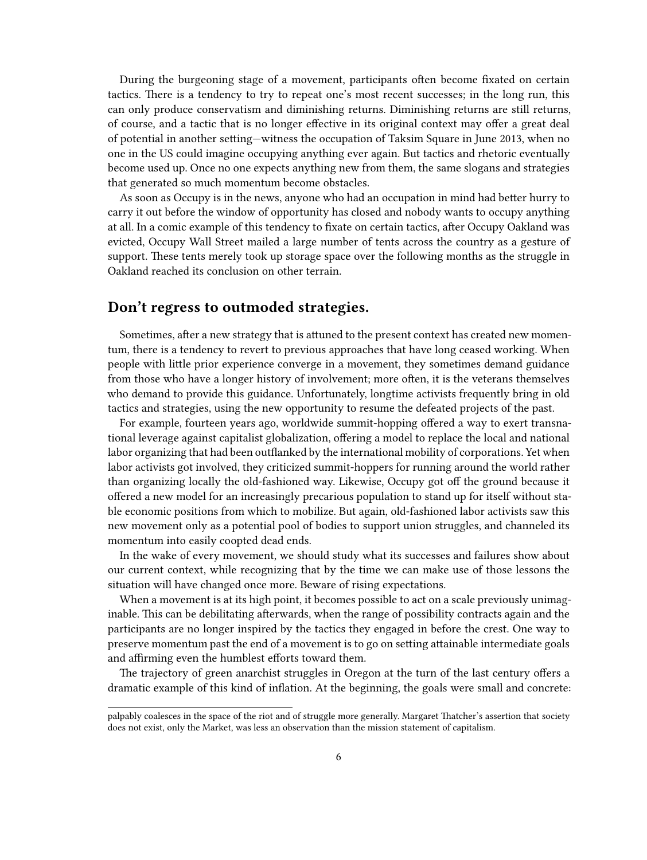During the burgeoning stage of a movement, participants often become fixated on certain tactics. There is a tendency to try to repeat one's most recent successes; in the long run, this can only produce conservatism and diminishing returns. Diminishing returns are still returns, of course, and a tactic that is no longer effective in its original context may offer a great deal of potential in another setting—witness the occupation of Taksim Square in June 2013, when no one in the US could imagine occupying anything ever again. But tactics and rhetoric eventually become used up. Once no one expects anything new from them, the same slogans and strategies that generated so much momentum become obstacles.

As soon as Occupy is in the news, anyone who had an occupation in mind had better hurry to carry it out before the window of opportunity has closed and nobody wants to occupy anything at all. In a comic example of this tendency to fixate on certain tactics, after Occupy Oakland was evicted, Occupy Wall Street mailed a large number of tents across the country as a gesture of support. These tents merely took up storage space over the following months as the struggle in Oakland reached its conclusion on other terrain.

### <span id="page-5-0"></span>**Don't regress to outmoded strategies.**

Sometimes, after a new strategy that is attuned to the present context has created new momentum, there is a tendency to revert to previous approaches that have long ceased working. When people with little prior experience converge in a movement, they sometimes demand guidance from those who have a longer history of involvement; more often, it is the veterans themselves who demand to provide this guidance. Unfortunately, longtime activists frequently bring in old tactics and strategies, using the new opportunity to resume the defeated projects of the past.

For example, fourteen years ago, worldwide summit-hopping offered a way to exert transnational leverage against capitalist globalization, offering a model to replace the local and national labor organizing that had been outflanked by the international mobility of corporations. Yet when labor activists got involved, they criticized summit-hoppers for running around the world rather than organizing locally the old-fashioned way. Likewise, Occupy got off the ground because it offered a new model for an increasingly precarious population to stand up for itself without stable economic positions from which to mobilize. But again, old-fashioned labor activists saw this new movement only as a potential pool of bodies to support union struggles, and channeled its momentum into easily coopted dead ends.

In the wake of every movement, we should study what its successes and failures show about our current context, while recognizing that by the time we can make use of those lessons the situation will have changed once more. Beware of rising expectations.

When a movement is at its high point, it becomes possible to act on a scale previously unimaginable. This can be debilitating afterwards, when the range of possibility contracts again and the participants are no longer inspired by the tactics they engaged in before the crest. One way to preserve momentum past the end of a movement is to go on setting attainable intermediate goals and affirming even the humblest efforts toward them.

The trajectory of green anarchist struggles in Oregon at the turn of the last century offers a dramatic example of this kind of inflation. At the beginning, the goals were small and concrete:

palpably coalesces in the space of the riot and of struggle more generally. Margaret Thatcher's assertion that society does not exist, only the Market, was less an observation than the mission statement of capitalism.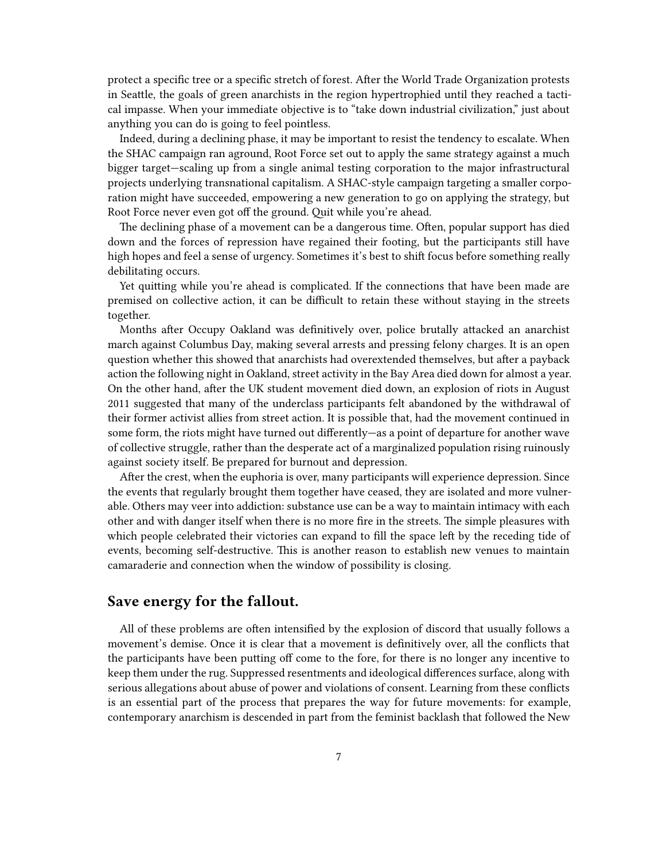protect a specific tree or a specific stretch of forest. After the World Trade Organization protests in Seattle, the goals of green anarchists in the region hypertrophied until they reached a tactical impasse. When your immediate objective is to "take down industrial civilization," just about anything you can do is going to feel pointless.

Indeed, during a declining phase, it may be important to resist the tendency to escalate. When the SHAC campaign ran aground, Root Force set out to apply the same strategy against a much bigger target—scaling up from a single animal testing corporation to the major infrastructural projects underlying transnational capitalism. A SHAC-style campaign targeting a smaller corporation might have succeeded, empowering a new generation to go on applying the strategy, but Root Force never even got off the ground. Quit while you're ahead.

The declining phase of a movement can be a dangerous time. Often, popular support has died down and the forces of repression have regained their footing, but the participants still have high hopes and feel a sense of urgency. Sometimes it's best to shift focus before something really debilitating occurs.

Yet quitting while you're ahead is complicated. If the connections that have been made are premised on collective action, it can be difficult to retain these without staying in the streets together.

Months after Occupy Oakland was definitively over, police brutally attacked an anarchist march against Columbus Day, making several arrests and pressing felony charges. It is an open question whether this showed that anarchists had overextended themselves, but after a payback action the following night in Oakland, street activity in the Bay Area died down for almost a year. On the other hand, after the UK student movement died down, an explosion of riots in August 2011 suggested that many of the underclass participants felt abandoned by the withdrawal of their former activist allies from street action. It is possible that, had the movement continued in some form, the riots might have turned out differently—as a point of departure for another wave of collective struggle, rather than the desperate act of a marginalized population rising ruinously against society itself. Be prepared for burnout and depression.

After the crest, when the euphoria is over, many participants will experience depression. Since the events that regularly brought them together have ceased, they are isolated and more vulnerable. Others may veer into addiction: substance use can be a way to maintain intimacy with each other and with danger itself when there is no more fire in the streets. The simple pleasures with which people celebrated their victories can expand to fill the space left by the receding tide of events, becoming self-destructive. This is another reason to establish new venues to maintain camaraderie and connection when the window of possibility is closing.

## <span id="page-6-0"></span>**Save energy for the fallout.**

All of these problems are often intensified by the explosion of discord that usually follows a movement's demise. Once it is clear that a movement is definitively over, all the conflicts that the participants have been putting off come to the fore, for there is no longer any incentive to keep them under the rug. Suppressed resentments and ideological differences surface, along with serious allegations about abuse of power and violations of consent. Learning from these conflicts is an essential part of the process that prepares the way for future movements: for example, contemporary anarchism is descended in part from the feminist backlash that followed the New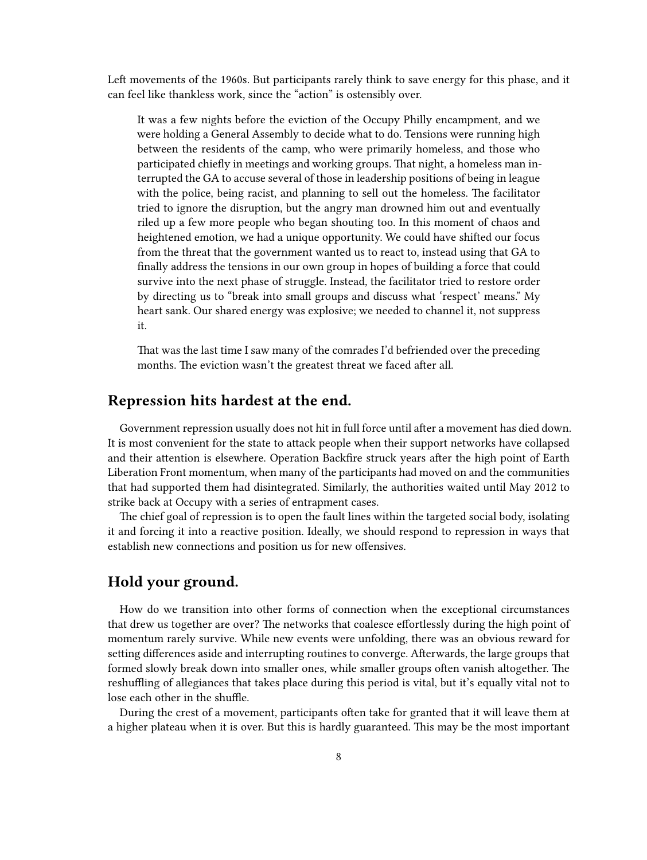Left movements of the 1960s. But participants rarely think to save energy for this phase, and it can feel like thankless work, since the "action" is ostensibly over.

It was a few nights before the eviction of the Occupy Philly encampment, and we were holding a General Assembly to decide what to do. Tensions were running high between the residents of the camp, who were primarily homeless, and those who participated chiefly in meetings and working groups. That night, a homeless man interrupted the GA to accuse several of those in leadership positions of being in league with the police, being racist, and planning to sell out the homeless. The facilitator tried to ignore the disruption, but the angry man drowned him out and eventually riled up a few more people who began shouting too. In this moment of chaos and heightened emotion, we had a unique opportunity. We could have shifted our focus from the threat that the government wanted us to react to, instead using that GA to finally address the tensions in our own group in hopes of building a force that could survive into the next phase of struggle. Instead, the facilitator tried to restore order by directing us to "break into small groups and discuss what 'respect' means." My heart sank. Our shared energy was explosive; we needed to channel it, not suppress it.

That was the last time I saw many of the comrades I'd befriended over the preceding months. The eviction wasn't the greatest threat we faced after all.

#### <span id="page-7-0"></span>**Repression hits hardest at the end.**

Government repression usually does not hit in full force until after a movement has died down. It is most convenient for the state to attack people when their support networks have collapsed and their attention is elsewhere. Operation Backfire struck years after the high point of Earth Liberation Front momentum, when many of the participants had moved on and the communities that had supported them had disintegrated. Similarly, the authorities waited until May 2012 to strike back at Occupy with a series of entrapment cases.

The chief goal of repression is to open the fault lines within the targeted social body, isolating it and forcing it into a reactive position. Ideally, we should respond to repression in ways that establish new connections and position us for new offensives.

## <span id="page-7-1"></span>**Hold your ground.**

How do we transition into other forms of connection when the exceptional circumstances that drew us together are over? The networks that coalesce effortlessly during the high point of momentum rarely survive. While new events were unfolding, there was an obvious reward for setting differences aside and interrupting routines to converge. Afterwards, the large groups that formed slowly break down into smaller ones, while smaller groups often vanish altogether. The reshuffling of allegiances that takes place during this period is vital, but it's equally vital not to lose each other in the shuffle.

During the crest of a movement, participants often take for granted that it will leave them at a higher plateau when it is over. But this is hardly guaranteed. This may be the most important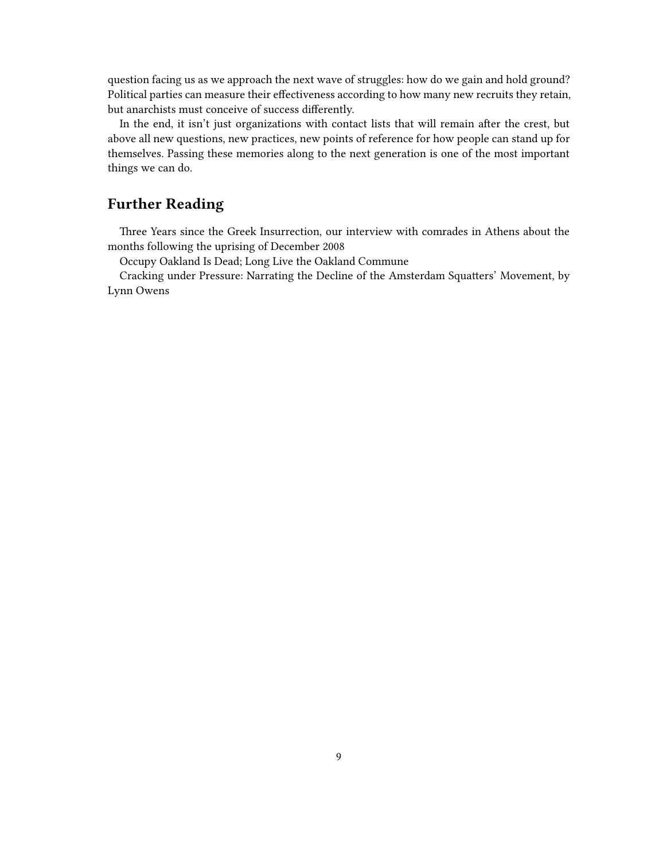question facing us as we approach the next wave of struggles: how do we gain and hold ground? Political parties can measure their effectiveness according to how many new recruits they retain, but anarchists must conceive of success differently.

In the end, it isn't just organizations with contact lists that will remain after the crest, but above all new questions, new practices, new points of reference for how people can stand up for themselves. Passing these memories along to the next generation is one of the most important things we can do.

# <span id="page-8-0"></span>**Further Reading**

Three Years since the Greek Insurrection, our interview with comrades in Athens about the months following the uprising of December 2008

Occupy Oakland Is Dead; Long Live the Oakland Commune

Cracking under Pressure: Narrating the Decline of the Amsterdam Squatters' Movement, by Lynn Owens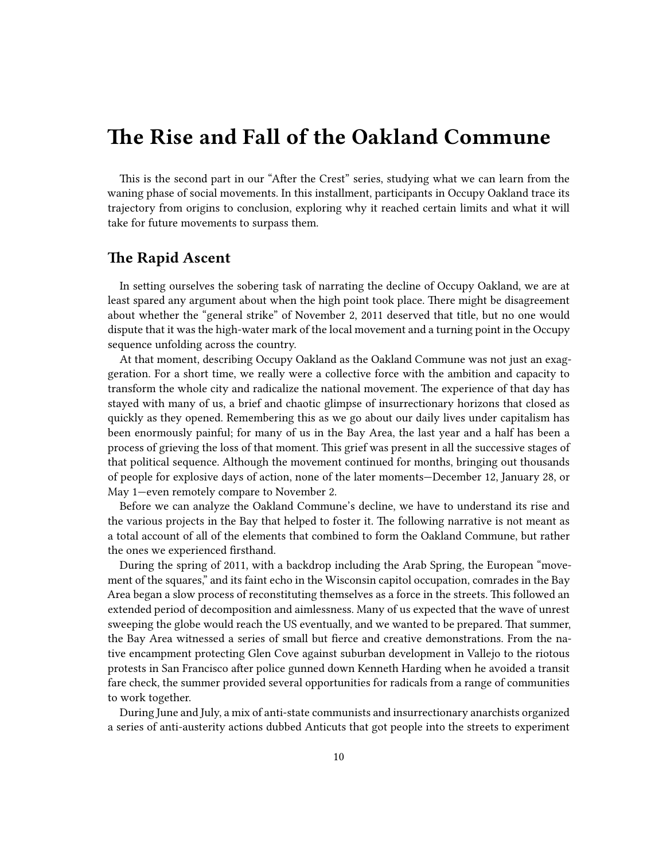# <span id="page-9-0"></span>**The Rise and Fall of the Oakland Commune**

This is the second part in our "After the Crest" series, studying what we can learn from the waning phase of social movements. In this installment, participants in Occupy Oakland trace its trajectory from origins to conclusion, exploring why it reached certain limits and what it will take for future movements to surpass them.

#### <span id="page-9-1"></span>**The Rapid Ascent**

In setting ourselves the sobering task of narrating the decline of Occupy Oakland, we are at least spared any argument about when the high point took place. There might be disagreement about whether the "general strike" of November 2, 2011 deserved that title, but no one would dispute that it was the high-water mark of the local movement and a turning point in the Occupy sequence unfolding across the country.

At that moment, describing Occupy Oakland as the Oakland Commune was not just an exaggeration. For a short time, we really were a collective force with the ambition and capacity to transform the whole city and radicalize the national movement. The experience of that day has stayed with many of us, a brief and chaotic glimpse of insurrectionary horizons that closed as quickly as they opened. Remembering this as we go about our daily lives under capitalism has been enormously painful; for many of us in the Bay Area, the last year and a half has been a process of grieving the loss of that moment. This grief was present in all the successive stages of that political sequence. Although the movement continued for months, bringing out thousands of people for explosive days of action, none of the later moments—December 12, January 28, or May 1—even remotely compare to November 2.

Before we can analyze the Oakland Commune's decline, we have to understand its rise and the various projects in the Bay that helped to foster it. The following narrative is not meant as a total account of all of the elements that combined to form the Oakland Commune, but rather the ones we experienced firsthand.

During the spring of 2011, with a backdrop including the Arab Spring, the European "movement of the squares," and its faint echo in the Wisconsin capitol occupation, comrades in the Bay Area began a slow process of reconstituting themselves as a force in the streets. This followed an extended period of decomposition and aimlessness. Many of us expected that the wave of unrest sweeping the globe would reach the US eventually, and we wanted to be prepared. That summer, the Bay Area witnessed a series of small but fierce and creative demonstrations. From the native encampment protecting Glen Cove against suburban development in Vallejo to the riotous protests in San Francisco after police gunned down Kenneth Harding when he avoided a transit fare check, the summer provided several opportunities for radicals from a range of communities to work together.

During June and July, a mix of anti-state communists and insurrectionary anarchists organized a series of anti-austerity actions dubbed Anticuts that got people into the streets to experiment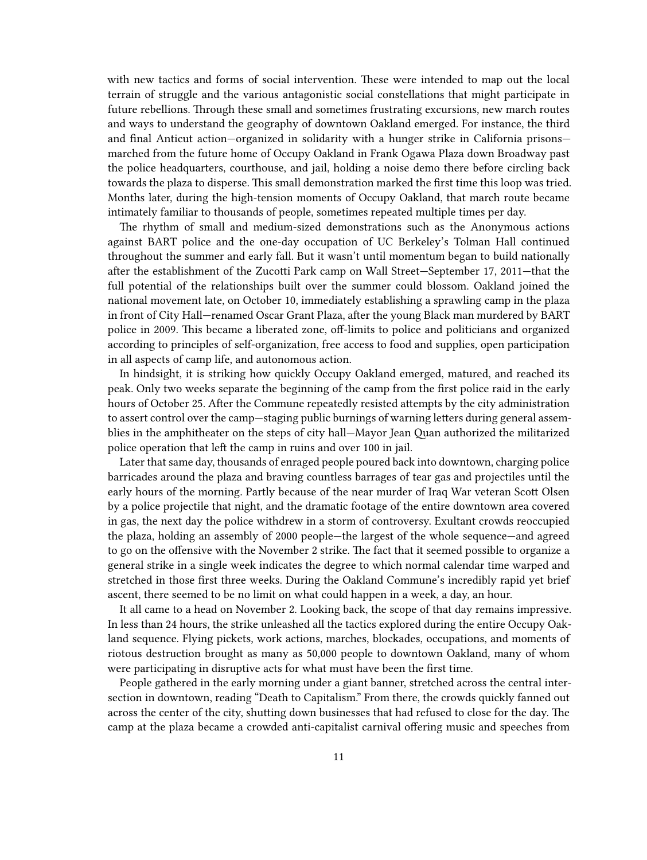with new tactics and forms of social intervention. These were intended to map out the local terrain of struggle and the various antagonistic social constellations that might participate in future rebellions. Through these small and sometimes frustrating excursions, new march routes and ways to understand the geography of downtown Oakland emerged. For instance, the third and final Anticut action—organized in solidarity with a hunger strike in California prisons marched from the future home of Occupy Oakland in Frank Ogawa Plaza down Broadway past the police headquarters, courthouse, and jail, holding a noise demo there before circling back towards the plaza to disperse. This small demonstration marked the first time this loop was tried. Months later, during the high-tension moments of Occupy Oakland, that march route became intimately familiar to thousands of people, sometimes repeated multiple times per day.

The rhythm of small and medium-sized demonstrations such as the Anonymous actions against BART police and the one-day occupation of UC Berkeley's Tolman Hall continued throughout the summer and early fall. But it wasn't until momentum began to build nationally after the establishment of the Zucotti Park camp on Wall Street—September 17, 2011—that the full potential of the relationships built over the summer could blossom. Oakland joined the national movement late, on October 10, immediately establishing a sprawling camp in the plaza in front of City Hall—renamed Oscar Grant Plaza, after the young Black man murdered by BART police in 2009. This became a liberated zone, off-limits to police and politicians and organized according to principles of self-organization, free access to food and supplies, open participation in all aspects of camp life, and autonomous action.

In hindsight, it is striking how quickly Occupy Oakland emerged, matured, and reached its peak. Only two weeks separate the beginning of the camp from the first police raid in the early hours of October 25. After the Commune repeatedly resisted attempts by the city administration to assert control over the camp—staging public burnings of warning letters during general assemblies in the amphitheater on the steps of city hall—Mayor Jean Quan authorized the militarized police operation that left the camp in ruins and over 100 in jail.

Later that same day, thousands of enraged people poured back into downtown, charging police barricades around the plaza and braving countless barrages of tear gas and projectiles until the early hours of the morning. Partly because of the near murder of Iraq War veteran Scott Olsen by a police projectile that night, and the dramatic footage of the entire downtown area covered in gas, the next day the police withdrew in a storm of controversy. Exultant crowds reoccupied the plaza, holding an assembly of 2000 people—the largest of the whole sequence—and agreed to go on the offensive with the November 2 strike. The fact that it seemed possible to organize a general strike in a single week indicates the degree to which normal calendar time warped and stretched in those first three weeks. During the Oakland Commune's incredibly rapid yet brief ascent, there seemed to be no limit on what could happen in a week, a day, an hour.

It all came to a head on November 2. Looking back, the scope of that day remains impressive. In less than 24 hours, the strike unleashed all the tactics explored during the entire Occupy Oakland sequence. Flying pickets, work actions, marches, blockades, occupations, and moments of riotous destruction brought as many as 50,000 people to downtown Oakland, many of whom were participating in disruptive acts for what must have been the first time.

People gathered in the early morning under a giant banner, stretched across the central intersection in downtown, reading "Death to Capitalism." From there, the crowds quickly fanned out across the center of the city, shutting down businesses that had refused to close for the day. The camp at the plaza became a crowded anti-capitalist carnival offering music and speeches from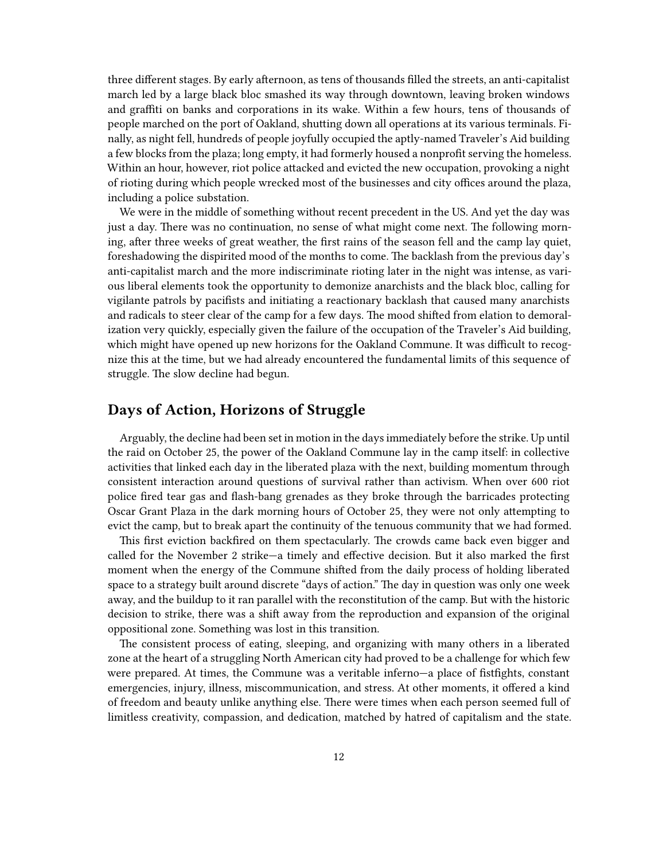three different stages. By early afternoon, as tens of thousands filled the streets, an anti-capitalist march led by a large black bloc smashed its way through downtown, leaving broken windows and graffiti on banks and corporations in its wake. Within a few hours, tens of thousands of people marched on the port of Oakland, shutting down all operations at its various terminals. Finally, as night fell, hundreds of people joyfully occupied the aptly-named Traveler's Aid building a few blocks from the plaza; long empty, it had formerly housed a nonprofit serving the homeless. Within an hour, however, riot police attacked and evicted the new occupation, provoking a night of rioting during which people wrecked most of the businesses and city offices around the plaza, including a police substation.

We were in the middle of something without recent precedent in the US. And yet the day was just a day. There was no continuation, no sense of what might come next. The following morning, after three weeks of great weather, the first rains of the season fell and the camp lay quiet, foreshadowing the dispirited mood of the months to come. The backlash from the previous day's anti-capitalist march and the more indiscriminate rioting later in the night was intense, as various liberal elements took the opportunity to demonize anarchists and the black bloc, calling for vigilante patrols by pacifists and initiating a reactionary backlash that caused many anarchists and radicals to steer clear of the camp for a few days. The mood shifted from elation to demoralization very quickly, especially given the failure of the occupation of the Traveler's Aid building, which might have opened up new horizons for the Oakland Commune. It was difficult to recognize this at the time, but we had already encountered the fundamental limits of this sequence of struggle. The slow decline had begun.

## <span id="page-11-0"></span>**Days of Action, Horizons of Struggle**

Arguably, the decline had been set in motion in the days immediately before the strike. Up until the raid on October 25, the power of the Oakland Commune lay in the camp itself: in collective activities that linked each day in the liberated plaza with the next, building momentum through consistent interaction around questions of survival rather than activism. When over 600 riot police fired tear gas and flash-bang grenades as they broke through the barricades protecting Oscar Grant Plaza in the dark morning hours of October 25, they were not only attempting to evict the camp, but to break apart the continuity of the tenuous community that we had formed.

This first eviction backfired on them spectacularly. The crowds came back even bigger and called for the November 2 strike—a timely and effective decision. But it also marked the first moment when the energy of the Commune shifted from the daily process of holding liberated space to a strategy built around discrete "days of action." The day in question was only one week away, and the buildup to it ran parallel with the reconstitution of the camp. But with the historic decision to strike, there was a shift away from the reproduction and expansion of the original oppositional zone. Something was lost in this transition.

The consistent process of eating, sleeping, and organizing with many others in a liberated zone at the heart of a struggling North American city had proved to be a challenge for which few were prepared. At times, the Commune was a veritable inferno—a place of fistfights, constant emergencies, injury, illness, miscommunication, and stress. At other moments, it offered a kind of freedom and beauty unlike anything else. There were times when each person seemed full of limitless creativity, compassion, and dedication, matched by hatred of capitalism and the state.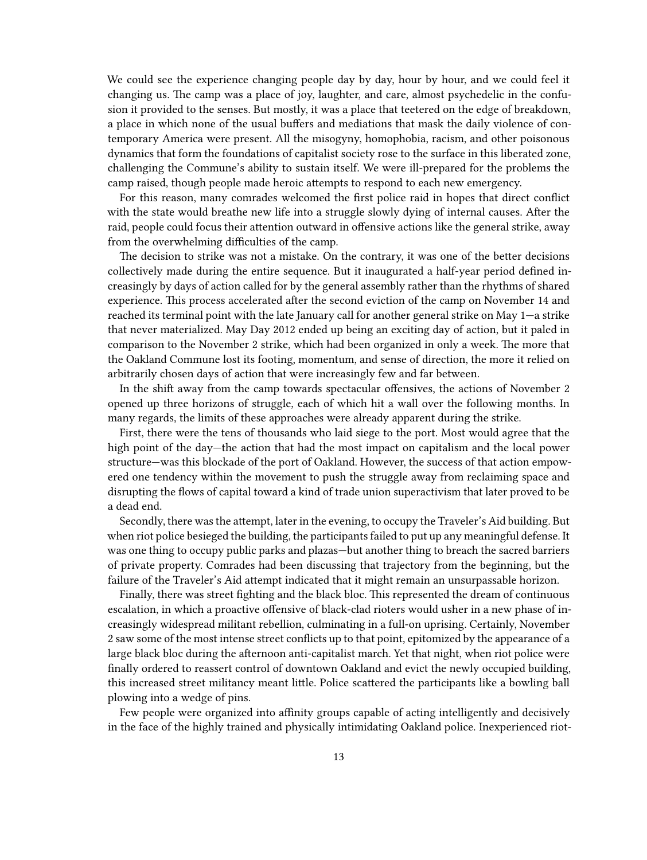We could see the experience changing people day by day, hour by hour, and we could feel it changing us. The camp was a place of joy, laughter, and care, almost psychedelic in the confusion it provided to the senses. But mostly, it was a place that teetered on the edge of breakdown, a place in which none of the usual buffers and mediations that mask the daily violence of contemporary America were present. All the misogyny, homophobia, racism, and other poisonous dynamics that form the foundations of capitalist society rose to the surface in this liberated zone, challenging the Commune's ability to sustain itself. We were ill-prepared for the problems the camp raised, though people made heroic attempts to respond to each new emergency.

For this reason, many comrades welcomed the first police raid in hopes that direct conflict with the state would breathe new life into a struggle slowly dying of internal causes. After the raid, people could focus their attention outward in offensive actions like the general strike, away from the overwhelming difficulties of the camp.

The decision to strike was not a mistake. On the contrary, it was one of the better decisions collectively made during the entire sequence. But it inaugurated a half-year period defined increasingly by days of action called for by the general assembly rather than the rhythms of shared experience. This process accelerated after the second eviction of the camp on November 14 and reached its terminal point with the late January call for another general strike on May 1—a strike that never materialized. May Day 2012 ended up being an exciting day of action, but it paled in comparison to the November 2 strike, which had been organized in only a week. The more that the Oakland Commune lost its footing, momentum, and sense of direction, the more it relied on arbitrarily chosen days of action that were increasingly few and far between.

In the shift away from the camp towards spectacular offensives, the actions of November 2 opened up three horizons of struggle, each of which hit a wall over the following months. In many regards, the limits of these approaches were already apparent during the strike.

First, there were the tens of thousands who laid siege to the port. Most would agree that the high point of the day—the action that had the most impact on capitalism and the local power structure—was this blockade of the port of Oakland. However, the success of that action empowered one tendency within the movement to push the struggle away from reclaiming space and disrupting the flows of capital toward a kind of trade union superactivism that later proved to be a dead end.

Secondly, there was the attempt, later in the evening, to occupy the Traveler's Aid building. But when riot police besieged the building, the participants failed to put up any meaningful defense. It was one thing to occupy public parks and plazas—but another thing to breach the sacred barriers of private property. Comrades had been discussing that trajectory from the beginning, but the failure of the Traveler's Aid attempt indicated that it might remain an unsurpassable horizon.

Finally, there was street fighting and the black bloc. This represented the dream of continuous escalation, in which a proactive offensive of black-clad rioters would usher in a new phase of increasingly widespread militant rebellion, culminating in a full-on uprising. Certainly, November 2 saw some of the most intense street conflicts up to that point, epitomized by the appearance of a large black bloc during the afternoon anti-capitalist march. Yet that night, when riot police were finally ordered to reassert control of downtown Oakland and evict the newly occupied building, this increased street militancy meant little. Police scattered the participants like a bowling ball plowing into a wedge of pins.

Few people were organized into affinity groups capable of acting intelligently and decisively in the face of the highly trained and physically intimidating Oakland police. Inexperienced riot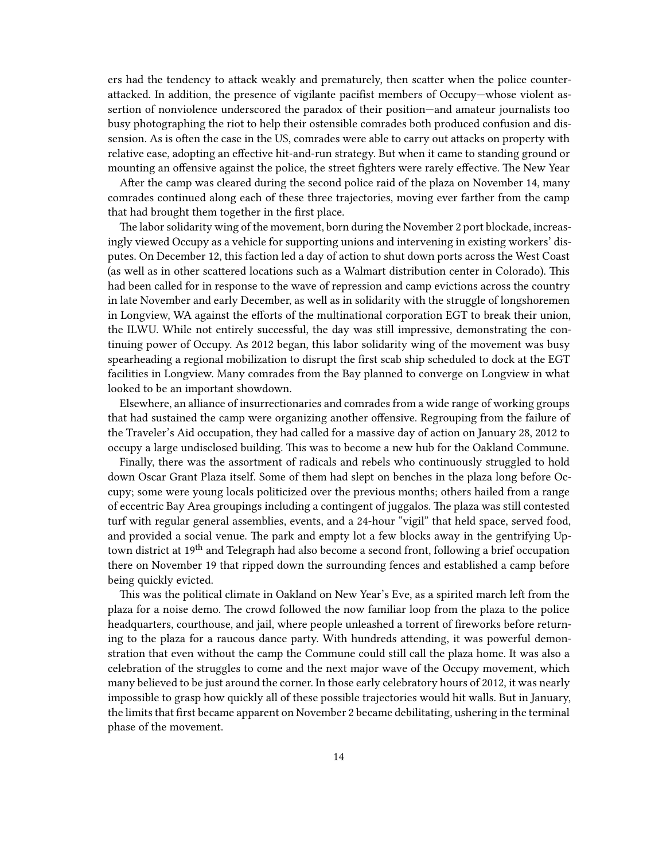ers had the tendency to attack weakly and prematurely, then scatter when the police counterattacked. In addition, the presence of vigilante pacifist members of Occupy—whose violent assertion of nonviolence underscored the paradox of their position—and amateur journalists too busy photographing the riot to help their ostensible comrades both produced confusion and dissension. As is often the case in the US, comrades were able to carry out attacks on property with relative ease, adopting an effective hit-and-run strategy. But when it came to standing ground or mounting an offensive against the police, the street fighters were rarely effective. The New Year

After the camp was cleared during the second police raid of the plaza on November 14, many comrades continued along each of these three trajectories, moving ever farther from the camp that had brought them together in the first place.

The labor solidarity wing of the movement, born during the November 2 port blockade, increasingly viewed Occupy as a vehicle for supporting unions and intervening in existing workers' disputes. On December 12, this faction led a day of action to shut down ports across the West Coast (as well as in other scattered locations such as a Walmart distribution center in Colorado). This had been called for in response to the wave of repression and camp evictions across the country in late November and early December, as well as in solidarity with the struggle of longshoremen in Longview, WA against the efforts of the multinational corporation EGT to break their union, the ILWU. While not entirely successful, the day was still impressive, demonstrating the continuing power of Occupy. As 2012 began, this labor solidarity wing of the movement was busy spearheading a regional mobilization to disrupt the first scab ship scheduled to dock at the EGT facilities in Longview. Many comrades from the Bay planned to converge on Longview in what looked to be an important showdown.

Elsewhere, an alliance of insurrectionaries and comrades from a wide range of working groups that had sustained the camp were organizing another offensive. Regrouping from the failure of the Traveler's Aid occupation, they had called for a massive day of action on January 28, 2012 to occupy a large undisclosed building. This was to become a new hub for the Oakland Commune.

Finally, there was the assortment of radicals and rebels who continuously struggled to hold down Oscar Grant Plaza itself. Some of them had slept on benches in the plaza long before Occupy; some were young locals politicized over the previous months; others hailed from a range of eccentric Bay Area groupings including a contingent of juggalos. The plaza was still contested turf with regular general assemblies, events, and a 24-hour "vigil" that held space, served food, and provided a social venue. The park and empty lot a few blocks away in the gentrifying Uptown district at 19<sup>th</sup> and Telegraph had also become a second front, following a brief occupation there on November 19 that ripped down the surrounding fences and established a camp before being quickly evicted.

This was the political climate in Oakland on New Year's Eve, as a spirited march left from the plaza for a noise demo. The crowd followed the now familiar loop from the plaza to the police headquarters, courthouse, and jail, where people unleashed a torrent of fireworks before returning to the plaza for a raucous dance party. With hundreds attending, it was powerful demonstration that even without the camp the Commune could still call the plaza home. It was also a celebration of the struggles to come and the next major wave of the Occupy movement, which many believed to be just around the corner. In those early celebratory hours of 2012, it was nearly impossible to grasp how quickly all of these possible trajectories would hit walls. But in January, the limits that first became apparent on November 2 became debilitating, ushering in the terminal phase of the movement.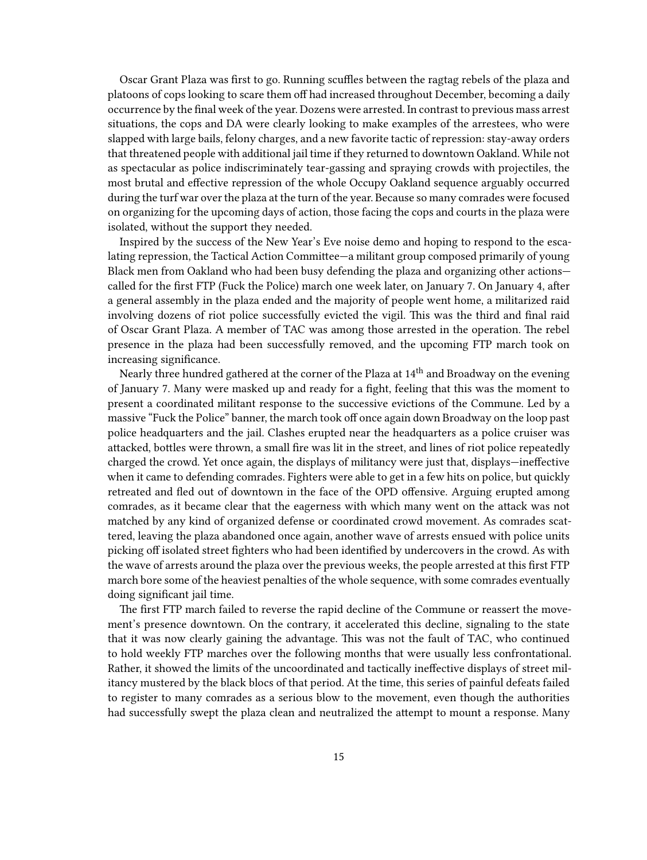Oscar Grant Plaza was first to go. Running scuffles between the ragtag rebels of the plaza and platoons of cops looking to scare them off had increased throughout December, becoming a daily occurrence by the final week of the year. Dozens were arrested. In contrast to previous mass arrest situations, the cops and DA were clearly looking to make examples of the arrestees, who were slapped with large bails, felony charges, and a new favorite tactic of repression: stay-away orders that threatened people with additional jail time if they returned to downtown Oakland. While not as spectacular as police indiscriminately tear-gassing and spraying crowds with projectiles, the most brutal and effective repression of the whole Occupy Oakland sequence arguably occurred during the turf war over the plaza at the turn of the year. Because so many comrades were focused on organizing for the upcoming days of action, those facing the cops and courts in the plaza were isolated, without the support they needed.

Inspired by the success of the New Year's Eve noise demo and hoping to respond to the escalating repression, the Tactical Action Committee—a militant group composed primarily of young Black men from Oakland who had been busy defending the plaza and organizing other actions called for the first FTP (Fuck the Police) march one week later, on January 7. On January 4, after a general assembly in the plaza ended and the majority of people went home, a militarized raid involving dozens of riot police successfully evicted the vigil. This was the third and final raid of Oscar Grant Plaza. A member of TAC was among those arrested in the operation. The rebel presence in the plaza had been successfully removed, and the upcoming FTP march took on increasing significance.

Nearly three hundred gathered at the corner of the Plaza at 14<sup>th</sup> and Broadway on the evening of January 7. Many were masked up and ready for a fight, feeling that this was the moment to present a coordinated militant response to the successive evictions of the Commune. Led by a massive "Fuck the Police" banner, the march took off once again down Broadway on the loop past police headquarters and the jail. Clashes erupted near the headquarters as a police cruiser was attacked, bottles were thrown, a small fire was lit in the street, and lines of riot police repeatedly charged the crowd. Yet once again, the displays of militancy were just that, displays—ineffective when it came to defending comrades. Fighters were able to get in a few hits on police, but quickly retreated and fled out of downtown in the face of the OPD offensive. Arguing erupted among comrades, as it became clear that the eagerness with which many went on the attack was not matched by any kind of organized defense or coordinated crowd movement. As comrades scattered, leaving the plaza abandoned once again, another wave of arrests ensued with police units picking off isolated street fighters who had been identified by undercovers in the crowd. As with the wave of arrests around the plaza over the previous weeks, the people arrested at this first FTP march bore some of the heaviest penalties of the whole sequence, with some comrades eventually doing significant jail time.

The first FTP march failed to reverse the rapid decline of the Commune or reassert the movement's presence downtown. On the contrary, it accelerated this decline, signaling to the state that it was now clearly gaining the advantage. This was not the fault of TAC, who continued to hold weekly FTP marches over the following months that were usually less confrontational. Rather, it showed the limits of the uncoordinated and tactically ineffective displays of street militancy mustered by the black blocs of that period. At the time, this series of painful defeats failed to register to many comrades as a serious blow to the movement, even though the authorities had successfully swept the plaza clean and neutralized the attempt to mount a response. Many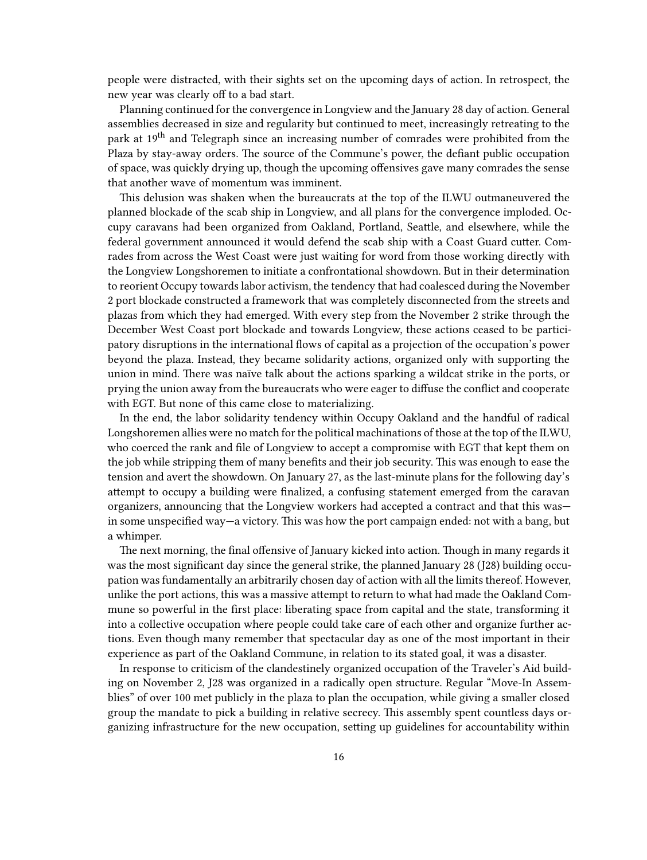people were distracted, with their sights set on the upcoming days of action. In retrospect, the new year was clearly off to a bad start.

Planning continued for the convergence in Longview and the January 28 day of action. General assemblies decreased in size and regularity but continued to meet, increasingly retreating to the park at  $19<sup>th</sup>$  and Telegraph since an increasing number of comrades were prohibited from the Plaza by stay-away orders. The source of the Commune's power, the defiant public occupation of space, was quickly drying up, though the upcoming offensives gave many comrades the sense that another wave of momentum was imminent.

This delusion was shaken when the bureaucrats at the top of the ILWU outmaneuvered the planned blockade of the scab ship in Longview, and all plans for the convergence imploded. Occupy caravans had been organized from Oakland, Portland, Seattle, and elsewhere, while the federal government announced it would defend the scab ship with a Coast Guard cutter. Comrades from across the West Coast were just waiting for word from those working directly with the Longview Longshoremen to initiate a confrontational showdown. But in their determination to reorient Occupy towards labor activism, the tendency that had coalesced during the November 2 port blockade constructed a framework that was completely disconnected from the streets and plazas from which they had emerged. With every step from the November 2 strike through the December West Coast port blockade and towards Longview, these actions ceased to be participatory disruptions in the international flows of capital as a projection of the occupation's power beyond the plaza. Instead, they became solidarity actions, organized only with supporting the union in mind. There was naïve talk about the actions sparking a wildcat strike in the ports, or prying the union away from the bureaucrats who were eager to diffuse the conflict and cooperate with EGT. But none of this came close to materializing.

In the end, the labor solidarity tendency within Occupy Oakland and the handful of radical Longshoremen allies were no match for the political machinations of those at the top of the ILWU, who coerced the rank and file of Longview to accept a compromise with EGT that kept them on the job while stripping them of many benefits and their job security. This was enough to ease the tension and avert the showdown. On January 27, as the last-minute plans for the following day's attempt to occupy a building were finalized, a confusing statement emerged from the caravan organizers, announcing that the Longview workers had accepted a contract and that this was in some unspecified way—a victory. This was how the port campaign ended: not with a bang, but a whimper.

The next morning, the final offensive of January kicked into action. Though in many regards it was the most significant day since the general strike, the planned January 28 (J28) building occupation was fundamentally an arbitrarily chosen day of action with all the limits thereof. However, unlike the port actions, this was a massive attempt to return to what had made the Oakland Commune so powerful in the first place: liberating space from capital and the state, transforming it into a collective occupation where people could take care of each other and organize further actions. Even though many remember that spectacular day as one of the most important in their experience as part of the Oakland Commune, in relation to its stated goal, it was a disaster.

In response to criticism of the clandestinely organized occupation of the Traveler's Aid building on November 2, J28 was organized in a radically open structure. Regular "Move-In Assemblies" of over 100 met publicly in the plaza to plan the occupation, while giving a smaller closed group the mandate to pick a building in relative secrecy. This assembly spent countless days organizing infrastructure for the new occupation, setting up guidelines for accountability within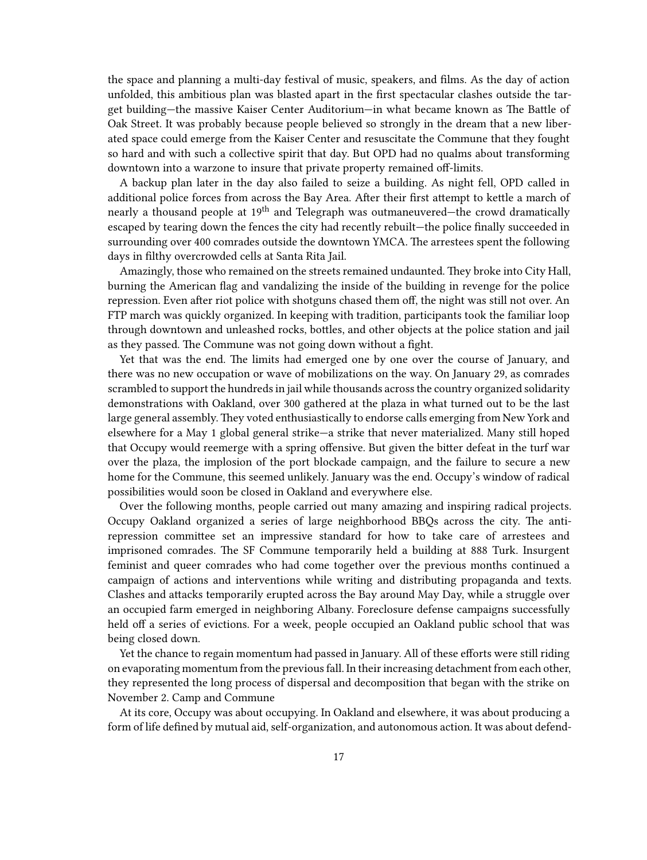the space and planning a multi-day festival of music, speakers, and films. As the day of action unfolded, this ambitious plan was blasted apart in the first spectacular clashes outside the target building—the massive Kaiser Center Auditorium—in what became known as The Battle of Oak Street. It was probably because people believed so strongly in the dream that a new liberated space could emerge from the Kaiser Center and resuscitate the Commune that they fought so hard and with such a collective spirit that day. But OPD had no qualms about transforming downtown into a warzone to insure that private property remained off-limits.

A backup plan later in the day also failed to seize a building. As night fell, OPD called in additional police forces from across the Bay Area. After their first attempt to kettle a march of nearly a thousand people at 19<sup>th</sup> and Telegraph was outmaneuvered—the crowd dramatically escaped by tearing down the fences the city had recently rebuilt—the police finally succeeded in surrounding over 400 comrades outside the downtown YMCA. The arrestees spent the following days in filthy overcrowded cells at Santa Rita Jail.

Amazingly, those who remained on the streets remained undaunted. They broke into City Hall, burning the American flag and vandalizing the inside of the building in revenge for the police repression. Even after riot police with shotguns chased them off, the night was still not over. An FTP march was quickly organized. In keeping with tradition, participants took the familiar loop through downtown and unleashed rocks, bottles, and other objects at the police station and jail as they passed. The Commune was not going down without a fight.

Yet that was the end. The limits had emerged one by one over the course of January, and there was no new occupation or wave of mobilizations on the way. On January 29, as comrades scrambled to support the hundreds in jail while thousands across the country organized solidarity demonstrations with Oakland, over 300 gathered at the plaza in what turned out to be the last large general assembly. They voted enthusiastically to endorse calls emerging from New York and elsewhere for a May 1 global general strike—a strike that never materialized. Many still hoped that Occupy would reemerge with a spring offensive. But given the bitter defeat in the turf war over the plaza, the implosion of the port blockade campaign, and the failure to secure a new home for the Commune, this seemed unlikely. January was the end. Occupy's window of radical possibilities would soon be closed in Oakland and everywhere else.

Over the following months, people carried out many amazing and inspiring radical projects. Occupy Oakland organized a series of large neighborhood BBQs across the city. The antirepression committee set an impressive standard for how to take care of arrestees and imprisoned comrades. The SF Commune temporarily held a building at 888 Turk. Insurgent feminist and queer comrades who had come together over the previous months continued a campaign of actions and interventions while writing and distributing propaganda and texts. Clashes and attacks temporarily erupted across the Bay around May Day, while a struggle over an occupied farm emerged in neighboring Albany. Foreclosure defense campaigns successfully held off a series of evictions. For a week, people occupied an Oakland public school that was being closed down.

Yet the chance to regain momentum had passed in January. All of these efforts were still riding on evaporating momentum from the previous fall. In their increasing detachment from each other, they represented the long process of dispersal and decomposition that began with the strike on November 2. Camp and Commune

At its core, Occupy was about occupying. In Oakland and elsewhere, it was about producing a form of life defined by mutual aid, self-organization, and autonomous action. It was about defend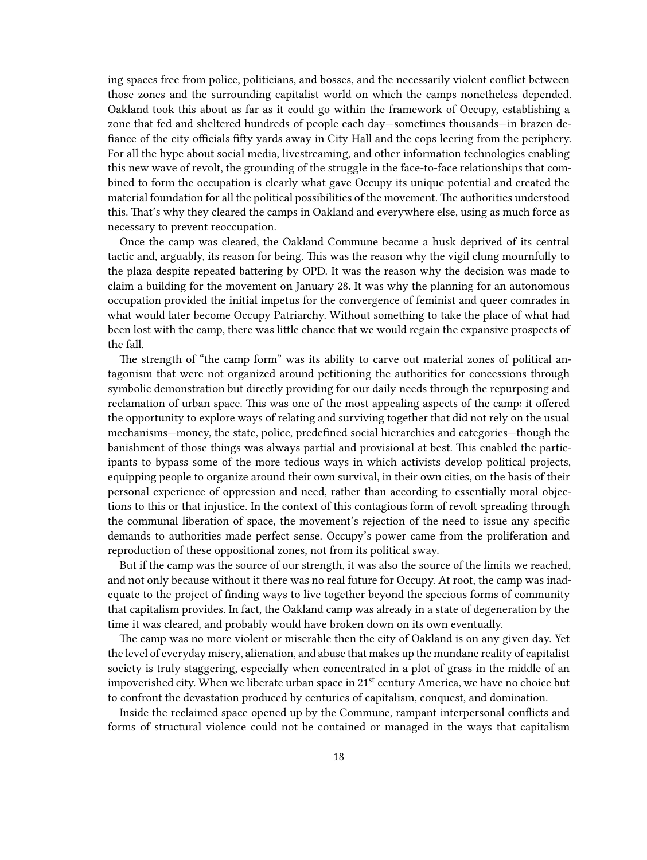ing spaces free from police, politicians, and bosses, and the necessarily violent conflict between those zones and the surrounding capitalist world on which the camps nonetheless depended. Oakland took this about as far as it could go within the framework of Occupy, establishing a zone that fed and sheltered hundreds of people each day—sometimes thousands—in brazen defiance of the city officials fifty yards away in City Hall and the cops leering from the periphery. For all the hype about social media, livestreaming, and other information technologies enabling this new wave of revolt, the grounding of the struggle in the face-to-face relationships that combined to form the occupation is clearly what gave Occupy its unique potential and created the material foundation for all the political possibilities of the movement. The authorities understood this. That's why they cleared the camps in Oakland and everywhere else, using as much force as necessary to prevent reoccupation.

Once the camp was cleared, the Oakland Commune became a husk deprived of its central tactic and, arguably, its reason for being. This was the reason why the vigil clung mournfully to the plaza despite repeated battering by OPD. It was the reason why the decision was made to claim a building for the movement on January 28. It was why the planning for an autonomous occupation provided the initial impetus for the convergence of feminist and queer comrades in what would later become Occupy Patriarchy. Without something to take the place of what had been lost with the camp, there was little chance that we would regain the expansive prospects of the fall.

The strength of "the camp form" was its ability to carve out material zones of political antagonism that were not organized around petitioning the authorities for concessions through symbolic demonstration but directly providing for our daily needs through the repurposing and reclamation of urban space. This was one of the most appealing aspects of the camp: it offered the opportunity to explore ways of relating and surviving together that did not rely on the usual mechanisms—money, the state, police, predefined social hierarchies and categories—though the banishment of those things was always partial and provisional at best. This enabled the participants to bypass some of the more tedious ways in which activists develop political projects, equipping people to organize around their own survival, in their own cities, on the basis of their personal experience of oppression and need, rather than according to essentially moral objections to this or that injustice. In the context of this contagious form of revolt spreading through the communal liberation of space, the movement's rejection of the need to issue any specific demands to authorities made perfect sense. Occupy's power came from the proliferation and reproduction of these oppositional zones, not from its political sway.

But if the camp was the source of our strength, it was also the source of the limits we reached, and not only because without it there was no real future for Occupy. At root, the camp was inadequate to the project of finding ways to live together beyond the specious forms of community that capitalism provides. In fact, the Oakland camp was already in a state of degeneration by the time it was cleared, and probably would have broken down on its own eventually.

The camp was no more violent or miserable then the city of Oakland is on any given day. Yet the level of everyday misery, alienation, and abuse that makes up the mundane reality of capitalist society is truly staggering, especially when concentrated in a plot of grass in the middle of an impoverished city. When we liberate urban space in  $21<sup>st</sup>$  century America, we have no choice but to confront the devastation produced by centuries of capitalism, conquest, and domination.

Inside the reclaimed space opened up by the Commune, rampant interpersonal conflicts and forms of structural violence could not be contained or managed in the ways that capitalism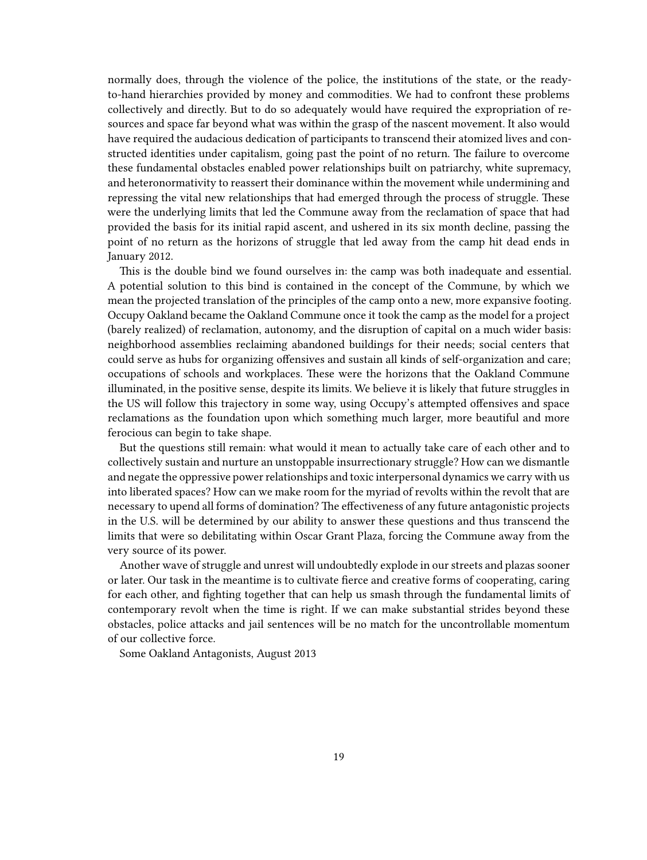normally does, through the violence of the police, the institutions of the state, or the readyto-hand hierarchies provided by money and commodities. We had to confront these problems collectively and directly. But to do so adequately would have required the expropriation of resources and space far beyond what was within the grasp of the nascent movement. It also would have required the audacious dedication of participants to transcend their atomized lives and constructed identities under capitalism, going past the point of no return. The failure to overcome these fundamental obstacles enabled power relationships built on patriarchy, white supremacy, and heteronormativity to reassert their dominance within the movement while undermining and repressing the vital new relationships that had emerged through the process of struggle. These were the underlying limits that led the Commune away from the reclamation of space that had provided the basis for its initial rapid ascent, and ushered in its six month decline, passing the point of no return as the horizons of struggle that led away from the camp hit dead ends in January 2012.

This is the double bind we found ourselves in: the camp was both inadequate and essential. A potential solution to this bind is contained in the concept of the Commune, by which we mean the projected translation of the principles of the camp onto a new, more expansive footing. Occupy Oakland became the Oakland Commune once it took the camp as the model for a project (barely realized) of reclamation, autonomy, and the disruption of capital on a much wider basis: neighborhood assemblies reclaiming abandoned buildings for their needs; social centers that could serve as hubs for organizing offensives and sustain all kinds of self-organization and care; occupations of schools and workplaces. These were the horizons that the Oakland Commune illuminated, in the positive sense, despite its limits. We believe it is likely that future struggles in the US will follow this trajectory in some way, using Occupy's attempted offensives and space reclamations as the foundation upon which something much larger, more beautiful and more ferocious can begin to take shape.

But the questions still remain: what would it mean to actually take care of each other and to collectively sustain and nurture an unstoppable insurrectionary struggle? How can we dismantle and negate the oppressive power relationships and toxic interpersonal dynamics we carry with us into liberated spaces? How can we make room for the myriad of revolts within the revolt that are necessary to upend all forms of domination? The effectiveness of any future antagonistic projects in the U.S. will be determined by our ability to answer these questions and thus transcend the limits that were so debilitating within Oscar Grant Plaza, forcing the Commune away from the very source of its power.

Another wave of struggle and unrest will undoubtedly explode in our streets and plazas sooner or later. Our task in the meantime is to cultivate fierce and creative forms of cooperating, caring for each other, and fighting together that can help us smash through the fundamental limits of contemporary revolt when the time is right. If we can make substantial strides beyond these obstacles, police attacks and jail sentences will be no match for the uncontrollable momentum of our collective force.

Some Oakland Antagonists, August 2013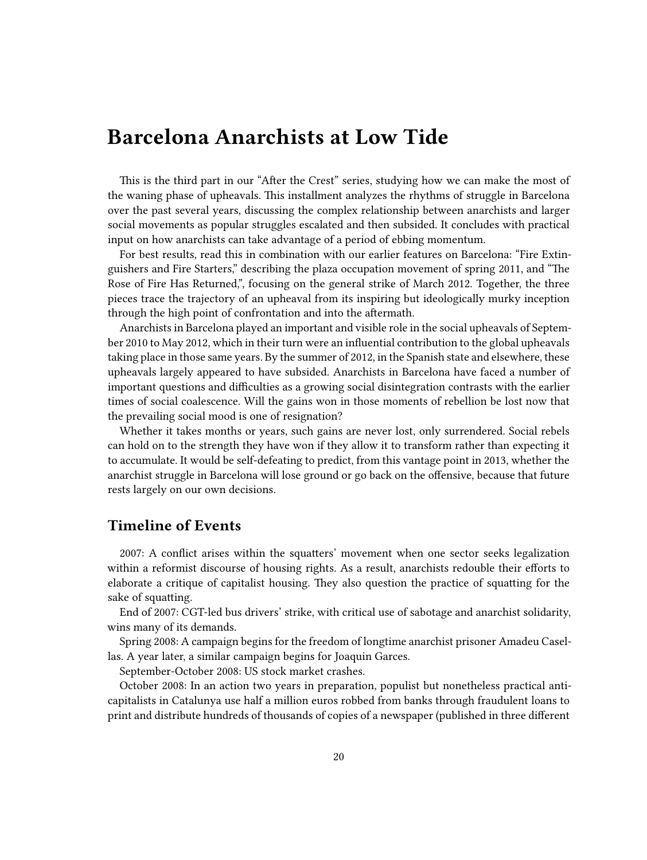# <span id="page-19-0"></span>**Barcelona Anarchists at Low Tide**

This is the third part in our "After the Crest" series, studying how we can make the most of the waning phase of upheavals. This installment analyzes the rhythms of struggle in Barcelona over the past several years, discussing the complex relationship between anarchists and larger social movements as popular struggles escalated and then subsided. It concludes with practical input on how anarchists can take advantage of a period of ebbing momentum.

For best results, read this in combination with our earlier features on Barcelona: "Fire Extinguishers and Fire Starters," describing the plaza occupation movement of spring 2011, and "The Rose of Fire Has Returned,", focusing on the general strike of March 2012. Together, the three pieces trace the trajectory of an upheaval from its inspiring but ideologically murky inception through the high point of confrontation and into the aftermath.

Anarchists in Barcelona played an important and visible role in the social upheavals of September 2010 to May 2012, which in their turn were an influential contribution to the global upheavals taking place in those same years. By the summer of 2012, in the Spanish state and elsewhere, these upheavals largely appeared to have subsided. Anarchists in Barcelona have faced a number of important questions and difficulties as a growing social disintegration contrasts with the earlier times of social coalescence. Will the gains won in those moments of rebellion be lost now that the prevailing social mood is one of resignation?

Whether it takes months or years, such gains are never lost, only surrendered. Social rebels can hold on to the strength they have won if they allow it to transform rather than expecting it to accumulate. It would be self-defeating to predict, from this vantage point in 2013, whether the anarchist struggle in Barcelona will lose ground or go back on the offensive, because that future rests largely on our own decisions.

## <span id="page-19-1"></span>**Timeline of Events**

2007: A conflict arises within the squatters' movement when one sector seeks legalization within a reformist discourse of housing rights. As a result, anarchists redouble their efforts to elaborate a critique of capitalist housing. They also question the practice of squatting for the sake of squatting.

End of 2007: CGT-led bus drivers' strike, with critical use of sabotage and anarchist solidarity, wins many of its demands.

Spring 2008: A campaign begins for the freedom of longtime anarchist prisoner Amadeu Casellas. A year later, a similar campaign begins for Joaquin Garces.

September-October 2008: US stock market crashes.

October 2008: In an action two years in preparation, populist but nonetheless practical anticapitalists in Catalunya use half a million euros robbed from banks through fraudulent loans to print and distribute hundreds of thousands of copies of a newspaper (published in three different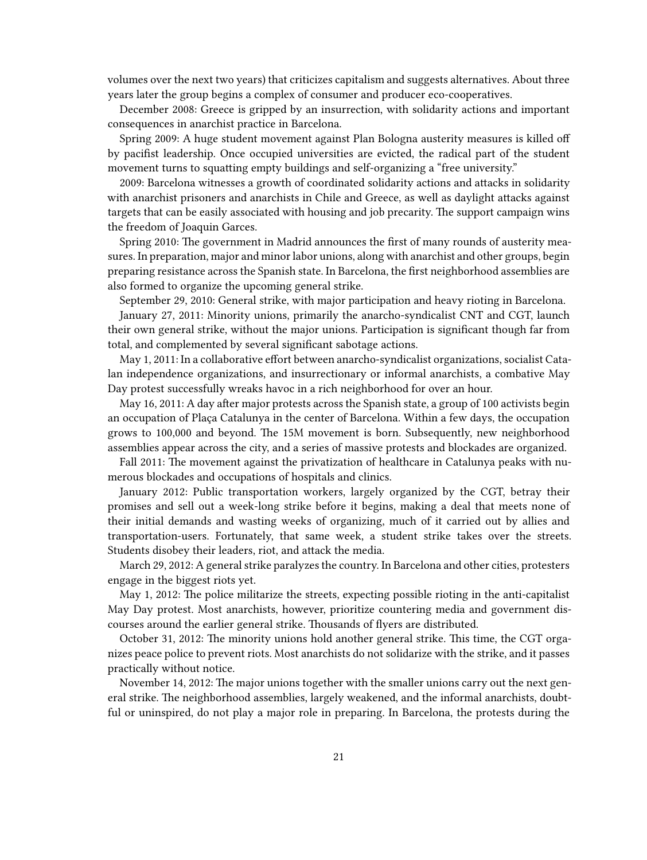volumes over the next two years) that criticizes capitalism and suggests alternatives. About three years later the group begins a complex of consumer and producer eco-cooperatives.

December 2008: Greece is gripped by an insurrection, with solidarity actions and important consequences in anarchist practice in Barcelona.

Spring 2009: A huge student movement against Plan Bologna austerity measures is killed off by pacifist leadership. Once occupied universities are evicted, the radical part of the student movement turns to squatting empty buildings and self-organizing a "free university."

2009: Barcelona witnesses a growth of coordinated solidarity actions and attacks in solidarity with anarchist prisoners and anarchists in Chile and Greece, as well as daylight attacks against targets that can be easily associated with housing and job precarity. The support campaign wins the freedom of Joaquin Garces.

Spring 2010: The government in Madrid announces the first of many rounds of austerity measures. In preparation, major and minor labor unions, along with anarchist and other groups, begin preparing resistance across the Spanish state. In Barcelona, the first neighborhood assemblies are also formed to organize the upcoming general strike.

September 29, 2010: General strike, with major participation and heavy rioting in Barcelona.

January 27, 2011: Minority unions, primarily the anarcho-syndicalist CNT and CGT, launch their own general strike, without the major unions. Participation is significant though far from total, and complemented by several significant sabotage actions.

May 1, 2011: In a collaborative effort between anarcho-syndicalist organizations, socialist Catalan independence organizations, and insurrectionary or informal anarchists, a combative May Day protest successfully wreaks havoc in a rich neighborhood for over an hour.

May 16, 2011: A day after major protests across the Spanish state, a group of 100 activists begin an occupation of Plaça Catalunya in the center of Barcelona. Within a few days, the occupation grows to 100,000 and beyond. The 15M movement is born. Subsequently, new neighborhood assemblies appear across the city, and a series of massive protests and blockades are organized.

Fall 2011: The movement against the privatization of healthcare in Catalunya peaks with numerous blockades and occupations of hospitals and clinics.

January 2012: Public transportation workers, largely organized by the CGT, betray their promises and sell out a week-long strike before it begins, making a deal that meets none of their initial demands and wasting weeks of organizing, much of it carried out by allies and transportation-users. Fortunately, that same week, a student strike takes over the streets. Students disobey their leaders, riot, and attack the media.

March 29, 2012: A general strike paralyzes the country. In Barcelona and other cities, protesters engage in the biggest riots yet.

May 1, 2012: The police militarize the streets, expecting possible rioting in the anti-capitalist May Day protest. Most anarchists, however, prioritize countering media and government discourses around the earlier general strike. Thousands of flyers are distributed.

October 31, 2012: The minority unions hold another general strike. This time, the CGT organizes peace police to prevent riots. Most anarchists do not solidarize with the strike, and it passes practically without notice.

November 14, 2012: The major unions together with the smaller unions carry out the next general strike. The neighborhood assemblies, largely weakened, and the informal anarchists, doubtful or uninspired, do not play a major role in preparing. In Barcelona, the protests during the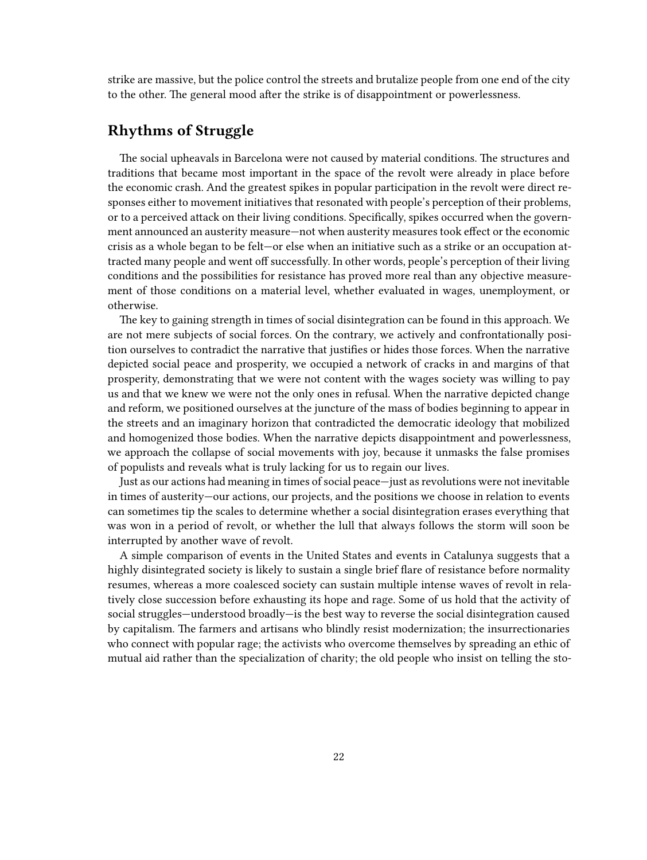strike are massive, but the police control the streets and brutalize people from one end of the city to the other. The general mood after the strike is of disappointment or powerlessness.

## <span id="page-21-0"></span>**Rhythms of Struggle**

The social upheavals in Barcelona were not caused by material conditions. The structures and traditions that became most important in the space of the revolt were already in place before the economic crash. And the greatest spikes in popular participation in the revolt were direct responses either to movement initiatives that resonated with people's perception of their problems, or to a perceived attack on their living conditions. Specifically, spikes occurred when the government announced an austerity measure—not when austerity measures took effect or the economic crisis as a whole began to be felt—or else when an initiative such as a strike or an occupation attracted many people and went off successfully. In other words, people's perception of their living conditions and the possibilities for resistance has proved more real than any objective measurement of those conditions on a material level, whether evaluated in wages, unemployment, or otherwise.

The key to gaining strength in times of social disintegration can be found in this approach. We are not mere subjects of social forces. On the contrary, we actively and confrontationally position ourselves to contradict the narrative that justifies or hides those forces. When the narrative depicted social peace and prosperity, we occupied a network of cracks in and margins of that prosperity, demonstrating that we were not content with the wages society was willing to pay us and that we knew we were not the only ones in refusal. When the narrative depicted change and reform, we positioned ourselves at the juncture of the mass of bodies beginning to appear in the streets and an imaginary horizon that contradicted the democratic ideology that mobilized and homogenized those bodies. When the narrative depicts disappointment and powerlessness, we approach the collapse of social movements with joy, because it unmasks the false promises of populists and reveals what is truly lacking for us to regain our lives.

Just as our actions had meaning in times of social peace—just as revolutions were not inevitable in times of austerity—our actions, our projects, and the positions we choose in relation to events can sometimes tip the scales to determine whether a social disintegration erases everything that was won in a period of revolt, or whether the lull that always follows the storm will soon be interrupted by another wave of revolt.

A simple comparison of events in the United States and events in Catalunya suggests that a highly disintegrated society is likely to sustain a single brief flare of resistance before normality resumes, whereas a more coalesced society can sustain multiple intense waves of revolt in relatively close succession before exhausting its hope and rage. Some of us hold that the activity of social struggles—understood broadly—is the best way to reverse the social disintegration caused by capitalism. The farmers and artisans who blindly resist modernization; the insurrectionaries who connect with popular rage; the activists who overcome themselves by spreading an ethic of mutual aid rather than the specialization of charity; the old people who insist on telling the sto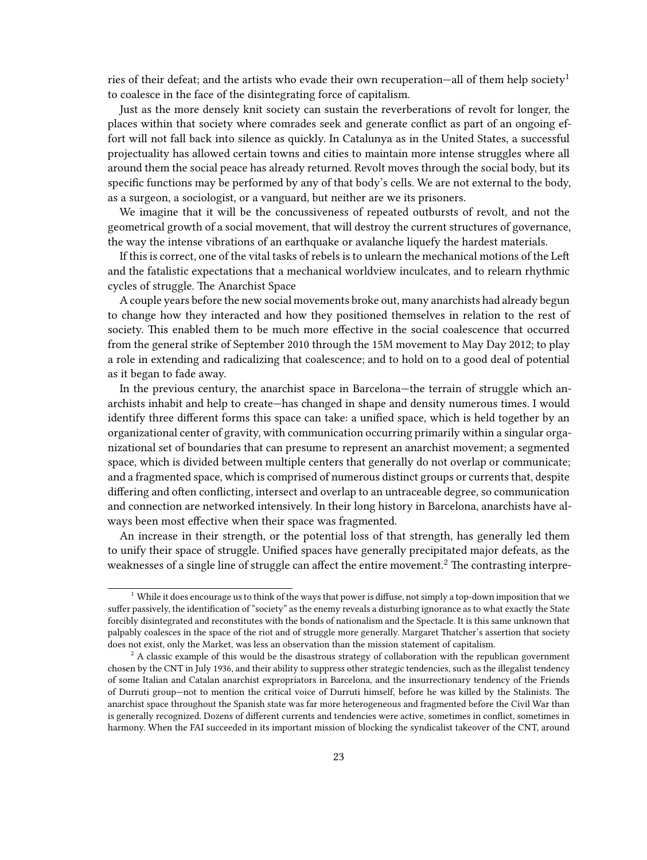ries of their defeat; and the artists who evade their own recuperation—all of them help society<sup>1</sup> to coalesce in the face of the disintegrating force of capitalism.

Just as the more densely knit society can sustain the reverberations of revolt for longer, the places within that society where comrades seek and generate conflict as part of an ongoing effort will not fall back into silence as quickly. In Catalunya as in the United States, a successful projectuality has allowed certain towns and cities to maintain more intense struggles where all around them the social peace has already returned. Revolt moves through the social body, but its specific functions may be performed by any of that body's cells. We are not external to the body, as a surgeon, a sociologist, or a vanguard, but neither are we its prisoners.

We imagine that it will be the concussiveness of repeated outbursts of revolt, and not the geometrical growth of a social movement, that will destroy the current structures of governance, the way the intense vibrations of an earthquake or avalanche liquefy the hardest materials.

If this is correct, one of the vital tasks of rebels is to unlearn the mechanical motions of the Left and the fatalistic expectations that a mechanical worldview inculcates, and to relearn rhythmic cycles of struggle. The Anarchist Space

A couple years before the new social movements broke out, many anarchists had already begun to change how they interacted and how they positioned themselves in relation to the rest of society. This enabled them to be much more effective in the social coalescence that occurred from the general strike of September 2010 through the 15M movement to May Day 2012; to play a role in extending and radicalizing that coalescence; and to hold on to a good deal of potential as it began to fade away.

In the previous century, the anarchist space in Barcelona—the terrain of struggle which anarchists inhabit and help to create—has changed in shape and density numerous times. I would identify three different forms this space can take: a unified space, which is held together by an organizational center of gravity, with communication occurring primarily within a singular organizational set of boundaries that can presume to represent an anarchist movement; a segmented space, which is divided between multiple centers that generally do not overlap or communicate; and a fragmented space, which is comprised of numerous distinct groups or currents that, despite differing and often conflicting, intersect and overlap to an untraceable degree, so communication and connection are networked intensively. In their long history in Barcelona, anarchists have always been most effective when their space was fragmented.

An increase in their strength, or the potential loss of that strength, has generally led them to unify their space of struggle. Unified spaces have generally precipitated major defeats, as the weaknesses of a single line of struggle can affect the entire movement.<sup>2</sup> The contrasting interpre-

 $1$  While it does encourage us to think of the ways that power is diffuse, not simply a top-down imposition that we suffer passively, the identification of "society" as the enemy reveals a disturbing ignorance as to what exactly the State forcibly disintegrated and reconstitutes with the bonds of nationalism and the Spectacle. It is this same unknown that palpably coalesces in the space of the riot and of struggle more generally. Margaret Thatcher's assertion that society does not exist, only the Market, was less an observation than the mission statement of capitalism.

 $2^2$  A classic example of this would be the disastrous strategy of collaboration with the republican government chosen by the CNT in July 1936, and their ability to suppress other strategic tendencies, such as the illegalist tendency of some Italian and Catalan anarchist expropriators in Barcelona, and the insurrectionary tendency of the Friends of Durruti group—not to mention the critical voice of Durruti himself, before he was killed by the Stalinists. The anarchist space throughout the Spanish state was far more heterogeneous and fragmented before the Civil War than is generally recognized. Dozens of different currents and tendencies were active, sometimes in conflict, sometimes in harmony. When the FAI succeeded in its important mission of blocking the syndicalist takeover of the CNT, around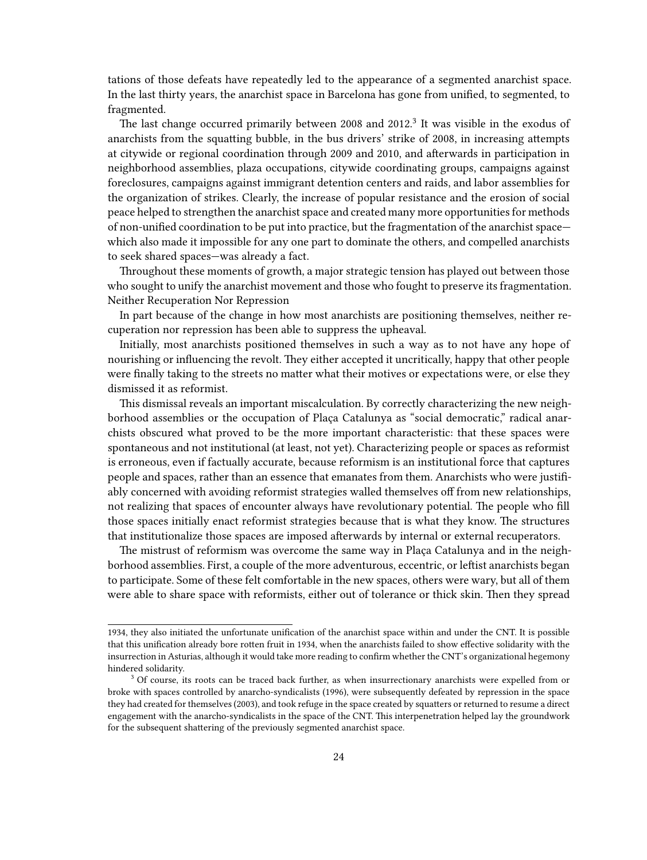tations of those defeats have repeatedly led to the appearance of a segmented anarchist space. In the last thirty years, the anarchist space in Barcelona has gone from unified, to segmented, to fragmented.

The last change occurred primarily between 2008 and 2012.<sup>3</sup> It was visible in the exodus of anarchists from the squatting bubble, in the bus drivers' strike of 2008, in increasing attempts at citywide or regional coordination through 2009 and 2010, and afterwards in participation in neighborhood assemblies, plaza occupations, citywide coordinating groups, campaigns against foreclosures, campaigns against immigrant detention centers and raids, and labor assemblies for the organization of strikes. Clearly, the increase of popular resistance and the erosion of social peace helped to strengthen the anarchist space and created many more opportunities for methods of non-unified coordination to be put into practice, but the fragmentation of the anarchist space which also made it impossible for any one part to dominate the others, and compelled anarchists to seek shared spaces—was already a fact.

Throughout these moments of growth, a major strategic tension has played out between those who sought to unify the anarchist movement and those who fought to preserve its fragmentation. Neither Recuperation Nor Repression

In part because of the change in how most anarchists are positioning themselves, neither recuperation nor repression has been able to suppress the upheaval.

Initially, most anarchists positioned themselves in such a way as to not have any hope of nourishing or influencing the revolt. They either accepted it uncritically, happy that other people were finally taking to the streets no matter what their motives or expectations were, or else they dismissed it as reformist.

This dismissal reveals an important miscalculation. By correctly characterizing the new neighborhood assemblies or the occupation of Plaça Catalunya as "social democratic," radical anarchists obscured what proved to be the more important characteristic: that these spaces were spontaneous and not institutional (at least, not yet). Characterizing people or spaces as reformist is erroneous, even if factually accurate, because reformism is an institutional force that captures people and spaces, rather than an essence that emanates from them. Anarchists who were justifiably concerned with avoiding reformist strategies walled themselves off from new relationships, not realizing that spaces of encounter always have revolutionary potential. The people who fill those spaces initially enact reformist strategies because that is what they know. The structures that institutionalize those spaces are imposed afterwards by internal or external recuperators.

The mistrust of reformism was overcome the same way in Plaça Catalunya and in the neighborhood assemblies. First, a couple of the more adventurous, eccentric, or leftist anarchists began to participate. Some of these felt comfortable in the new spaces, others were wary, but all of them were able to share space with reformists, either out of tolerance or thick skin. Then they spread

<sup>1934,</sup> they also initiated the unfortunate unification of the anarchist space within and under the CNT. It is possible that this unification already bore rotten fruit in 1934, when the anarchists failed to show effective solidarity with the insurrection in Asturias, although it would take more reading to confirm whether the CNT's organizational hegemony hindered solidarity.

<sup>&</sup>lt;sup>3</sup> Of course, its roots can be traced back further, as when insurrectionary anarchists were expelled from or broke with spaces controlled by anarcho-syndicalists (1996), were subsequently defeated by repression in the space they had created for themselves (2003), and took refuge in the space created by squatters or returned to resume a direct engagement with the anarcho-syndicalists in the space of the CNT. This interpenetration helped lay the groundwork for the subsequent shattering of the previously segmented anarchist space.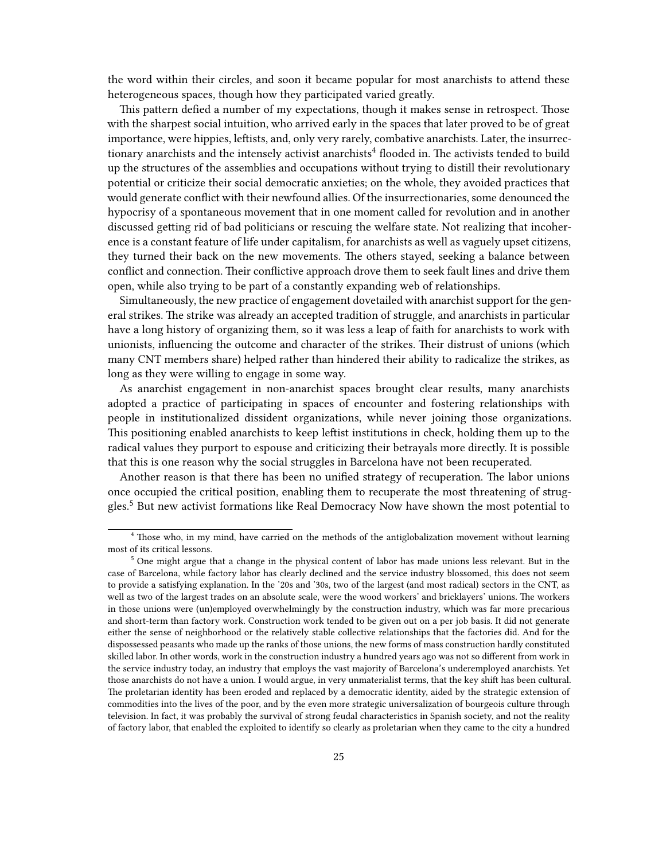the word within their circles, and soon it became popular for most anarchists to attend these heterogeneous spaces, though how they participated varied greatly.

This pattern defied a number of my expectations, though it makes sense in retrospect. Those with the sharpest social intuition, who arrived early in the spaces that later proved to be of great importance, were hippies, leftists, and, only very rarely, combative anarchists. Later, the insurrectionary anarchists and the intensely activist anarchists<sup>4</sup> flooded in. The activists tended to build up the structures of the assemblies and occupations without trying to distill their revolutionary potential or criticize their social democratic anxieties; on the whole, they avoided practices that would generate conflict with their newfound allies. Of the insurrectionaries, some denounced the hypocrisy of a spontaneous movement that in one moment called for revolution and in another discussed getting rid of bad politicians or rescuing the welfare state. Not realizing that incoherence is a constant feature of life under capitalism, for anarchists as well as vaguely upset citizens, they turned their back on the new movements. The others stayed, seeking a balance between conflict and connection. Their conflictive approach drove them to seek fault lines and drive them open, while also trying to be part of a constantly expanding web of relationships.

Simultaneously, the new practice of engagement dovetailed with anarchist support for the general strikes. The strike was already an accepted tradition of struggle, and anarchists in particular have a long history of organizing them, so it was less a leap of faith for anarchists to work with unionists, influencing the outcome and character of the strikes. Their distrust of unions (which many CNT members share) helped rather than hindered their ability to radicalize the strikes, as long as they were willing to engage in some way.

As anarchist engagement in non-anarchist spaces brought clear results, many anarchists adopted a practice of participating in spaces of encounter and fostering relationships with people in institutionalized dissident organizations, while never joining those organizations. This positioning enabled anarchists to keep leftist institutions in check, holding them up to the radical values they purport to espouse and criticizing their betrayals more directly. It is possible that this is one reason why the social struggles in Barcelona have not been recuperated.

Another reason is that there has been no unified strategy of recuperation. The labor unions once occupied the critical position, enabling them to recuperate the most threatening of struggles.<sup>5</sup> But new activist formations like Real Democracy Now have shown the most potential to

<sup>4</sup> Those who, in my mind, have carried on the methods of the antiglobalization movement without learning most of its critical lessons.

<sup>5</sup> One might argue that a change in the physical content of labor has made unions less relevant. But in the case of Barcelona, while factory labor has clearly declined and the service industry blossomed, this does not seem to provide a satisfying explanation. In the '20s and '30s, two of the largest (and most radical) sectors in the CNT, as well as two of the largest trades on an absolute scale, were the wood workers' and bricklayers' unions. The workers in those unions were (un)employed overwhelmingly by the construction industry, which was far more precarious and short-term than factory work. Construction work tended to be given out on a per job basis. It did not generate either the sense of neighborhood or the relatively stable collective relationships that the factories did. And for the dispossessed peasants who made up the ranks of those unions, the new forms of mass construction hardly constituted skilled labor. In other words, work in the construction industry a hundred years ago was not so different from work in the service industry today, an industry that employs the vast majority of Barcelona's underemployed anarchists. Yet those anarchists do not have a union. I would argue, in very unmaterialist terms, that the key shift has been cultural. The proletarian identity has been eroded and replaced by a democratic identity, aided by the strategic extension of commodities into the lives of the poor, and by the even more strategic universalization of bourgeois culture through television. In fact, it was probably the survival of strong feudal characteristics in Spanish society, and not the reality of factory labor, that enabled the exploited to identify so clearly as proletarian when they came to the city a hundred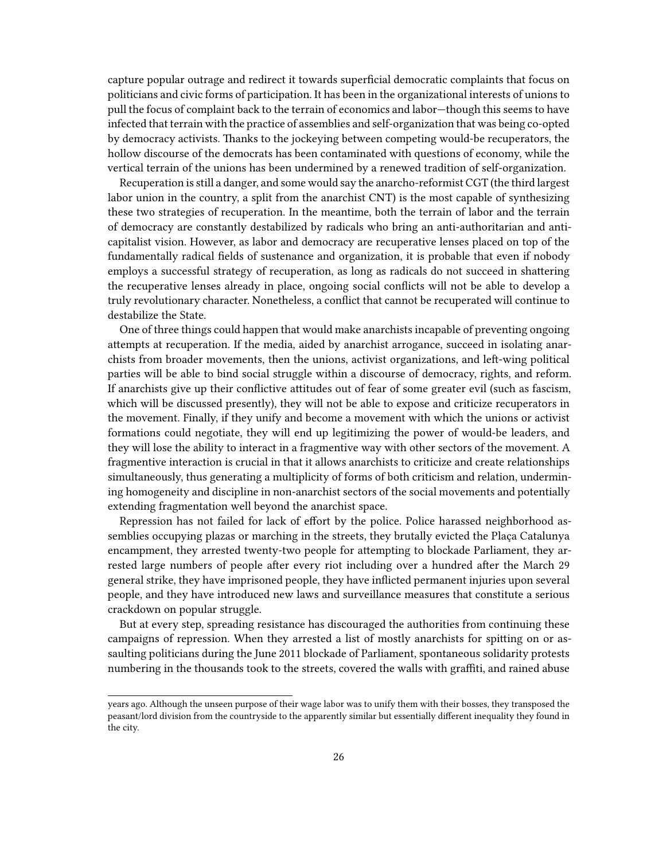capture popular outrage and redirect it towards superficial democratic complaints that focus on politicians and civic forms of participation. It has been in the organizational interests of unions to pull the focus of complaint back to the terrain of economics and labor—though this seems to have infected that terrain with the practice of assemblies and self-organization that was being co-opted by democracy activists. Thanks to the jockeying between competing would-be recuperators, the hollow discourse of the democrats has been contaminated with questions of economy, while the vertical terrain of the unions has been undermined by a renewed tradition of self-organization.

Recuperation is still a danger, and some would say the anarcho-reformist CGT (the third largest labor union in the country, a split from the anarchist CNT) is the most capable of synthesizing these two strategies of recuperation. In the meantime, both the terrain of labor and the terrain of democracy are constantly destabilized by radicals who bring an anti-authoritarian and anticapitalist vision. However, as labor and democracy are recuperative lenses placed on top of the fundamentally radical fields of sustenance and organization, it is probable that even if nobody employs a successful strategy of recuperation, as long as radicals do not succeed in shattering the recuperative lenses already in place, ongoing social conflicts will not be able to develop a truly revolutionary character. Nonetheless, a conflict that cannot be recuperated will continue to destabilize the State.

One of three things could happen that would make anarchists incapable of preventing ongoing attempts at recuperation. If the media, aided by anarchist arrogance, succeed in isolating anarchists from broader movements, then the unions, activist organizations, and left-wing political parties will be able to bind social struggle within a discourse of democracy, rights, and reform. If anarchists give up their conflictive attitudes out of fear of some greater evil (such as fascism, which will be discussed presently), they will not be able to expose and criticize recuperators in the movement. Finally, if they unify and become a movement with which the unions or activist formations could negotiate, they will end up legitimizing the power of would-be leaders, and they will lose the ability to interact in a fragmentive way with other sectors of the movement. A fragmentive interaction is crucial in that it allows anarchists to criticize and create relationships simultaneously, thus generating a multiplicity of forms of both criticism and relation, undermining homogeneity and discipline in non-anarchist sectors of the social movements and potentially extending fragmentation well beyond the anarchist space.

Repression has not failed for lack of effort by the police. Police harassed neighborhood assemblies occupying plazas or marching in the streets, they brutally evicted the Plaça Catalunya encampment, they arrested twenty-two people for attempting to blockade Parliament, they arrested large numbers of people after every riot including over a hundred after the March 29 general strike, they have imprisoned people, they have inflicted permanent injuries upon several people, and they have introduced new laws and surveillance measures that constitute a serious crackdown on popular struggle.

But at every step, spreading resistance has discouraged the authorities from continuing these campaigns of repression. When they arrested a list of mostly anarchists for spitting on or assaulting politicians during the June 2011 blockade of Parliament, spontaneous solidarity protests numbering in the thousands took to the streets, covered the walls with graffiti, and rained abuse

years ago. Although the unseen purpose of their wage labor was to unify them with their bosses, they transposed the peasant/lord division from the countryside to the apparently similar but essentially different inequality they found in the city.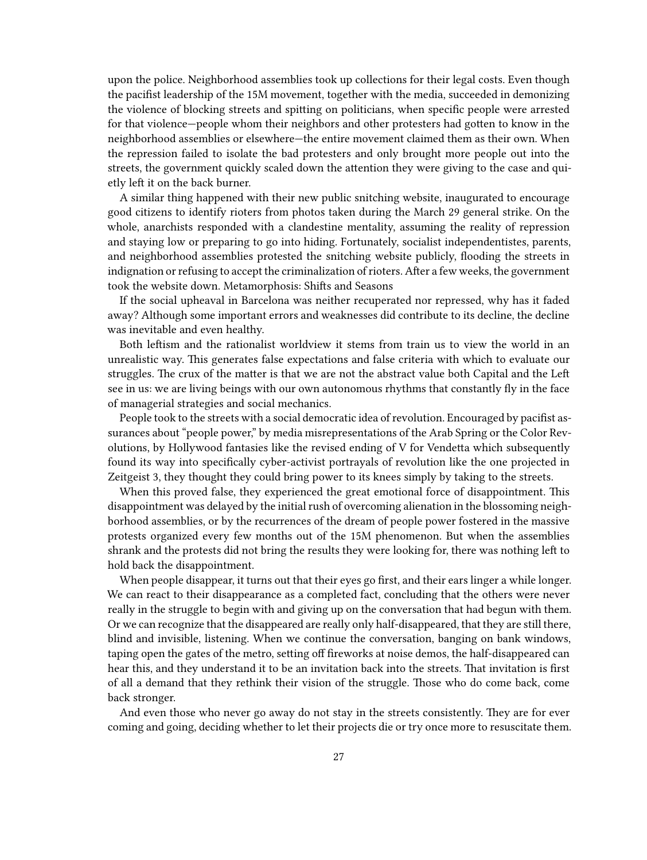upon the police. Neighborhood assemblies took up collections for their legal costs. Even though the pacifist leadership of the 15M movement, together with the media, succeeded in demonizing the violence of blocking streets and spitting on politicians, when specific people were arrested for that violence—people whom their neighbors and other protesters had gotten to know in the neighborhood assemblies or elsewhere—the entire movement claimed them as their own. When the repression failed to isolate the bad protesters and only brought more people out into the streets, the government quickly scaled down the attention they were giving to the case and quietly left it on the back burner.

A similar thing happened with their new public snitching website, inaugurated to encourage good citizens to identify rioters from photos taken during the March 29 general strike. On the whole, anarchists responded with a clandestine mentality, assuming the reality of repression and staying low or preparing to go into hiding. Fortunately, socialist independentistes, parents, and neighborhood assemblies protested the snitching website publicly, flooding the streets in indignation or refusing to accept the criminalization of rioters. After a few weeks, the government took the website down. Metamorphosis: Shifts and Seasons

If the social upheaval in Barcelona was neither recuperated nor repressed, why has it faded away? Although some important errors and weaknesses did contribute to its decline, the decline was inevitable and even healthy.

Both leftism and the rationalist worldview it stems from train us to view the world in an unrealistic way. This generates false expectations and false criteria with which to evaluate our struggles. The crux of the matter is that we are not the abstract value both Capital and the Left see in us: we are living beings with our own autonomous rhythms that constantly fly in the face of managerial strategies and social mechanics.

People took to the streets with a social democratic idea of revolution. Encouraged by pacifist assurances about "people power," by media misrepresentations of the Arab Spring or the Color Revolutions, by Hollywood fantasies like the revised ending of V for Vendetta which subsequently found its way into specifically cyber-activist portrayals of revolution like the one projected in Zeitgeist 3, they thought they could bring power to its knees simply by taking to the streets.

When this proved false, they experienced the great emotional force of disappointment. This disappointment was delayed by the initial rush of overcoming alienation in the blossoming neighborhood assemblies, or by the recurrences of the dream of people power fostered in the massive protests organized every few months out of the 15M phenomenon. But when the assemblies shrank and the protests did not bring the results they were looking for, there was nothing left to hold back the disappointment.

When people disappear, it turns out that their eyes go first, and their ears linger a while longer. We can react to their disappearance as a completed fact, concluding that the others were never really in the struggle to begin with and giving up on the conversation that had begun with them. Or we can recognize that the disappeared are really only half-disappeared, that they are still there, blind and invisible, listening. When we continue the conversation, banging on bank windows, taping open the gates of the metro, setting off fireworks at noise demos, the half-disappeared can hear this, and they understand it to be an invitation back into the streets. That invitation is first of all a demand that they rethink their vision of the struggle. Those who do come back, come back stronger.

And even those who never go away do not stay in the streets consistently. They are for ever coming and going, deciding whether to let their projects die or try once more to resuscitate them.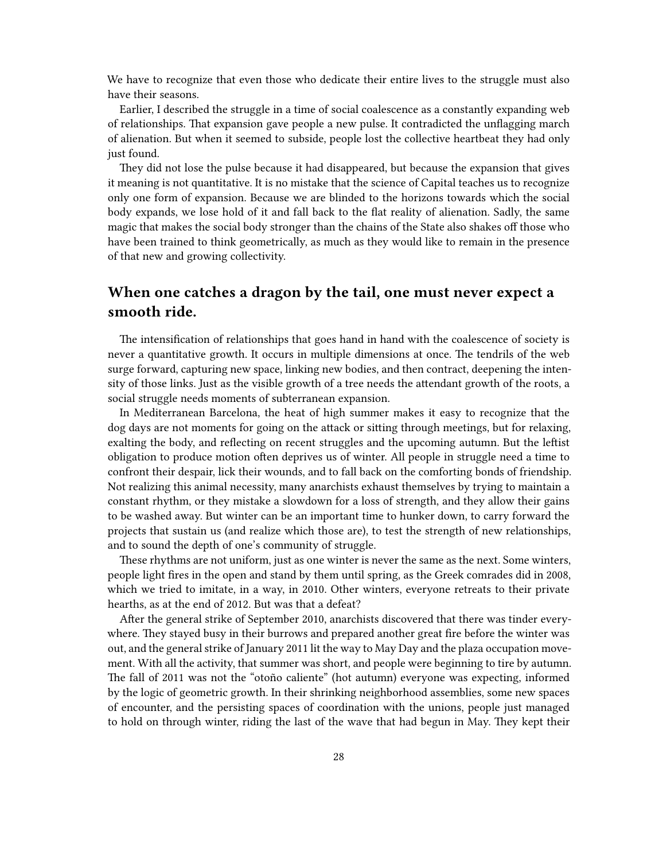We have to recognize that even those who dedicate their entire lives to the struggle must also have their seasons.

Earlier, I described the struggle in a time of social coalescence as a constantly expanding web of relationships. That expansion gave people a new pulse. It contradicted the unflagging march of alienation. But when it seemed to subside, people lost the collective heartbeat they had only just found.

They did not lose the pulse because it had disappeared, but because the expansion that gives it meaning is not quantitative. It is no mistake that the science of Capital teaches us to recognize only one form of expansion. Because we are blinded to the horizons towards which the social body expands, we lose hold of it and fall back to the flat reality of alienation. Sadly, the same magic that makes the social body stronger than the chains of the State also shakes off those who have been trained to think geometrically, as much as they would like to remain in the presence of that new and growing collectivity.

# <span id="page-27-0"></span>**When one catches a dragon by the tail, one must never expect a smooth ride.**

The intensification of relationships that goes hand in hand with the coalescence of society is never a quantitative growth. It occurs in multiple dimensions at once. The tendrils of the web surge forward, capturing new space, linking new bodies, and then contract, deepening the intensity of those links. Just as the visible growth of a tree needs the attendant growth of the roots, a social struggle needs moments of subterranean expansion.

In Mediterranean Barcelona, the heat of high summer makes it easy to recognize that the dog days are not moments for going on the attack or sitting through meetings, but for relaxing, exalting the body, and reflecting on recent struggles and the upcoming autumn. But the leftist obligation to produce motion often deprives us of winter. All people in struggle need a time to confront their despair, lick their wounds, and to fall back on the comforting bonds of friendship. Not realizing this animal necessity, many anarchists exhaust themselves by trying to maintain a constant rhythm, or they mistake a slowdown for a loss of strength, and they allow their gains to be washed away. But winter can be an important time to hunker down, to carry forward the projects that sustain us (and realize which those are), to test the strength of new relationships, and to sound the depth of one's community of struggle.

These rhythms are not uniform, just as one winter is never the same as the next. Some winters, people light fires in the open and stand by them until spring, as the Greek comrades did in 2008, which we tried to imitate, in a way, in 2010. Other winters, everyone retreats to their private hearths, as at the end of 2012. But was that a defeat?

After the general strike of September 2010, anarchists discovered that there was tinder everywhere. They stayed busy in their burrows and prepared another great fire before the winter was out, and the general strike of January 2011 lit the way to May Day and the plaza occupation movement. With all the activity, that summer was short, and people were beginning to tire by autumn. The fall of 2011 was not the "otoño caliente" (hot autumn) everyone was expecting, informed by the logic of geometric growth. In their shrinking neighborhood assemblies, some new spaces of encounter, and the persisting spaces of coordination with the unions, people just managed to hold on through winter, riding the last of the wave that had begun in May. They kept their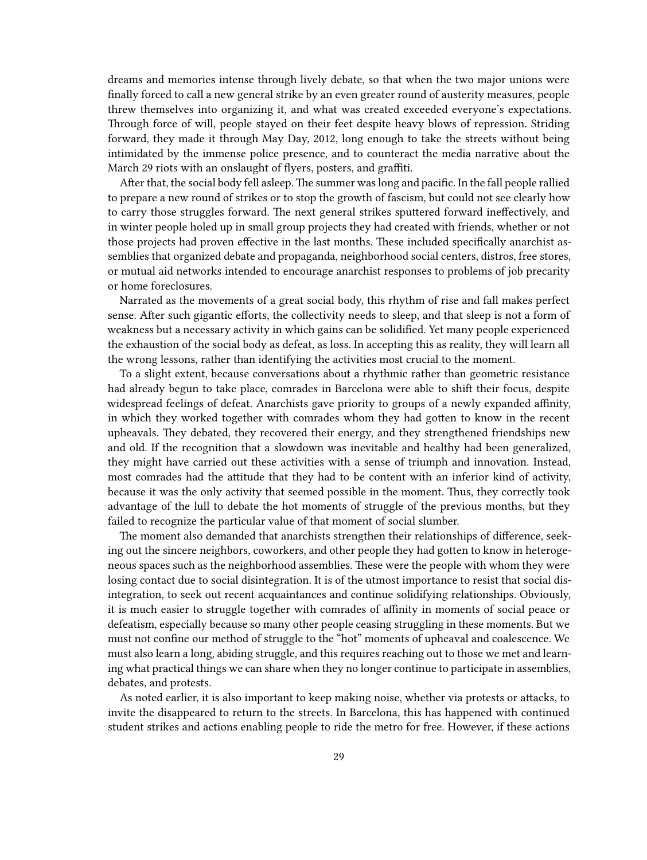dreams and memories intense through lively debate, so that when the two major unions were finally forced to call a new general strike by an even greater round of austerity measures, people threw themselves into organizing it, and what was created exceeded everyone's expectations. Through force of will, people stayed on their feet despite heavy blows of repression. Striding forward, they made it through May Day, 2012, long enough to take the streets without being intimidated by the immense police presence, and to counteract the media narrative about the March 29 riots with an onslaught of flyers, posters, and graffiti.

After that, the social body fell asleep. The summer was long and pacific. In the fall people rallied to prepare a new round of strikes or to stop the growth of fascism, but could not see clearly how to carry those struggles forward. The next general strikes sputtered forward ineffectively, and in winter people holed up in small group projects they had created with friends, whether or not those projects had proven effective in the last months. These included specifically anarchist assemblies that organized debate and propaganda, neighborhood social centers, distros, free stores, or mutual aid networks intended to encourage anarchist responses to problems of job precarity or home foreclosures.

Narrated as the movements of a great social body, this rhythm of rise and fall makes perfect sense. After such gigantic efforts, the collectivity needs to sleep, and that sleep is not a form of weakness but a necessary activity in which gains can be solidified. Yet many people experienced the exhaustion of the social body as defeat, as loss. In accepting this as reality, they will learn all the wrong lessons, rather than identifying the activities most crucial to the moment.

To a slight extent, because conversations about a rhythmic rather than geometric resistance had already begun to take place, comrades in Barcelona were able to shift their focus, despite widespread feelings of defeat. Anarchists gave priority to groups of a newly expanded affinity, in which they worked together with comrades whom they had gotten to know in the recent upheavals. They debated, they recovered their energy, and they strengthened friendships new and old. If the recognition that a slowdown was inevitable and healthy had been generalized, they might have carried out these activities with a sense of triumph and innovation. Instead, most comrades had the attitude that they had to be content with an inferior kind of activity, because it was the only activity that seemed possible in the moment. Thus, they correctly took advantage of the lull to debate the hot moments of struggle of the previous months, but they failed to recognize the particular value of that moment of social slumber.

The moment also demanded that anarchists strengthen their relationships of difference, seeking out the sincere neighbors, coworkers, and other people they had gotten to know in heterogeneous spaces such as the neighborhood assemblies. These were the people with whom they were losing contact due to social disintegration. It is of the utmost importance to resist that social disintegration, to seek out recent acquaintances and continue solidifying relationships. Obviously, it is much easier to struggle together with comrades of affinity in moments of social peace or defeatism, especially because so many other people ceasing struggling in these moments. But we must not confine our method of struggle to the "hot" moments of upheaval and coalescence. We must also learn a long, abiding struggle, and this requires reaching out to those we met and learning what practical things we can share when they no longer continue to participate in assemblies, debates, and protests.

As noted earlier, it is also important to keep making noise, whether via protests or attacks, to invite the disappeared to return to the streets. In Barcelona, this has happened with continued student strikes and actions enabling people to ride the metro for free. However, if these actions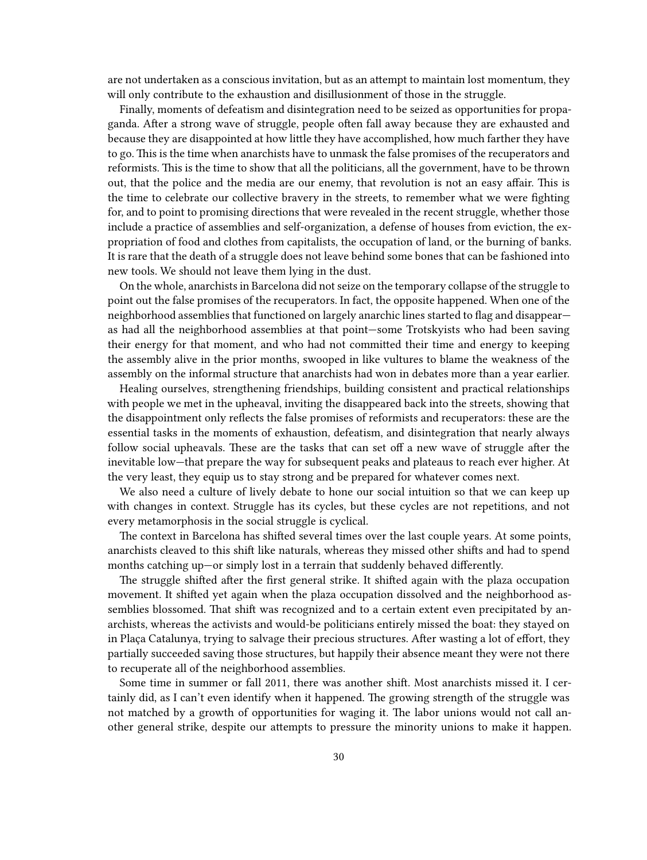are not undertaken as a conscious invitation, but as an attempt to maintain lost momentum, they will only contribute to the exhaustion and disillusionment of those in the struggle.

Finally, moments of defeatism and disintegration need to be seized as opportunities for propaganda. After a strong wave of struggle, people often fall away because they are exhausted and because they are disappointed at how little they have accomplished, how much farther they have to go. This is the time when anarchists have to unmask the false promises of the recuperators and reformists. This is the time to show that all the politicians, all the government, have to be thrown out, that the police and the media are our enemy, that revolution is not an easy affair. This is the time to celebrate our collective bravery in the streets, to remember what we were fighting for, and to point to promising directions that were revealed in the recent struggle, whether those include a practice of assemblies and self-organization, a defense of houses from eviction, the expropriation of food and clothes from capitalists, the occupation of land, or the burning of banks. It is rare that the death of a struggle does not leave behind some bones that can be fashioned into new tools. We should not leave them lying in the dust.

On the whole, anarchists in Barcelona did not seize on the temporary collapse of the struggle to point out the false promises of the recuperators. In fact, the opposite happened. When one of the neighborhood assemblies that functioned on largely anarchic lines started to flag and disappear as had all the neighborhood assemblies at that point—some Trotskyists who had been saving their energy for that moment, and who had not committed their time and energy to keeping the assembly alive in the prior months, swooped in like vultures to blame the weakness of the assembly on the informal structure that anarchists had won in debates more than a year earlier.

Healing ourselves, strengthening friendships, building consistent and practical relationships with people we met in the upheaval, inviting the disappeared back into the streets, showing that the disappointment only reflects the false promises of reformists and recuperators: these are the essential tasks in the moments of exhaustion, defeatism, and disintegration that nearly always follow social upheavals. These are the tasks that can set off a new wave of struggle after the inevitable low—that prepare the way for subsequent peaks and plateaus to reach ever higher. At the very least, they equip us to stay strong and be prepared for whatever comes next.

We also need a culture of lively debate to hone our social intuition so that we can keep up with changes in context. Struggle has its cycles, but these cycles are not repetitions, and not every metamorphosis in the social struggle is cyclical.

The context in Barcelona has shifted several times over the last couple years. At some points, anarchists cleaved to this shift like naturals, whereas they missed other shifts and had to spend months catching up—or simply lost in a terrain that suddenly behaved differently.

The struggle shifted after the first general strike. It shifted again with the plaza occupation movement. It shifted yet again when the plaza occupation dissolved and the neighborhood assemblies blossomed. That shift was recognized and to a certain extent even precipitated by anarchists, whereas the activists and would-be politicians entirely missed the boat: they stayed on in Plaça Catalunya, trying to salvage their precious structures. After wasting a lot of effort, they partially succeeded saving those structures, but happily their absence meant they were not there to recuperate all of the neighborhood assemblies.

Some time in summer or fall 2011, there was another shift. Most anarchists missed it. I certainly did, as I can't even identify when it happened. The growing strength of the struggle was not matched by a growth of opportunities for waging it. The labor unions would not call another general strike, despite our attempts to pressure the minority unions to make it happen.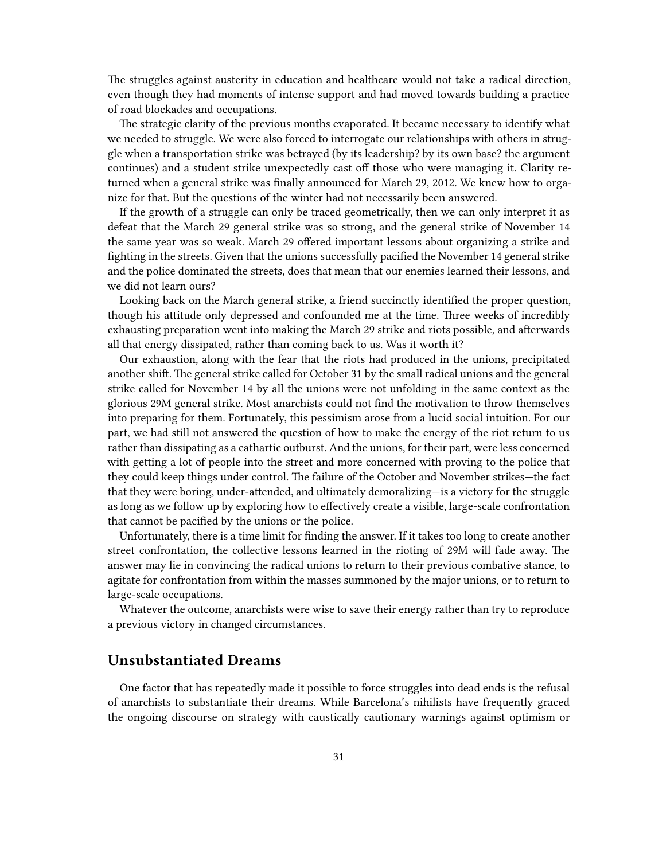The struggles against austerity in education and healthcare would not take a radical direction, even though they had moments of intense support and had moved towards building a practice of road blockades and occupations.

The strategic clarity of the previous months evaporated. It became necessary to identify what we needed to struggle. We were also forced to interrogate our relationships with others in struggle when a transportation strike was betrayed (by its leadership? by its own base? the argument continues) and a student strike unexpectedly cast off those who were managing it. Clarity returned when a general strike was finally announced for March 29, 2012. We knew how to organize for that. But the questions of the winter had not necessarily been answered.

If the growth of a struggle can only be traced geometrically, then we can only interpret it as defeat that the March 29 general strike was so strong, and the general strike of November 14 the same year was so weak. March 29 offered important lessons about organizing a strike and fighting in the streets. Given that the unions successfully pacified the November 14 general strike and the police dominated the streets, does that mean that our enemies learned their lessons, and we did not learn ours?

Looking back on the March general strike, a friend succinctly identified the proper question, though his attitude only depressed and confounded me at the time. Three weeks of incredibly exhausting preparation went into making the March 29 strike and riots possible, and afterwards all that energy dissipated, rather than coming back to us. Was it worth it?

Our exhaustion, along with the fear that the riots had produced in the unions, precipitated another shift. The general strike called for October 31 by the small radical unions and the general strike called for November 14 by all the unions were not unfolding in the same context as the glorious 29M general strike. Most anarchists could not find the motivation to throw themselves into preparing for them. Fortunately, this pessimism arose from a lucid social intuition. For our part, we had still not answered the question of how to make the energy of the riot return to us rather than dissipating as a cathartic outburst. And the unions, for their part, were less concerned with getting a lot of people into the street and more concerned with proving to the police that they could keep things under control. The failure of the October and November strikes—the fact that they were boring, under-attended, and ultimately demoralizing—is a victory for the struggle as long as we follow up by exploring how to effectively create a visible, large-scale confrontation that cannot be pacified by the unions or the police.

Unfortunately, there is a time limit for finding the answer. If it takes too long to create another street confrontation, the collective lessons learned in the rioting of 29M will fade away. The answer may lie in convincing the radical unions to return to their previous combative stance, to agitate for confrontation from within the masses summoned by the major unions, or to return to large-scale occupations.

Whatever the outcome, anarchists were wise to save their energy rather than try to reproduce a previous victory in changed circumstances.

#### <span id="page-30-0"></span>**Unsubstantiated Dreams**

One factor that has repeatedly made it possible to force struggles into dead ends is the refusal of anarchists to substantiate their dreams. While Barcelona's nihilists have frequently graced the ongoing discourse on strategy with caustically cautionary warnings against optimism or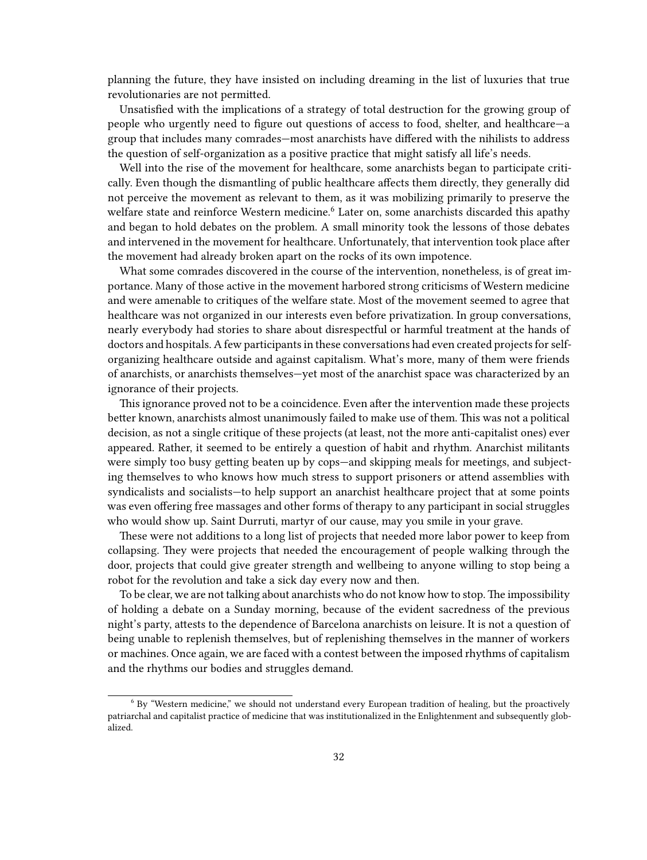planning the future, they have insisted on including dreaming in the list of luxuries that true revolutionaries are not permitted.

Unsatisfied with the implications of a strategy of total destruction for the growing group of people who urgently need to figure out questions of access to food, shelter, and healthcare—a group that includes many comrades—most anarchists have differed with the nihilists to address the question of self-organization as a positive practice that might satisfy all life's needs.

Well into the rise of the movement for healthcare, some anarchists began to participate critically. Even though the dismantling of public healthcare affects them directly, they generally did not perceive the movement as relevant to them, as it was mobilizing primarily to preserve the welfare state and reinforce Western medicine.<sup>6</sup> Later on, some anarchists discarded this apathy and began to hold debates on the problem. A small minority took the lessons of those debates and intervened in the movement for healthcare. Unfortunately, that intervention took place after the movement had already broken apart on the rocks of its own impotence.

What some comrades discovered in the course of the intervention, nonetheless, is of great importance. Many of those active in the movement harbored strong criticisms of Western medicine and were amenable to critiques of the welfare state. Most of the movement seemed to agree that healthcare was not organized in our interests even before privatization. In group conversations, nearly everybody had stories to share about disrespectful or harmful treatment at the hands of doctors and hospitals. A few participants in these conversations had even created projects for selforganizing healthcare outside and against capitalism. What's more, many of them were friends of anarchists, or anarchists themselves—yet most of the anarchist space was characterized by an ignorance of their projects.

This ignorance proved not to be a coincidence. Even after the intervention made these projects better known, anarchists almost unanimously failed to make use of them. This was not a political decision, as not a single critique of these projects (at least, not the more anti-capitalist ones) ever appeared. Rather, it seemed to be entirely a question of habit and rhythm. Anarchist militants were simply too busy getting beaten up by cops—and skipping meals for meetings, and subjecting themselves to who knows how much stress to support prisoners or attend assemblies with syndicalists and socialists—to help support an anarchist healthcare project that at some points was even offering free massages and other forms of therapy to any participant in social struggles who would show up. Saint Durruti, martyr of our cause, may you smile in your grave.

These were not additions to a long list of projects that needed more labor power to keep from collapsing. They were projects that needed the encouragement of people walking through the door, projects that could give greater strength and wellbeing to anyone willing to stop being a robot for the revolution and take a sick day every now and then.

To be clear, we are not talking about anarchists who do not know how to stop.The impossibility of holding a debate on a Sunday morning, because of the evident sacredness of the previous night's party, attests to the dependence of Barcelona anarchists on leisure. It is not a question of being unable to replenish themselves, but of replenishing themselves in the manner of workers or machines. Once again, we are faced with a contest between the imposed rhythms of capitalism and the rhythms our bodies and struggles demand.

<sup>6</sup> By "Western medicine," we should not understand every European tradition of healing, but the proactively patriarchal and capitalist practice of medicine that was institutionalized in the Enlightenment and subsequently globalized.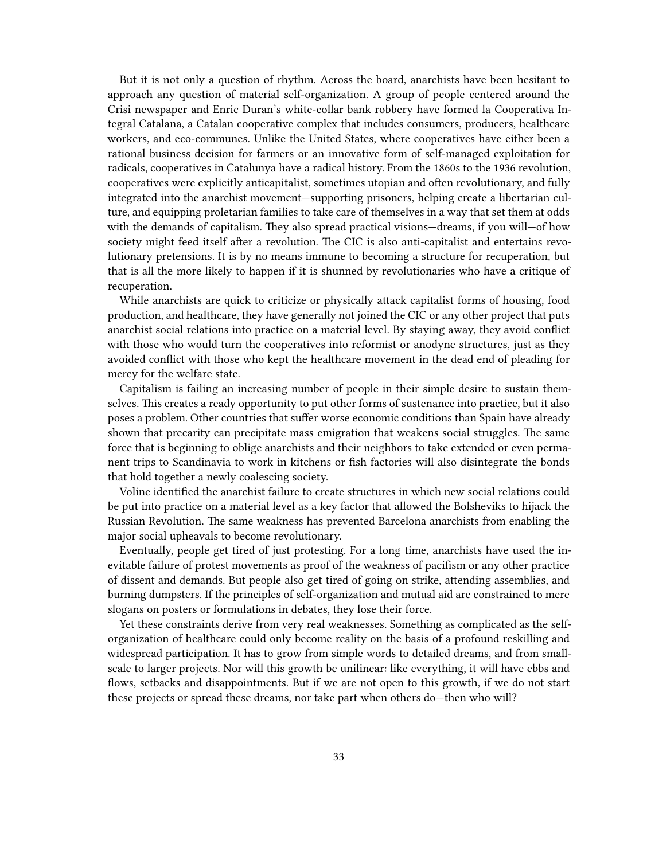But it is not only a question of rhythm. Across the board, anarchists have been hesitant to approach any question of material self-organization. A group of people centered around the Crisi newspaper and Enric Duran's white-collar bank robbery have formed la Cooperativa Integral Catalana, a Catalan cooperative complex that includes consumers, producers, healthcare workers, and eco-communes. Unlike the United States, where cooperatives have either been a rational business decision for farmers or an innovative form of self-managed exploitation for radicals, cooperatives in Catalunya have a radical history. From the 1860s to the 1936 revolution, cooperatives were explicitly anticapitalist, sometimes utopian and often revolutionary, and fully integrated into the anarchist movement—supporting prisoners, helping create a libertarian culture, and equipping proletarian families to take care of themselves in a way that set them at odds with the demands of capitalism. They also spread practical visions—dreams, if you will—of how society might feed itself after a revolution. The CIC is also anti-capitalist and entertains revolutionary pretensions. It is by no means immune to becoming a structure for recuperation, but that is all the more likely to happen if it is shunned by revolutionaries who have a critique of recuperation.

While anarchists are quick to criticize or physically attack capitalist forms of housing, food production, and healthcare, they have generally not joined the CIC or any other project that puts anarchist social relations into practice on a material level. By staying away, they avoid conflict with those who would turn the cooperatives into reformist or anodyne structures, just as they avoided conflict with those who kept the healthcare movement in the dead end of pleading for mercy for the welfare state.

Capitalism is failing an increasing number of people in their simple desire to sustain themselves. This creates a ready opportunity to put other forms of sustenance into practice, but it also poses a problem. Other countries that suffer worse economic conditions than Spain have already shown that precarity can precipitate mass emigration that weakens social struggles. The same force that is beginning to oblige anarchists and their neighbors to take extended or even permanent trips to Scandinavia to work in kitchens or fish factories will also disintegrate the bonds that hold together a newly coalescing society.

Voline identified the anarchist failure to create structures in which new social relations could be put into practice on a material level as a key factor that allowed the Bolsheviks to hijack the Russian Revolution. The same weakness has prevented Barcelona anarchists from enabling the major social upheavals to become revolutionary.

Eventually, people get tired of just protesting. For a long time, anarchists have used the inevitable failure of protest movements as proof of the weakness of pacifism or any other practice of dissent and demands. But people also get tired of going on strike, attending assemblies, and burning dumpsters. If the principles of self-organization and mutual aid are constrained to mere slogans on posters or formulations in debates, they lose their force.

Yet these constraints derive from very real weaknesses. Something as complicated as the selforganization of healthcare could only become reality on the basis of a profound reskilling and widespread participation. It has to grow from simple words to detailed dreams, and from smallscale to larger projects. Nor will this growth be unilinear: like everything, it will have ebbs and flows, setbacks and disappointments. But if we are not open to this growth, if we do not start these projects or spread these dreams, nor take part when others do—then who will?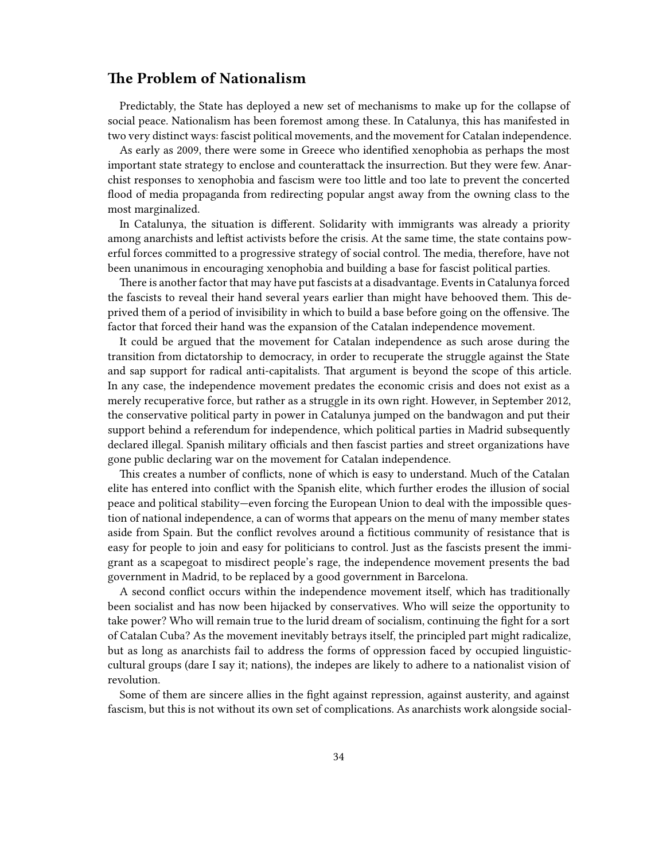### <span id="page-33-0"></span>**The Problem of Nationalism**

Predictably, the State has deployed a new set of mechanisms to make up for the collapse of social peace. Nationalism has been foremost among these. In Catalunya, this has manifested in two very distinct ways: fascist political movements, and the movement for Catalan independence.

As early as 2009, there were some in Greece who identified xenophobia as perhaps the most important state strategy to enclose and counterattack the insurrection. But they were few. Anarchist responses to xenophobia and fascism were too little and too late to prevent the concerted flood of media propaganda from redirecting popular angst away from the owning class to the most marginalized.

In Catalunya, the situation is different. Solidarity with immigrants was already a priority among anarchists and leftist activists before the crisis. At the same time, the state contains powerful forces committed to a progressive strategy of social control. The media, therefore, have not been unanimous in encouraging xenophobia and building a base for fascist political parties.

There is another factor that may have put fascists at a disadvantage. Events in Catalunya forced the fascists to reveal their hand several years earlier than might have behooved them. This deprived them of a period of invisibility in which to build a base before going on the offensive. The factor that forced their hand was the expansion of the Catalan independence movement.

It could be argued that the movement for Catalan independence as such arose during the transition from dictatorship to democracy, in order to recuperate the struggle against the State and sap support for radical anti-capitalists. That argument is beyond the scope of this article. In any case, the independence movement predates the economic crisis and does not exist as a merely recuperative force, but rather as a struggle in its own right. However, in September 2012, the conservative political party in power in Catalunya jumped on the bandwagon and put their support behind a referendum for independence, which political parties in Madrid subsequently declared illegal. Spanish military officials and then fascist parties and street organizations have gone public declaring war on the movement for Catalan independence.

This creates a number of conflicts, none of which is easy to understand. Much of the Catalan elite has entered into conflict with the Spanish elite, which further erodes the illusion of social peace and political stability—even forcing the European Union to deal with the impossible question of national independence, a can of worms that appears on the menu of many member states aside from Spain. But the conflict revolves around a fictitious community of resistance that is easy for people to join and easy for politicians to control. Just as the fascists present the immigrant as a scapegoat to misdirect people's rage, the independence movement presents the bad government in Madrid, to be replaced by a good government in Barcelona.

A second conflict occurs within the independence movement itself, which has traditionally been socialist and has now been hijacked by conservatives. Who will seize the opportunity to take power? Who will remain true to the lurid dream of socialism, continuing the fight for a sort of Catalan Cuba? As the movement inevitably betrays itself, the principled part might radicalize, but as long as anarchists fail to address the forms of oppression faced by occupied linguisticcultural groups (dare I say it; nations), the indepes are likely to adhere to a nationalist vision of revolution.

Some of them are sincere allies in the fight against repression, against austerity, and against fascism, but this is not without its own set of complications. As anarchists work alongside social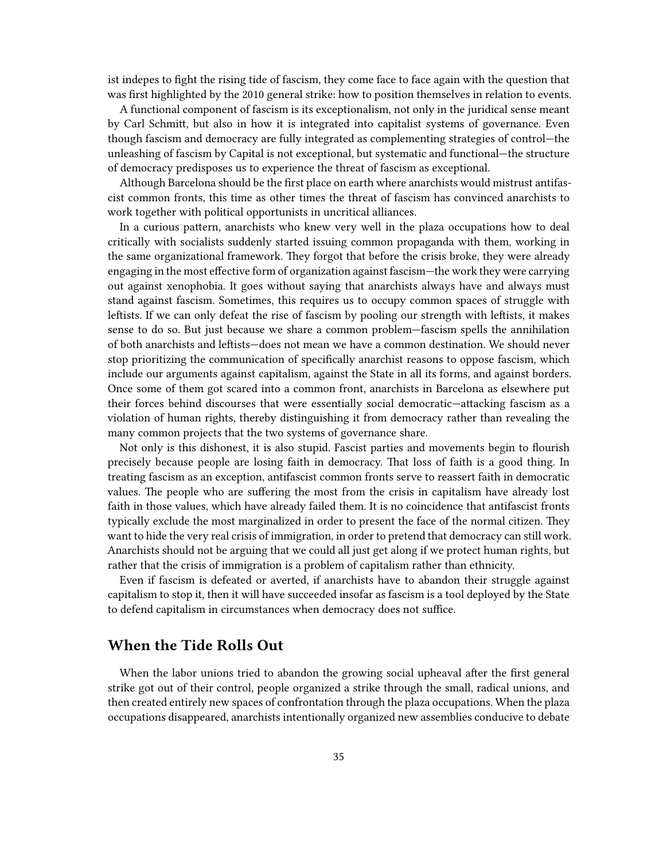ist indepes to fight the rising tide of fascism, they come face to face again with the question that was first highlighted by the 2010 general strike: how to position themselves in relation to events.

A functional component of fascism is its exceptionalism, not only in the juridical sense meant by Carl Schmitt, but also in how it is integrated into capitalist systems of governance. Even though fascism and democracy are fully integrated as complementing strategies of control—the unleashing of fascism by Capital is not exceptional, but systematic and functional—the structure of democracy predisposes us to experience the threat of fascism as exceptional.

Although Barcelona should be the first place on earth where anarchists would mistrust antifascist common fronts, this time as other times the threat of fascism has convinced anarchists to work together with political opportunists in uncritical alliances.

In a curious pattern, anarchists who knew very well in the plaza occupations how to deal critically with socialists suddenly started issuing common propaganda with them, working in the same organizational framework. They forgot that before the crisis broke, they were already engaging in the most effective form of organization against fascism—the work they were carrying out against xenophobia. It goes without saying that anarchists always have and always must stand against fascism. Sometimes, this requires us to occupy common spaces of struggle with leftists. If we can only defeat the rise of fascism by pooling our strength with leftists, it makes sense to do so. But just because we share a common problem—fascism spells the annihilation of both anarchists and leftists—does not mean we have a common destination. We should never stop prioritizing the communication of specifically anarchist reasons to oppose fascism, which include our arguments against capitalism, against the State in all its forms, and against borders. Once some of them got scared into a common front, anarchists in Barcelona as elsewhere put their forces behind discourses that were essentially social democratic—attacking fascism as a violation of human rights, thereby distinguishing it from democracy rather than revealing the many common projects that the two systems of governance share.

Not only is this dishonest, it is also stupid. Fascist parties and movements begin to flourish precisely because people are losing faith in democracy. That loss of faith is a good thing. In treating fascism as an exception, antifascist common fronts serve to reassert faith in democratic values. The people who are suffering the most from the crisis in capitalism have already lost faith in those values, which have already failed them. It is no coincidence that antifascist fronts typically exclude the most marginalized in order to present the face of the normal citizen. They want to hide the very real crisis of immigration, in order to pretend that democracy can still work. Anarchists should not be arguing that we could all just get along if we protect human rights, but rather that the crisis of immigration is a problem of capitalism rather than ethnicity.

Even if fascism is defeated or averted, if anarchists have to abandon their struggle against capitalism to stop it, then it will have succeeded insofar as fascism is a tool deployed by the State to defend capitalism in circumstances when democracy does not suffice.

#### <span id="page-34-0"></span>**When the Tide Rolls Out**

When the labor unions tried to abandon the growing social upheaval after the first general strike got out of their control, people organized a strike through the small, radical unions, and then created entirely new spaces of confrontation through the plaza occupations. When the plaza occupations disappeared, anarchists intentionally organized new assemblies conducive to debate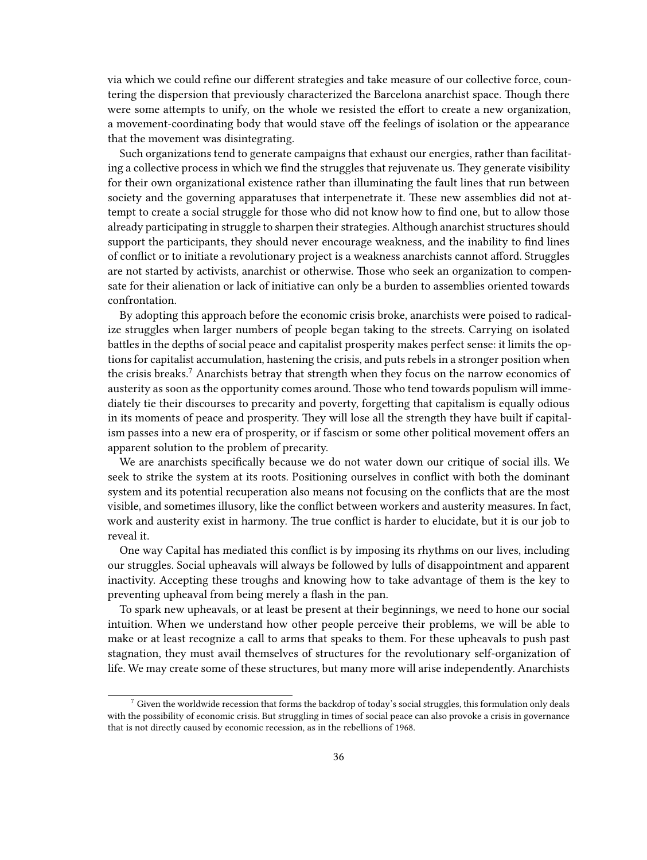via which we could refine our different strategies and take measure of our collective force, countering the dispersion that previously characterized the Barcelona anarchist space. Though there were some attempts to unify, on the whole we resisted the effort to create a new organization, a movement-coordinating body that would stave off the feelings of isolation or the appearance that the movement was disintegrating.

Such organizations tend to generate campaigns that exhaust our energies, rather than facilitating a collective process in which we find the struggles that rejuvenate us. They generate visibility for their own organizational existence rather than illuminating the fault lines that run between society and the governing apparatuses that interpenetrate it. These new assemblies did not attempt to create a social struggle for those who did not know how to find one, but to allow those already participating in struggle to sharpen their strategies. Although anarchist structures should support the participants, they should never encourage weakness, and the inability to find lines of conflict or to initiate a revolutionary project is a weakness anarchists cannot afford. Struggles are not started by activists, anarchist or otherwise. Those who seek an organization to compensate for their alienation or lack of initiative can only be a burden to assemblies oriented towards confrontation.

By adopting this approach before the economic crisis broke, anarchists were poised to radicalize struggles when larger numbers of people began taking to the streets. Carrying on isolated battles in the depths of social peace and capitalist prosperity makes perfect sense: it limits the options for capitalist accumulation, hastening the crisis, and puts rebels in a stronger position when the crisis breaks.<sup>7</sup> Anarchists betray that strength when they focus on the narrow economics of austerity as soon as the opportunity comes around. Those who tend towards populism will immediately tie their discourses to precarity and poverty, forgetting that capitalism is equally odious in its moments of peace and prosperity. They will lose all the strength they have built if capitalism passes into a new era of prosperity, or if fascism or some other political movement offers an apparent solution to the problem of precarity.

We are anarchists specifically because we do not water down our critique of social ills. We seek to strike the system at its roots. Positioning ourselves in conflict with both the dominant system and its potential recuperation also means not focusing on the conflicts that are the most visible, and sometimes illusory, like the conflict between workers and austerity measures. In fact, work and austerity exist in harmony. The true conflict is harder to elucidate, but it is our job to reveal it.

One way Capital has mediated this conflict is by imposing its rhythms on our lives, including our struggles. Social upheavals will always be followed by lulls of disappointment and apparent inactivity. Accepting these troughs and knowing how to take advantage of them is the key to preventing upheaval from being merely a flash in the pan.

To spark new upheavals, or at least be present at their beginnings, we need to hone our social intuition. When we understand how other people perceive their problems, we will be able to make or at least recognize a call to arms that speaks to them. For these upheavals to push past stagnation, they must avail themselves of structures for the revolutionary self-organization of life. We may create some of these structures, but many more will arise independently. Anarchists

 $^7$  Given the worldwide recession that forms the backdrop of today's social struggles, this formulation only deals with the possibility of economic crisis. But struggling in times of social peace can also provoke a crisis in governance that is not directly caused by economic recession, as in the rebellions of 1968.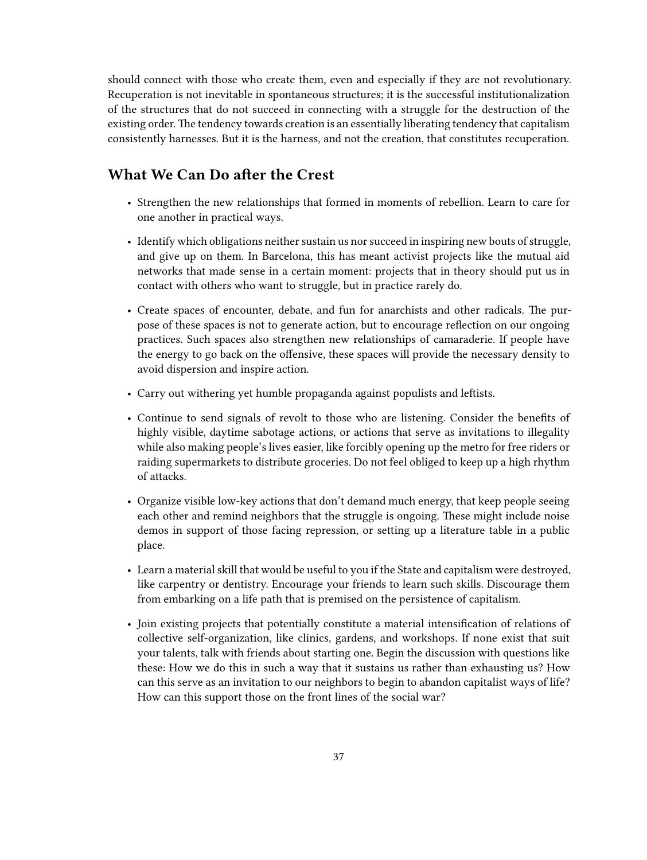should connect with those who create them, even and especially if they are not revolutionary. Recuperation is not inevitable in spontaneous structures; it is the successful institutionalization of the structures that do not succeed in connecting with a struggle for the destruction of the existing order. The tendency towards creation is an essentially liberating tendency that capitalism consistently harnesses. But it is the harness, and not the creation, that constitutes recuperation.

# <span id="page-36-0"></span>**What We Can Do after the Crest**

- Strengthen the new relationships that formed in moments of rebellion. Learn to care for one another in practical ways.
- Identify which obligations neither sustain us nor succeed in inspiring new bouts of struggle, and give up on them. In Barcelona, this has meant activist projects like the mutual aid networks that made sense in a certain moment: projects that in theory should put us in contact with others who want to struggle, but in practice rarely do.
- Create spaces of encounter, debate, and fun for anarchists and other radicals. The purpose of these spaces is not to generate action, but to encourage reflection on our ongoing practices. Such spaces also strengthen new relationships of camaraderie. If people have the energy to go back on the offensive, these spaces will provide the necessary density to avoid dispersion and inspire action.
- Carry out withering yet humble propaganda against populists and leftists.
- Continue to send signals of revolt to those who are listening. Consider the benefits of highly visible, daytime sabotage actions, or actions that serve as invitations to illegality while also making people's lives easier, like forcibly opening up the metro for free riders or raiding supermarkets to distribute groceries. Do not feel obliged to keep up a high rhythm of attacks.
- Organize visible low-key actions that don't demand much energy, that keep people seeing each other and remind neighbors that the struggle is ongoing. These might include noise demos in support of those facing repression, or setting up a literature table in a public place.
- Learn a material skill that would be useful to you if the State and capitalism were destroyed, like carpentry or dentistry. Encourage your friends to learn such skills. Discourage them from embarking on a life path that is premised on the persistence of capitalism.
- Join existing projects that potentially constitute a material intensification of relations of collective self-organization, like clinics, gardens, and workshops. If none exist that suit your talents, talk with friends about starting one. Begin the discussion with questions like these: How we do this in such a way that it sustains us rather than exhausting us? How can this serve as an invitation to our neighbors to begin to abandon capitalist ways of life? How can this support those on the front lines of the social war?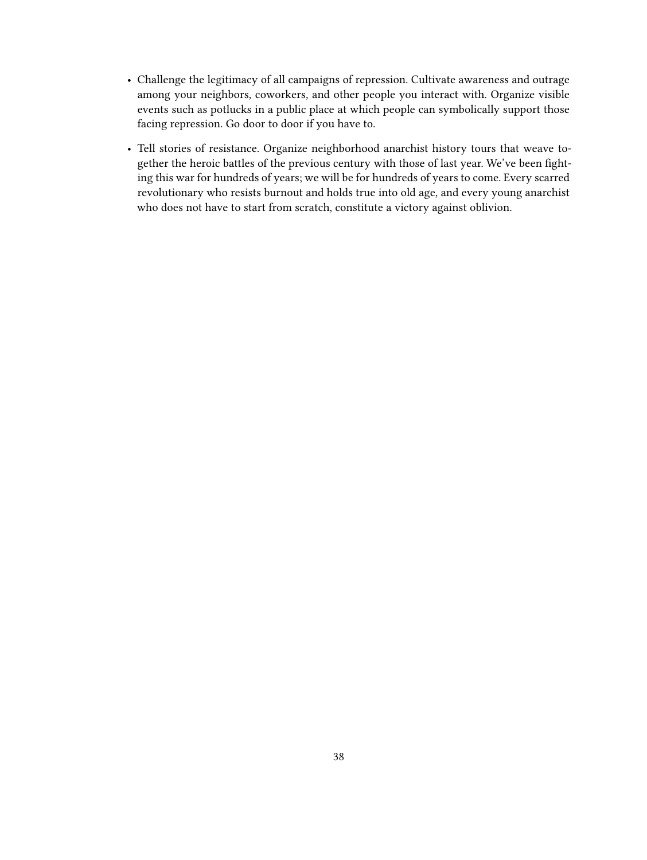- Challenge the legitimacy of all campaigns of repression. Cultivate awareness and outrage among your neighbors, coworkers, and other people you interact with. Organize visible events such as potlucks in a public place at which people can symbolically support those facing repression. Go door to door if you have to.
- Tell stories of resistance. Organize neighborhood anarchist history tours that weave together the heroic battles of the previous century with those of last year. We've been fighting this war for hundreds of years; we will be for hundreds of years to come. Every scarred revolutionary who resists burnout and holds true into old age, and every young anarchist who does not have to start from scratch, constitute a victory against oblivion.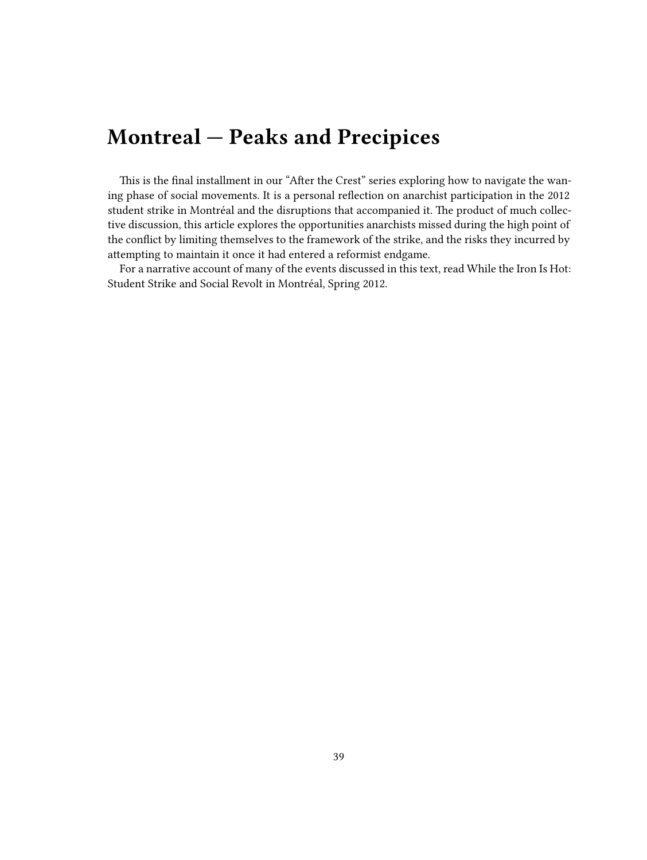# <span id="page-38-0"></span>**Montreal — Peaks and Precipices**

This is the final installment in our "After the Crest" series exploring how to navigate the waning phase of social movements. It is a personal reflection on anarchist participation in the 2012 student strike in Montréal and the disruptions that accompanied it. The product of much collective discussion, this article explores the opportunities anarchists missed during the high point of the conflict by limiting themselves to the framework of the strike, and the risks they incurred by attempting to maintain it once it had entered a reformist endgame.

For a narrative account of many of the events discussed in this text, read While the Iron Is Hot: Student Strike and Social Revolt in Montréal, Spring 2012.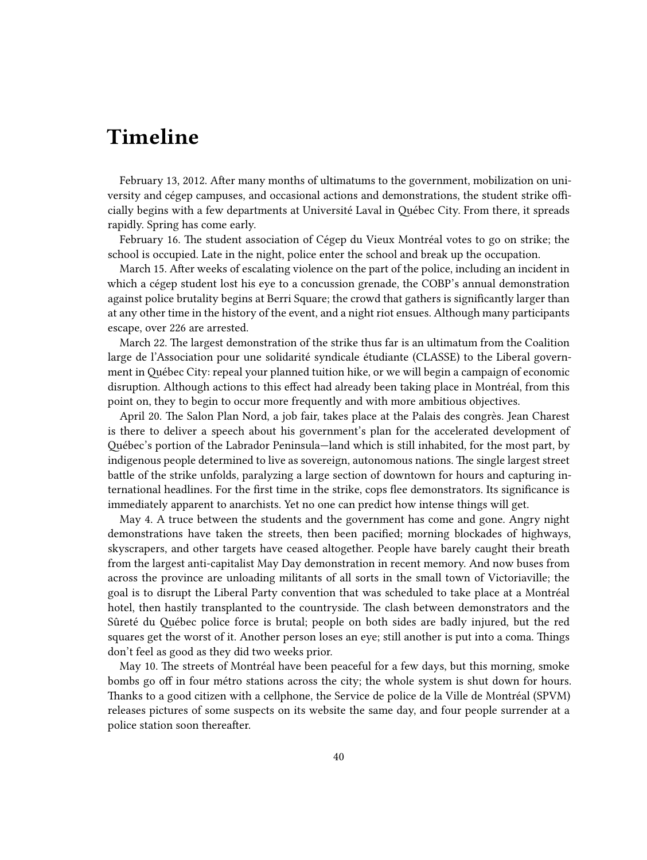# <span id="page-39-0"></span>**Timeline**

February 13, 2012. After many months of ultimatums to the government, mobilization on university and cégep campuses, and occasional actions and demonstrations, the student strike officially begins with a few departments at Université Laval in Québec City. From there, it spreads rapidly. Spring has come early.

February 16. The student association of Cégep du Vieux Montréal votes to go on strike; the school is occupied. Late in the night, police enter the school and break up the occupation.

March 15. After weeks of escalating violence on the part of the police, including an incident in which a cégep student lost his eye to a concussion grenade, the COBP's annual demonstration against police brutality begins at Berri Square; the crowd that gathers is significantly larger than at any other time in the history of the event, and a night riot ensues. Although many participants escape, over 226 are arrested.

March 22. The largest demonstration of the strike thus far is an ultimatum from the Coalition large de l'Association pour une solidarité syndicale étudiante (CLASSE) to the Liberal government in Québec City: repeal your planned tuition hike, or we will begin a campaign of economic disruption. Although actions to this effect had already been taking place in Montréal, from this point on, they to begin to occur more frequently and with more ambitious objectives.

April 20. The Salon Plan Nord, a job fair, takes place at the Palais des congrès. Jean Charest is there to deliver a speech about his government's plan for the accelerated development of Québec's portion of the Labrador Peninsula—land which is still inhabited, for the most part, by indigenous people determined to live as sovereign, autonomous nations. The single largest street battle of the strike unfolds, paralyzing a large section of downtown for hours and capturing international headlines. For the first time in the strike, cops flee demonstrators. Its significance is immediately apparent to anarchists. Yet no one can predict how intense things will get.

May 4. A truce between the students and the government has come and gone. Angry night demonstrations have taken the streets, then been pacified; morning blockades of highways, skyscrapers, and other targets have ceased altogether. People have barely caught their breath from the largest anti-capitalist May Day demonstration in recent memory. And now buses from across the province are unloading militants of all sorts in the small town of Victoriaville; the goal is to disrupt the Liberal Party convention that was scheduled to take place at a Montréal hotel, then hastily transplanted to the countryside. The clash between demonstrators and the Sûreté du Québec police force is brutal; people on both sides are badly injured, but the red squares get the worst of it. Another person loses an eye; still another is put into a coma. Things don't feel as good as they did two weeks prior.

May 10. The streets of Montréal have been peaceful for a few days, but this morning, smoke bombs go off in four métro stations across the city; the whole system is shut down for hours. Thanks to a good citizen with a cellphone, the Service de police de la Ville de Montréal (SPVM) releases pictures of some suspects on its website the same day, and four people surrender at a police station soon thereafter.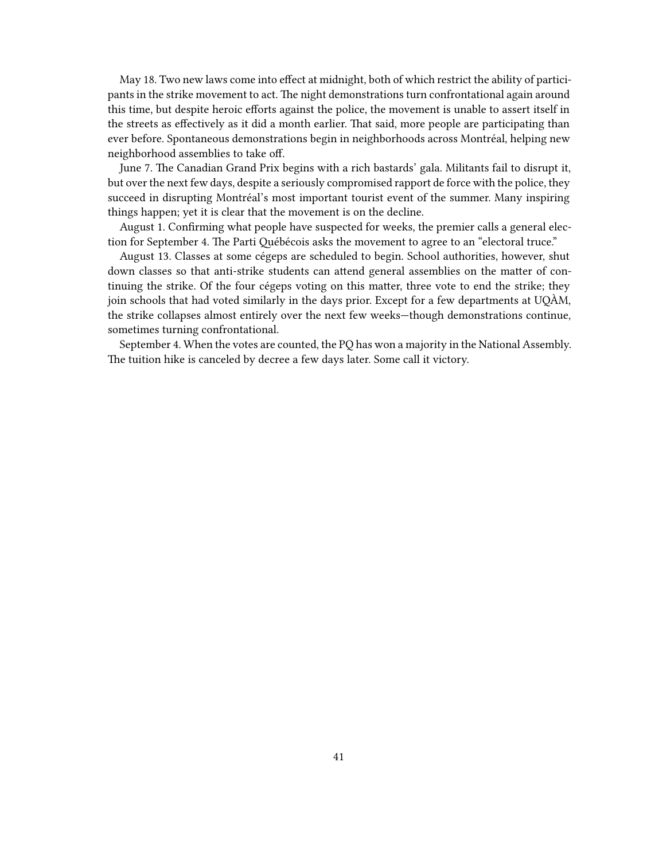May 18. Two new laws come into effect at midnight, both of which restrict the ability of participants in the strike movement to act. The night demonstrations turn confrontational again around this time, but despite heroic efforts against the police, the movement is unable to assert itself in the streets as effectively as it did a month earlier. That said, more people are participating than ever before. Spontaneous demonstrations begin in neighborhoods across Montréal, helping new neighborhood assemblies to take off.

June 7. The Canadian Grand Prix begins with a rich bastards' gala. Militants fail to disrupt it, but over the next few days, despite a seriously compromised rapport de force with the police, they succeed in disrupting Montréal's most important tourist event of the summer. Many inspiring things happen; yet it is clear that the movement is on the decline.

August 1. Confirming what people have suspected for weeks, the premier calls a general election for September 4. The Parti Québécois asks the movement to agree to an "electoral truce."

August 13. Classes at some cégeps are scheduled to begin. School authorities, however, shut down classes so that anti-strike students can attend general assemblies on the matter of continuing the strike. Of the four cégeps voting on this matter, three vote to end the strike; they join schools that had voted similarly in the days prior. Except for a few departments at UQÀM, the strike collapses almost entirely over the next few weeks—though demonstrations continue, sometimes turning confrontational.

September 4. When the votes are counted, the PQ has won a majority in the National Assembly. The tuition hike is canceled by decree a few days later. Some call it victory.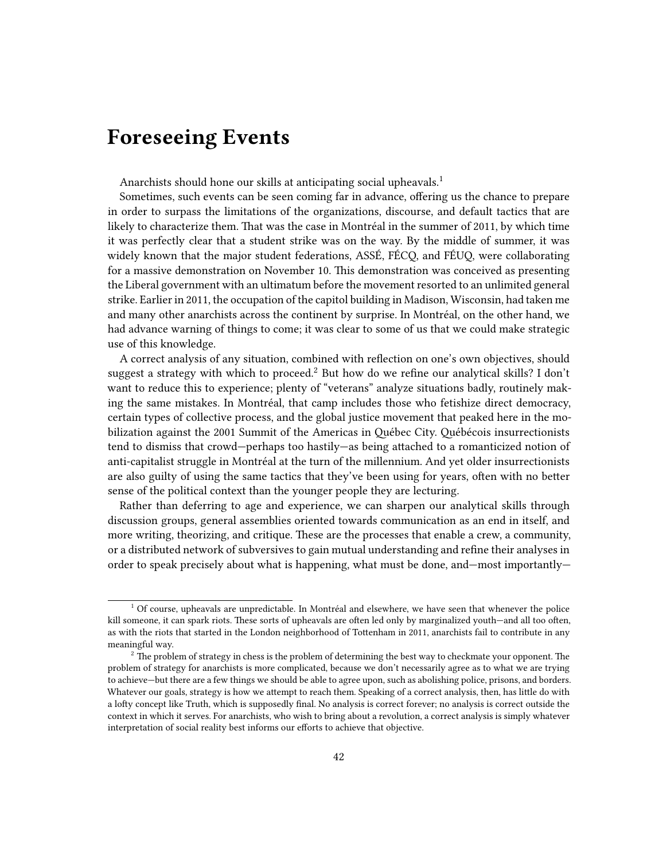# <span id="page-41-0"></span>**Foreseeing Events**

Anarchists should hone our skills at anticipating social upheavals.<sup>1</sup>

Sometimes, such events can be seen coming far in advance, offering us the chance to prepare in order to surpass the limitations of the organizations, discourse, and default tactics that are likely to characterize them. That was the case in Montréal in the summer of 2011, by which time it was perfectly clear that a student strike was on the way. By the middle of summer, it was widely known that the major student federations, ASSÉ, FÉCQ, and FÉUQ, were collaborating for a massive demonstration on November 10. This demonstration was conceived as presenting the Liberal government with an ultimatum before the movement resorted to an unlimited general strike. Earlier in 2011, the occupation of the capitol building in Madison, Wisconsin, had taken me and many other anarchists across the continent by surprise. In Montréal, on the other hand, we had advance warning of things to come; it was clear to some of us that we could make strategic use of this knowledge.

A correct analysis of any situation, combined with reflection on one's own objectives, should suggest a strategy with which to proceed.<sup>2</sup> But how do we refine our analytical skills? I don't want to reduce this to experience; plenty of "veterans" analyze situations badly, routinely making the same mistakes. In Montréal, that camp includes those who fetishize direct democracy, certain types of collective process, and the global justice movement that peaked here in the mobilization against the 2001 Summit of the Americas in Québec City. Québécois insurrectionists tend to dismiss that crowd—perhaps too hastily—as being attached to a romanticized notion of anti-capitalist struggle in Montréal at the turn of the millennium. And yet older insurrectionists are also guilty of using the same tactics that they've been using for years, often with no better sense of the political context than the younger people they are lecturing.

Rather than deferring to age and experience, we can sharpen our analytical skills through discussion groups, general assemblies oriented towards communication as an end in itself, and more writing, theorizing, and critique. These are the processes that enable a crew, a community, or a distributed network of subversives to gain mutual understanding and refine their analyses in order to speak precisely about what is happening, what must be done, and—most importantly—

 $1$  Of course, upheavals are unpredictable. In Montréal and elsewhere, we have seen that whenever the police kill someone, it can spark riots. These sorts of upheavals are often led only by marginalized youth—and all too often, as with the riots that started in the London neighborhood of Tottenham in 2011, anarchists fail to contribute in any meaningful way.

<sup>&</sup>lt;sup>2</sup> The problem of strategy in chess is the problem of determining the best way to checkmate your opponent. The problem of strategy for anarchists is more complicated, because we don't necessarily agree as to what we are trying to achieve—but there are a few things we should be able to agree upon, such as abolishing police, prisons, and borders. Whatever our goals, strategy is how we attempt to reach them. Speaking of a correct analysis, then, has little do with a lofty concept like Truth, which is supposedly final. No analysis is correct forever; no analysis is correct outside the context in which it serves. For anarchists, who wish to bring about a revolution, a correct analysis is simply whatever interpretation of social reality best informs our efforts to achieve that objective.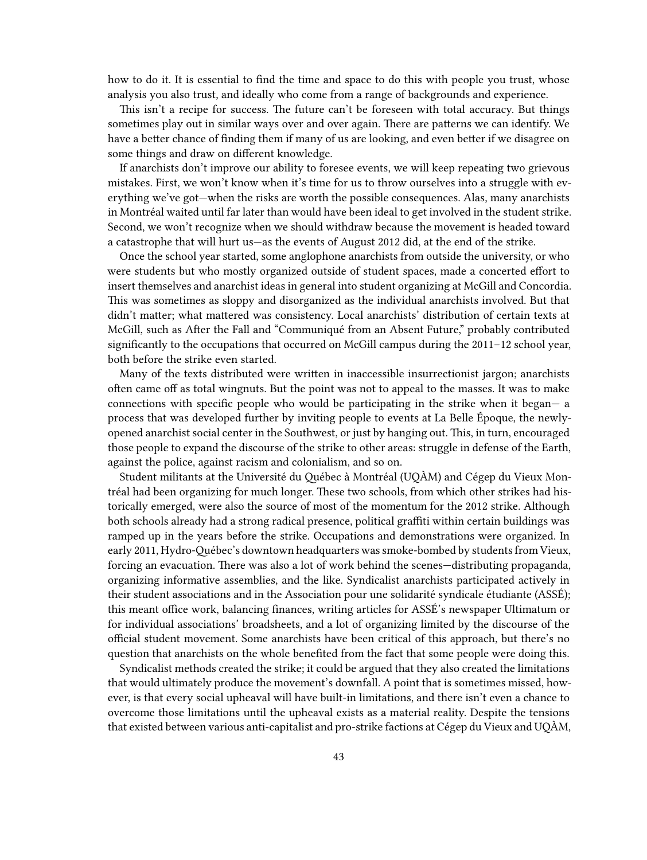how to do it. It is essential to find the time and space to do this with people you trust, whose analysis you also trust, and ideally who come from a range of backgrounds and experience.

This isn't a recipe for success. The future can't be foreseen with total accuracy. But things sometimes play out in similar ways over and over again. There are patterns we can identify. We have a better chance of finding them if many of us are looking, and even better if we disagree on some things and draw on different knowledge.

If anarchists don't improve our ability to foresee events, we will keep repeating two grievous mistakes. First, we won't know when it's time for us to throw ourselves into a struggle with everything we've got—when the risks are worth the possible consequences. Alas, many anarchists in Montréal waited until far later than would have been ideal to get involved in the student strike. Second, we won't recognize when we should withdraw because the movement is headed toward a catastrophe that will hurt us—as the events of August 2012 did, at the end of the strike.

Once the school year started, some anglophone anarchists from outside the university, or who were students but who mostly organized outside of student spaces, made a concerted effort to insert themselves and anarchist ideas in general into student organizing at McGill and Concordia. This was sometimes as sloppy and disorganized as the individual anarchists involved. But that didn't matter; what mattered was consistency. Local anarchists' distribution of certain texts at McGill, such as After the Fall and "Communiqué from an Absent Future," probably contributed significantly to the occupations that occurred on McGill campus during the 2011–12 school year, both before the strike even started.

Many of the texts distributed were written in inaccessible insurrectionist jargon; anarchists often came off as total wingnuts. But the point was not to appeal to the masses. It was to make connections with specific people who would be participating in the strike when it began— a process that was developed further by inviting people to events at La Belle Époque, the newlyopened anarchist social center in the Southwest, or just by hanging out. This, in turn, encouraged those people to expand the discourse of the strike to other areas: struggle in defense of the Earth, against the police, against racism and colonialism, and so on.

Student militants at the Université du Québec à Montréal (UQÀM) and Cégep du Vieux Montréal had been organizing for much longer. These two schools, from which other strikes had historically emerged, were also the source of most of the momentum for the 2012 strike. Although both schools already had a strong radical presence, political graffiti within certain buildings was ramped up in the years before the strike. Occupations and demonstrations were organized. In early 2011, Hydro-Québec's downtown headquarters was smoke-bombed by students from Vieux, forcing an evacuation. There was also a lot of work behind the scenes—distributing propaganda, organizing informative assemblies, and the like. Syndicalist anarchists participated actively in their student associations and in the Association pour une solidarité syndicale étudiante (ASSÉ); this meant office work, balancing finances, writing articles for ASSÉ's newspaper Ultimatum or for individual associations' broadsheets, and a lot of organizing limited by the discourse of the official student movement. Some anarchists have been critical of this approach, but there's no question that anarchists on the whole benefited from the fact that some people were doing this.

Syndicalist methods created the strike; it could be argued that they also created the limitations that would ultimately produce the movement's downfall. A point that is sometimes missed, however, is that every social upheaval will have built-in limitations, and there isn't even a chance to overcome those limitations until the upheaval exists as a material reality. Despite the tensions that existed between various anti-capitalist and pro-strike factions at Cégep du Vieux and UQÀM,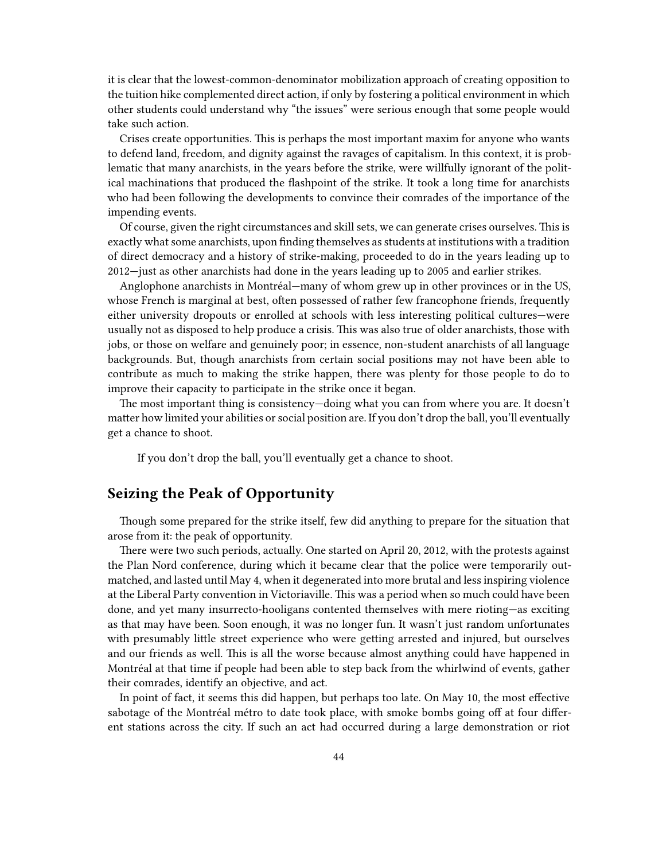it is clear that the lowest-common-denominator mobilization approach of creating opposition to the tuition hike complemented direct action, if only by fostering a political environment in which other students could understand why "the issues" were serious enough that some people would take such action.

Crises create opportunities. This is perhaps the most important maxim for anyone who wants to defend land, freedom, and dignity against the ravages of capitalism. In this context, it is problematic that many anarchists, in the years before the strike, were willfully ignorant of the political machinations that produced the flashpoint of the strike. It took a long time for anarchists who had been following the developments to convince their comrades of the importance of the impending events.

Of course, given the right circumstances and skill sets, we can generate crises ourselves. This is exactly what some anarchists, upon finding themselves as students at institutions with a tradition of direct democracy and a history of strike-making, proceeded to do in the years leading up to 2012—just as other anarchists had done in the years leading up to 2005 and earlier strikes.

Anglophone anarchists in Montréal—many of whom grew up in other provinces or in the US, whose French is marginal at best, often possessed of rather few francophone friends, frequently either university dropouts or enrolled at schools with less interesting political cultures—were usually not as disposed to help produce a crisis. This was also true of older anarchists, those with jobs, or those on welfare and genuinely poor; in essence, non-student anarchists of all language backgrounds. But, though anarchists from certain social positions may not have been able to contribute as much to making the strike happen, there was plenty for those people to do to improve their capacity to participate in the strike once it began.

The most important thing is consistency—doing what you can from where you are. It doesn't matter how limited your abilities or social position are. If you don't drop the ball, you'll eventually get a chance to shoot.

If you don't drop the ball, you'll eventually get a chance to shoot.

#### <span id="page-43-0"></span>**Seizing the Peak of Opportunity**

Though some prepared for the strike itself, few did anything to prepare for the situation that arose from it: the peak of opportunity.

There were two such periods, actually. One started on April 20, 2012, with the protests against the Plan Nord conference, during which it became clear that the police were temporarily outmatched, and lasted until May 4, when it degenerated into more brutal and less inspiring violence at the Liberal Party convention in Victoriaville. This was a period when so much could have been done, and yet many insurrecto-hooligans contented themselves with mere rioting—as exciting as that may have been. Soon enough, it was no longer fun. It wasn't just random unfortunates with presumably little street experience who were getting arrested and injured, but ourselves and our friends as well. This is all the worse because almost anything could have happened in Montréal at that time if people had been able to step back from the whirlwind of events, gather their comrades, identify an objective, and act.

In point of fact, it seems this did happen, but perhaps too late. On May 10, the most effective sabotage of the Montréal métro to date took place, with smoke bombs going off at four different stations across the city. If such an act had occurred during a large demonstration or riot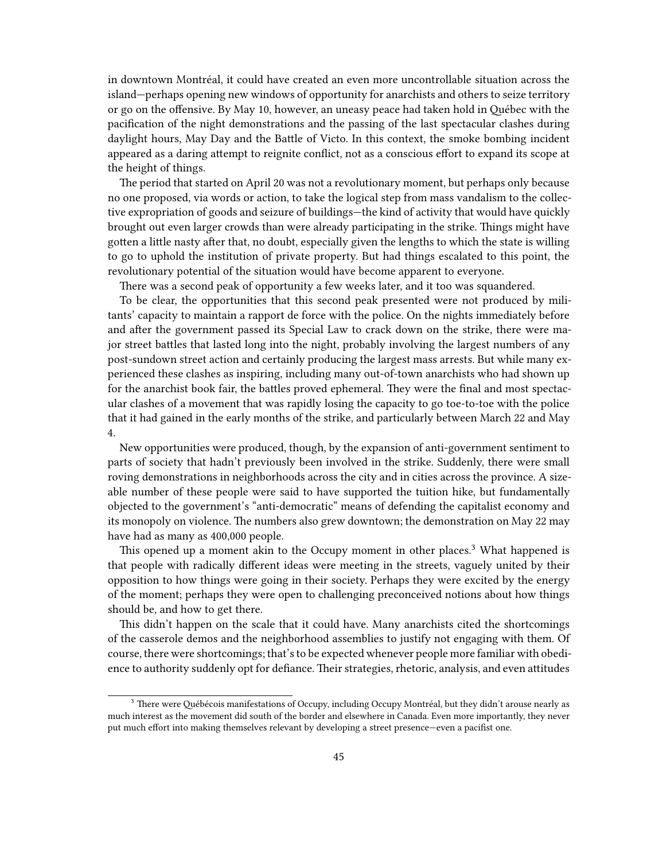in downtown Montréal, it could have created an even more uncontrollable situation across the island—perhaps opening new windows of opportunity for anarchists and others to seize territory or go on the offensive. By May 10, however, an uneasy peace had taken hold in Québec with the pacification of the night demonstrations and the passing of the last spectacular clashes during daylight hours, May Day and the Battle of Victo. In this context, the smoke bombing incident appeared as a daring attempt to reignite conflict, not as a conscious effort to expand its scope at the height of things.

The period that started on April 20 was not a revolutionary moment, but perhaps only because no one proposed, via words or action, to take the logical step from mass vandalism to the collective expropriation of goods and seizure of buildings—the kind of activity that would have quickly brought out even larger crowds than were already participating in the strike. Things might have gotten a little nasty after that, no doubt, especially given the lengths to which the state is willing to go to uphold the institution of private property. But had things escalated to this point, the revolutionary potential of the situation would have become apparent to everyone.

There was a second peak of opportunity a few weeks later, and it too was squandered.

To be clear, the opportunities that this second peak presented were not produced by militants' capacity to maintain a rapport de force with the police. On the nights immediately before and after the government passed its Special Law to crack down on the strike, there were major street battles that lasted long into the night, probably involving the largest numbers of any post-sundown street action and certainly producing the largest mass arrests. But while many experienced these clashes as inspiring, including many out-of-town anarchists who had shown up for the anarchist book fair, the battles proved ephemeral. They were the final and most spectacular clashes of a movement that was rapidly losing the capacity to go toe-to-toe with the police that it had gained in the early months of the strike, and particularly between March 22 and May 4.

New opportunities were produced, though, by the expansion of anti-government sentiment to parts of society that hadn't previously been involved in the strike. Suddenly, there were small roving demonstrations in neighborhoods across the city and in cities across the province. A sizeable number of these people were said to have supported the tuition hike, but fundamentally objected to the government's "anti-democratic" means of defending the capitalist economy and its monopoly on violence. The numbers also grew downtown; the demonstration on May 22 may have had as many as 400,000 people.

This opened up a moment akin to the Occupy moment in other places.<sup>3</sup> What happened is that people with radically different ideas were meeting in the streets, vaguely united by their opposition to how things were going in their society. Perhaps they were excited by the energy of the moment; perhaps they were open to challenging preconceived notions about how things should be, and how to get there.

This didn't happen on the scale that it could have. Many anarchists cited the shortcomings of the casserole demos and the neighborhood assemblies to justify not engaging with them. Of course, there were shortcomings; that's to be expected whenever people more familiar with obedience to authority suddenly opt for defiance. Their strategies, rhetoric, analysis, and even attitudes

<sup>&</sup>lt;sup>3</sup> There were Québécois manifestations of Occupy, including Occupy Montréal, but they didn't arouse nearly as much interest as the movement did south of the border and elsewhere in Canada. Even more importantly, they never put much effort into making themselves relevant by developing a street presence—even a pacifist one.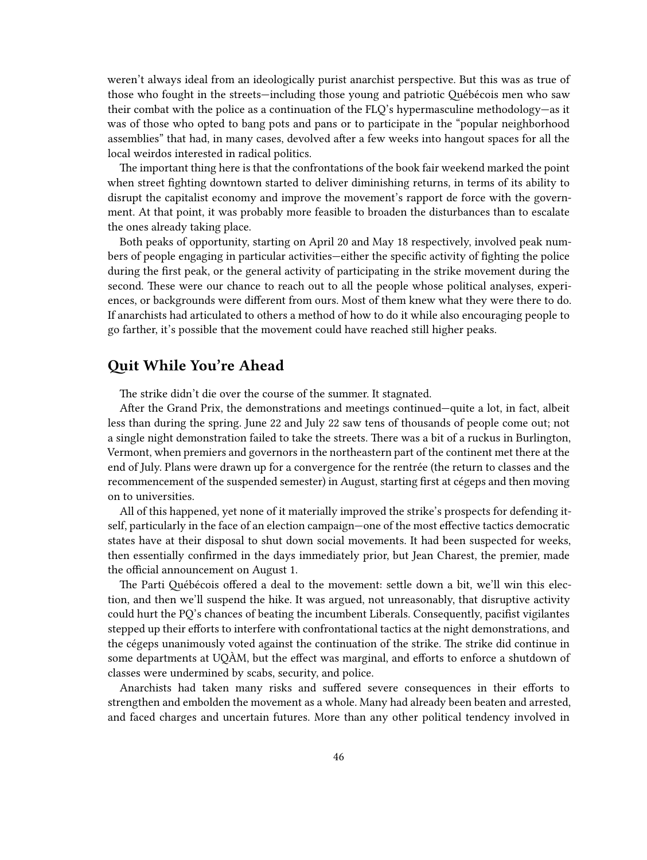weren't always ideal from an ideologically purist anarchist perspective. But this was as true of those who fought in the streets—including those young and patriotic Québécois men who saw their combat with the police as a continuation of the FLQ's hypermasculine methodology—as it was of those who opted to bang pots and pans or to participate in the "popular neighborhood assemblies" that had, in many cases, devolved after a few weeks into hangout spaces for all the local weirdos interested in radical politics.

The important thing here is that the confrontations of the book fair weekend marked the point when street fighting downtown started to deliver diminishing returns, in terms of its ability to disrupt the capitalist economy and improve the movement's rapport de force with the government. At that point, it was probably more feasible to broaden the disturbances than to escalate the ones already taking place.

Both peaks of opportunity, starting on April 20 and May 18 respectively, involved peak numbers of people engaging in particular activities—either the specific activity of fighting the police during the first peak, or the general activity of participating in the strike movement during the second. These were our chance to reach out to all the people whose political analyses, experiences, or backgrounds were different from ours. Most of them knew what they were there to do. If anarchists had articulated to others a method of how to do it while also encouraging people to go farther, it's possible that the movement could have reached still higher peaks.

#### <span id="page-45-0"></span>**Quit While You're Ahead**

The strike didn't die over the course of the summer. It stagnated.

After the Grand Prix, the demonstrations and meetings continued—quite a lot, in fact, albeit less than during the spring. June 22 and July 22 saw tens of thousands of people come out; not a single night demonstration failed to take the streets. There was a bit of a ruckus in Burlington, Vermont, when premiers and governors in the northeastern part of the continent met there at the end of July. Plans were drawn up for a convergence for the rentrée (the return to classes and the recommencement of the suspended semester) in August, starting first at cégeps and then moving on to universities.

All of this happened, yet none of it materially improved the strike's prospects for defending itself, particularly in the face of an election campaign—one of the most effective tactics democratic states have at their disposal to shut down social movements. It had been suspected for weeks, then essentially confirmed in the days immediately prior, but Jean Charest, the premier, made the official announcement on August 1.

The Parti Québécois offered a deal to the movement: settle down a bit, we'll win this election, and then we'll suspend the hike. It was argued, not unreasonably, that disruptive activity could hurt the PQ's chances of beating the incumbent Liberals. Consequently, pacifist vigilantes stepped up their efforts to interfere with confrontational tactics at the night demonstrations, and the cégeps unanimously voted against the continuation of the strike. The strike did continue in some departments at UQÀM, but the effect was marginal, and efforts to enforce a shutdown of classes were undermined by scabs, security, and police.

Anarchists had taken many risks and suffered severe consequences in their efforts to strengthen and embolden the movement as a whole. Many had already been beaten and arrested, and faced charges and uncertain futures. More than any other political tendency involved in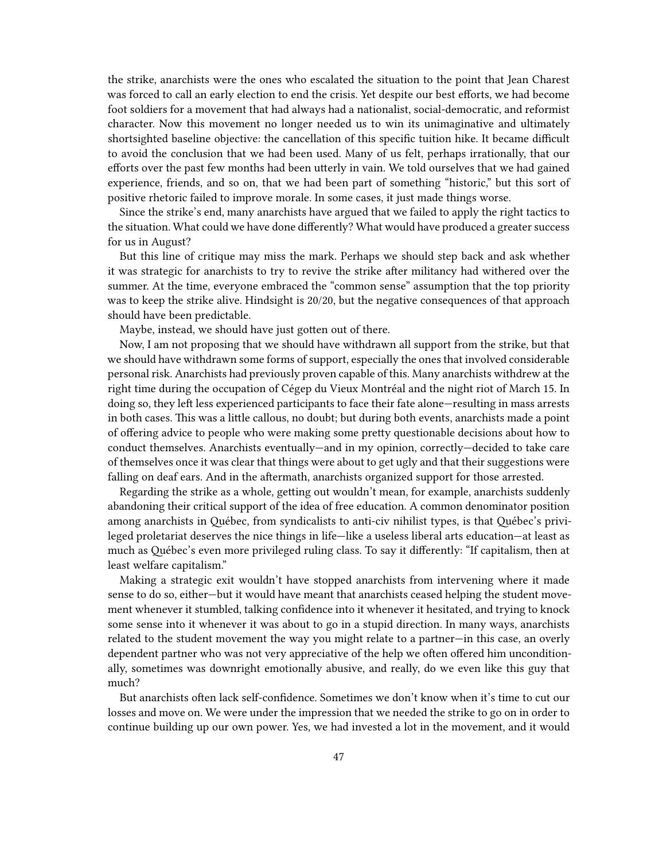the strike, anarchists were the ones who escalated the situation to the point that Jean Charest was forced to call an early election to end the crisis. Yet despite our best efforts, we had become foot soldiers for a movement that had always had a nationalist, social-democratic, and reformist character. Now this movement no longer needed us to win its unimaginative and ultimately shortsighted baseline objective: the cancellation of this specific tuition hike. It became difficult to avoid the conclusion that we had been used. Many of us felt, perhaps irrationally, that our efforts over the past few months had been utterly in vain. We told ourselves that we had gained experience, friends, and so on, that we had been part of something "historic," but this sort of positive rhetoric failed to improve morale. In some cases, it just made things worse.

Since the strike's end, many anarchists have argued that we failed to apply the right tactics to the situation. What could we have done differently? What would have produced a greater success for us in August?

But this line of critique may miss the mark. Perhaps we should step back and ask whether it was strategic for anarchists to try to revive the strike after militancy had withered over the summer. At the time, everyone embraced the "common sense" assumption that the top priority was to keep the strike alive. Hindsight is 20/20, but the negative consequences of that approach should have been predictable.

Maybe, instead, we should have just gotten out of there.

Now, I am not proposing that we should have withdrawn all support from the strike, but that we should have withdrawn some forms of support, especially the ones that involved considerable personal risk. Anarchists had previously proven capable of this. Many anarchists withdrew at the right time during the occupation of Cégep du Vieux Montréal and the night riot of March 15. In doing so, they left less experienced participants to face their fate alone—resulting in mass arrests in both cases. This was a little callous, no doubt; but during both events, anarchists made a point of offering advice to people who were making some pretty questionable decisions about how to conduct themselves. Anarchists eventually—and in my opinion, correctly—decided to take care of themselves once it was clear that things were about to get ugly and that their suggestions were falling on deaf ears. And in the aftermath, anarchists organized support for those arrested.

Regarding the strike as a whole, getting out wouldn't mean, for example, anarchists suddenly abandoning their critical support of the idea of free education. A common denominator position among anarchists in Québec, from syndicalists to anti-civ nihilist types, is that Québec's privileged proletariat deserves the nice things in life—like a useless liberal arts education—at least as much as Québec's even more privileged ruling class. To say it differently: "If capitalism, then at least welfare capitalism."

Making a strategic exit wouldn't have stopped anarchists from intervening where it made sense to do so, either—but it would have meant that anarchists ceased helping the student movement whenever it stumbled, talking confidence into it whenever it hesitated, and trying to knock some sense into it whenever it was about to go in a stupid direction. In many ways, anarchists related to the student movement the way you might relate to a partner—in this case, an overly dependent partner who was not very appreciative of the help we often offered him unconditionally, sometimes was downright emotionally abusive, and really, do we even like this guy that much?

But anarchists often lack self-confidence. Sometimes we don't know when it's time to cut our losses and move on. We were under the impression that we needed the strike to go on in order to continue building up our own power. Yes, we had invested a lot in the movement, and it would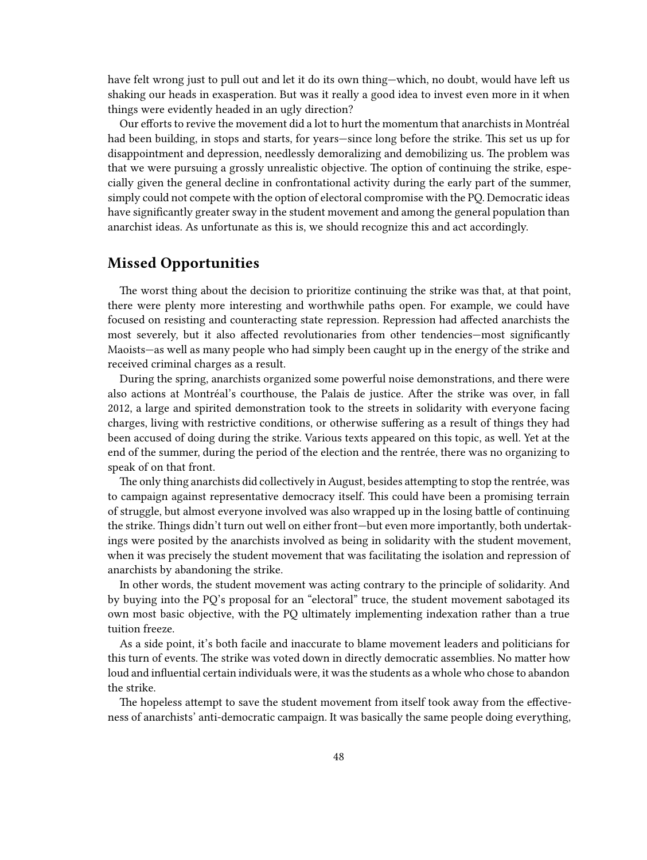have felt wrong just to pull out and let it do its own thing—which, no doubt, would have left us shaking our heads in exasperation. But was it really a good idea to invest even more in it when things were evidently headed in an ugly direction?

Our efforts to revive the movement did a lot to hurt the momentum that anarchists in Montréal had been building, in stops and starts, for years—since long before the strike. This set us up for disappointment and depression, needlessly demoralizing and demobilizing us. The problem was that we were pursuing a grossly unrealistic objective. The option of continuing the strike, especially given the general decline in confrontational activity during the early part of the summer, simply could not compete with the option of electoral compromise with the PQ. Democratic ideas have significantly greater sway in the student movement and among the general population than anarchist ideas. As unfortunate as this is, we should recognize this and act accordingly.

### <span id="page-47-0"></span>**Missed Opportunities**

The worst thing about the decision to prioritize continuing the strike was that, at that point, there were plenty more interesting and worthwhile paths open. For example, we could have focused on resisting and counteracting state repression. Repression had affected anarchists the most severely, but it also affected revolutionaries from other tendencies—most significantly Maoists—as well as many people who had simply been caught up in the energy of the strike and received criminal charges as a result.

During the spring, anarchists organized some powerful noise demonstrations, and there were also actions at Montréal's courthouse, the Palais de justice. After the strike was over, in fall 2012, a large and spirited demonstration took to the streets in solidarity with everyone facing charges, living with restrictive conditions, or otherwise suffering as a result of things they had been accused of doing during the strike. Various texts appeared on this topic, as well. Yet at the end of the summer, during the period of the election and the rentrée, there was no organizing to speak of on that front.

The only thing anarchists did collectively in August, besides attempting to stop the rentrée, was to campaign against representative democracy itself. This could have been a promising terrain of struggle, but almost everyone involved was also wrapped up in the losing battle of continuing the strike. Things didn't turn out well on either front—but even more importantly, both undertakings were posited by the anarchists involved as being in solidarity with the student movement, when it was precisely the student movement that was facilitating the isolation and repression of anarchists by abandoning the strike.

In other words, the student movement was acting contrary to the principle of solidarity. And by buying into the PQ's proposal for an "electoral" truce, the student movement sabotaged its own most basic objective, with the PQ ultimately implementing indexation rather than a true tuition freeze.

As a side point, it's both facile and inaccurate to blame movement leaders and politicians for this turn of events. The strike was voted down in directly democratic assemblies. No matter how loud and influential certain individuals were, it was the students as a whole who chose to abandon the strike.

The hopeless attempt to save the student movement from itself took away from the effectiveness of anarchists' anti-democratic campaign. It was basically the same people doing everything,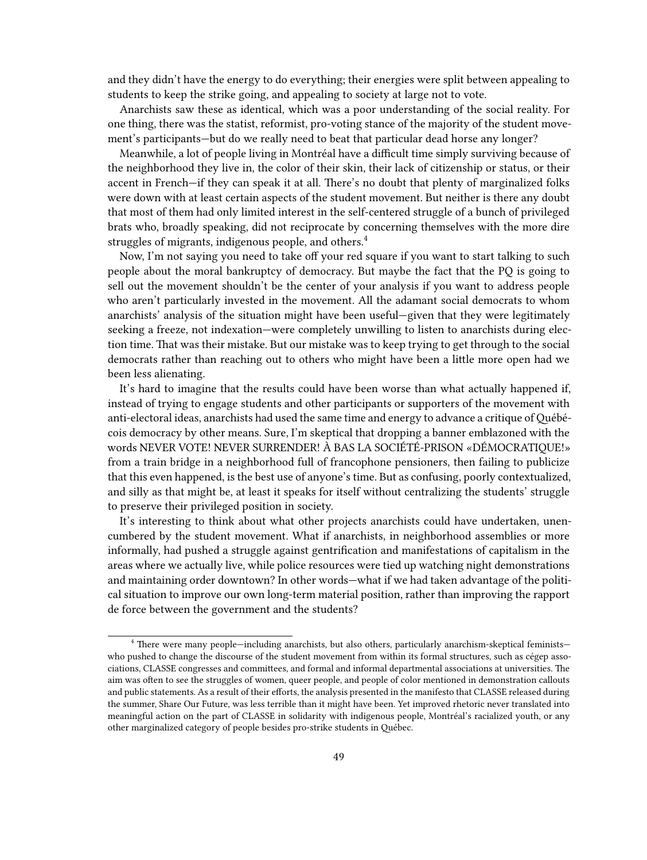and they didn't have the energy to do everything; their energies were split between appealing to students to keep the strike going, and appealing to society at large not to vote.

Anarchists saw these as identical, which was a poor understanding of the social reality. For one thing, there was the statist, reformist, pro-voting stance of the majority of the student movement's participants—but do we really need to beat that particular dead horse any longer?

Meanwhile, a lot of people living in Montréal have a difficult time simply surviving because of the neighborhood they live in, the color of their skin, their lack of citizenship or status, or their accent in French—if they can speak it at all. There's no doubt that plenty of marginalized folks were down with at least certain aspects of the student movement. But neither is there any doubt that most of them had only limited interest in the self-centered struggle of a bunch of privileged brats who, broadly speaking, did not reciprocate by concerning themselves with the more dire struggles of migrants, indigenous people, and others.<sup>4</sup>

Now, I'm not saying you need to take off your red square if you want to start talking to such people about the moral bankruptcy of democracy. But maybe the fact that the PQ is going to sell out the movement shouldn't be the center of your analysis if you want to address people who aren't particularly invested in the movement. All the adamant social democrats to whom anarchists' analysis of the situation might have been useful—given that they were legitimately seeking a freeze, not indexation—were completely unwilling to listen to anarchists during election time. That was their mistake. But our mistake was to keep trying to get through to the social democrats rather than reaching out to others who might have been a little more open had we been less alienating.

It's hard to imagine that the results could have been worse than what actually happened if, instead of trying to engage students and other participants or supporters of the movement with anti-electoral ideas, anarchists had used the same time and energy to advance a critique of Québécois democracy by other means. Sure, I'm skeptical that dropping a banner emblazoned with the words NEVER VOTE! NEVER SURRENDER! À BAS LA SOCIÉTÉ-PRISON «DÉMOCRATIQUE!» from a train bridge in a neighborhood full of francophone pensioners, then failing to publicize that this even happened, is the best use of anyone's time. But as confusing, poorly contextualized, and silly as that might be, at least it speaks for itself without centralizing the students' struggle to preserve their privileged position in society.

It's interesting to think about what other projects anarchists could have undertaken, unencumbered by the student movement. What if anarchists, in neighborhood assemblies or more informally, had pushed a struggle against gentrification and manifestations of capitalism in the areas where we actually live, while police resources were tied up watching night demonstrations and maintaining order downtown? In other words—what if we had taken advantage of the political situation to improve our own long-term material position, rather than improving the rapport de force between the government and the students?

<sup>4</sup> There were many people—including anarchists, but also others, particularly anarchism-skeptical feminists who pushed to change the discourse of the student movement from within its formal structures, such as cégep associations, CLASSE congresses and committees, and formal and informal departmental associations at universities. The aim was often to see the struggles of women, queer people, and people of color mentioned in demonstration callouts and public statements. As a result of their efforts, the analysis presented in the manifesto that CLASSE released during the summer, Share Our Future, was less terrible than it might have been. Yet improved rhetoric never translated into meaningful action on the part of CLASSE in solidarity with indigenous people, Montréal's racialized youth, or any other marginalized category of people besides pro-strike students in Québec.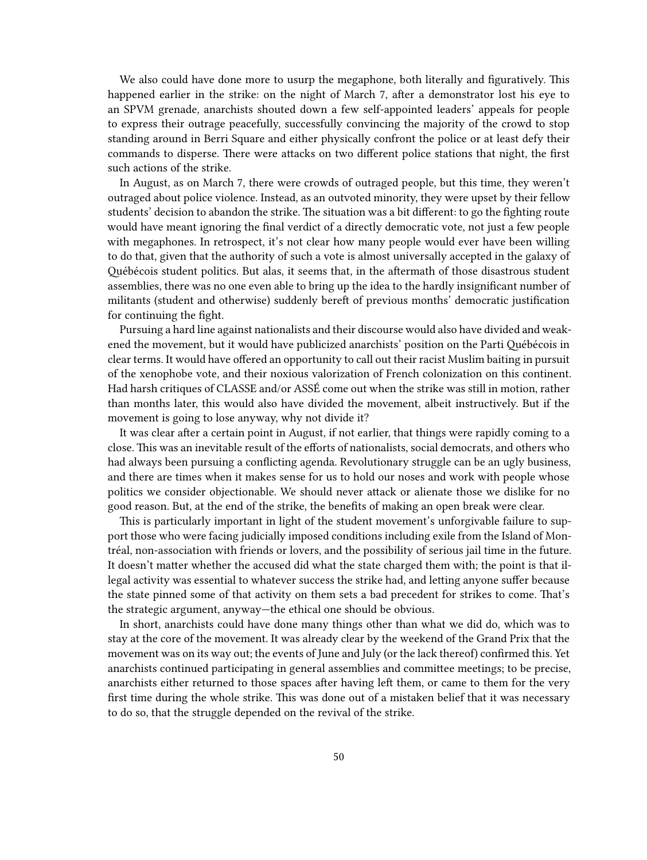We also could have done more to usurp the megaphone, both literally and figuratively. This happened earlier in the strike: on the night of March 7, after a demonstrator lost his eye to an SPVM grenade, anarchists shouted down a few self-appointed leaders' appeals for people to express their outrage peacefully, successfully convincing the majority of the crowd to stop standing around in Berri Square and either physically confront the police or at least defy their commands to disperse. There were attacks on two different police stations that night, the first such actions of the strike.

In August, as on March 7, there were crowds of outraged people, but this time, they weren't outraged about police violence. Instead, as an outvoted minority, they were upset by their fellow students' decision to abandon the strike. The situation was a bit different: to go the fighting route would have meant ignoring the final verdict of a directly democratic vote, not just a few people with megaphones. In retrospect, it's not clear how many people would ever have been willing to do that, given that the authority of such a vote is almost universally accepted in the galaxy of Québécois student politics. But alas, it seems that, in the aftermath of those disastrous student assemblies, there was no one even able to bring up the idea to the hardly insignificant number of militants (student and otherwise) suddenly bereft of previous months' democratic justification for continuing the fight.

Pursuing a hard line against nationalists and their discourse would also have divided and weakened the movement, but it would have publicized anarchists' position on the Parti Québécois in clear terms. It would have offered an opportunity to call out their racist Muslim baiting in pursuit of the xenophobe vote, and their noxious valorization of French colonization on this continent. Had harsh critiques of CLASSE and/or ASSÉ come out when the strike was still in motion, rather than months later, this would also have divided the movement, albeit instructively. But if the movement is going to lose anyway, why not divide it?

It was clear after a certain point in August, if not earlier, that things were rapidly coming to a close. This was an inevitable result of the efforts of nationalists, social democrats, and others who had always been pursuing a conflicting agenda. Revolutionary struggle can be an ugly business, and there are times when it makes sense for us to hold our noses and work with people whose politics we consider objectionable. We should never attack or alienate those we dislike for no good reason. But, at the end of the strike, the benefits of making an open break were clear.

This is particularly important in light of the student movement's unforgivable failure to support those who were facing judicially imposed conditions including exile from the Island of Montréal, non-association with friends or lovers, and the possibility of serious jail time in the future. It doesn't matter whether the accused did what the state charged them with; the point is that illegal activity was essential to whatever success the strike had, and letting anyone suffer because the state pinned some of that activity on them sets a bad precedent for strikes to come. That's the strategic argument, anyway—the ethical one should be obvious.

In short, anarchists could have done many things other than what we did do, which was to stay at the core of the movement. It was already clear by the weekend of the Grand Prix that the movement was on its way out; the events of June and July (or the lack thereof) confirmed this. Yet anarchists continued participating in general assemblies and committee meetings; to be precise, anarchists either returned to those spaces after having left them, or came to them for the very first time during the whole strike. This was done out of a mistaken belief that it was necessary to do so, that the struggle depended on the revival of the strike.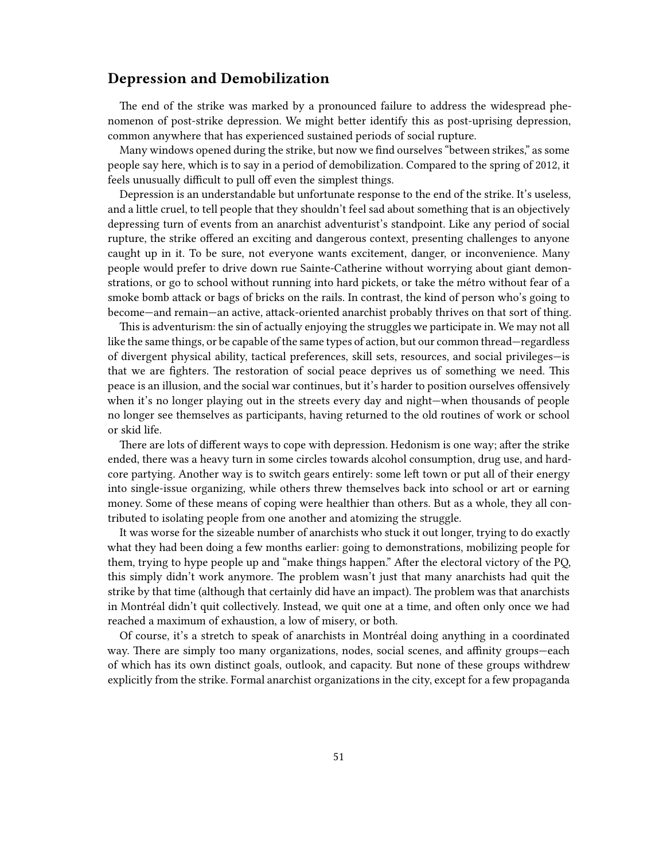#### <span id="page-50-0"></span>**Depression and Demobilization**

The end of the strike was marked by a pronounced failure to address the widespread phenomenon of post-strike depression. We might better identify this as post-uprising depression, common anywhere that has experienced sustained periods of social rupture.

Many windows opened during the strike, but now we find ourselves "between strikes," as some people say here, which is to say in a period of demobilization. Compared to the spring of 2012, it feels unusually difficult to pull off even the simplest things.

Depression is an understandable but unfortunate response to the end of the strike. It's useless, and a little cruel, to tell people that they shouldn't feel sad about something that is an objectively depressing turn of events from an anarchist adventurist's standpoint. Like any period of social rupture, the strike offered an exciting and dangerous context, presenting challenges to anyone caught up in it. To be sure, not everyone wants excitement, danger, or inconvenience. Many people would prefer to drive down rue Sainte-Catherine without worrying about giant demonstrations, or go to school without running into hard pickets, or take the métro without fear of a smoke bomb attack or bags of bricks on the rails. In contrast, the kind of person who's going to become—and remain—an active, attack-oriented anarchist probably thrives on that sort of thing.

This is adventurism: the sin of actually enjoying the struggles we participate in. We may not all like the same things, or be capable of the same types of action, but our common thread—regardless of divergent physical ability, tactical preferences, skill sets, resources, and social privileges—is that we are fighters. The restoration of social peace deprives us of something we need. This peace is an illusion, and the social war continues, but it's harder to position ourselves offensively when it's no longer playing out in the streets every day and night—when thousands of people no longer see themselves as participants, having returned to the old routines of work or school or skid life.

There are lots of different ways to cope with depression. Hedonism is one way; after the strike ended, there was a heavy turn in some circles towards alcohol consumption, drug use, and hardcore partying. Another way is to switch gears entirely: some left town or put all of their energy into single-issue organizing, while others threw themselves back into school or art or earning money. Some of these means of coping were healthier than others. But as a whole, they all contributed to isolating people from one another and atomizing the struggle.

It was worse for the sizeable number of anarchists who stuck it out longer, trying to do exactly what they had been doing a few months earlier: going to demonstrations, mobilizing people for them, trying to hype people up and "make things happen." After the electoral victory of the PQ, this simply didn't work anymore. The problem wasn't just that many anarchists had quit the strike by that time (although that certainly did have an impact). The problem was that anarchists in Montréal didn't quit collectively. Instead, we quit one at a time, and often only once we had reached a maximum of exhaustion, a low of misery, or both.

Of course, it's a stretch to speak of anarchists in Montréal doing anything in a coordinated way. There are simply too many organizations, nodes, social scenes, and affinity groups—each of which has its own distinct goals, outlook, and capacity. But none of these groups withdrew explicitly from the strike. Formal anarchist organizations in the city, except for a few propaganda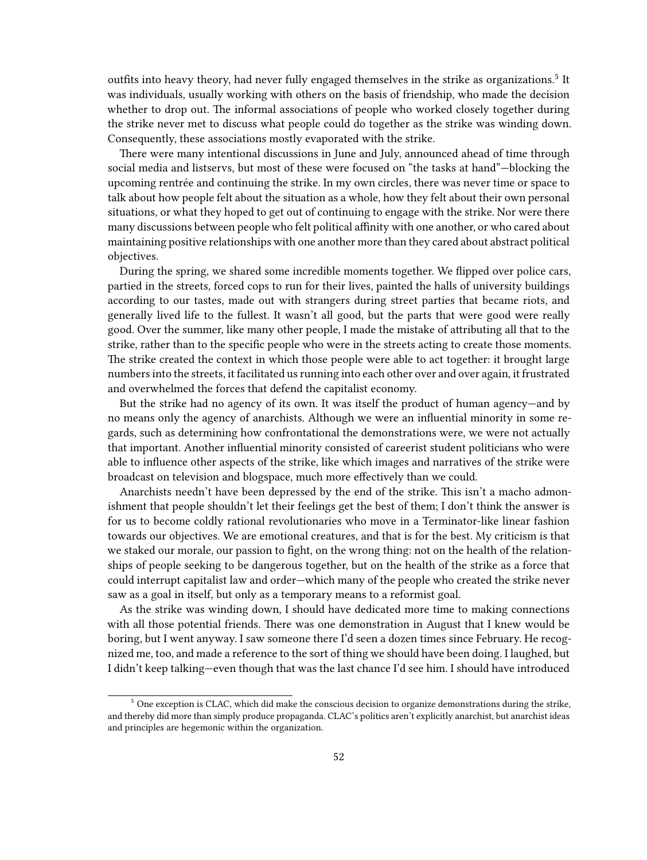outfits into heavy theory, had never fully engaged themselves in the strike as organizations.<sup>5</sup> It was individuals, usually working with others on the basis of friendship, who made the decision whether to drop out. The informal associations of people who worked closely together during the strike never met to discuss what people could do together as the strike was winding down. Consequently, these associations mostly evaporated with the strike.

There were many intentional discussions in June and July, announced ahead of time through social media and listservs, but most of these were focused on "the tasks at hand"—blocking the upcoming rentrée and continuing the strike. In my own circles, there was never time or space to talk about how people felt about the situation as a whole, how they felt about their own personal situations, or what they hoped to get out of continuing to engage with the strike. Nor were there many discussions between people who felt political affinity with one another, or who cared about maintaining positive relationships with one another more than they cared about abstract political objectives.

During the spring, we shared some incredible moments together. We flipped over police cars, partied in the streets, forced cops to run for their lives, painted the halls of university buildings according to our tastes, made out with strangers during street parties that became riots, and generally lived life to the fullest. It wasn't all good, but the parts that were good were really good. Over the summer, like many other people, I made the mistake of attributing all that to the strike, rather than to the specific people who were in the streets acting to create those moments. The strike created the context in which those people were able to act together: it brought large numbers into the streets, it facilitated us running into each other over and over again, it frustrated and overwhelmed the forces that defend the capitalist economy.

But the strike had no agency of its own. It was itself the product of human agency—and by no means only the agency of anarchists. Although we were an influential minority in some regards, such as determining how confrontational the demonstrations were, we were not actually that important. Another influential minority consisted of careerist student politicians who were able to influence other aspects of the strike, like which images and narratives of the strike were broadcast on television and blogspace, much more effectively than we could.

Anarchists needn't have been depressed by the end of the strike. This isn't a macho admonishment that people shouldn't let their feelings get the best of them; I don't think the answer is for us to become coldly rational revolutionaries who move in a Terminator-like linear fashion towards our objectives. We are emotional creatures, and that is for the best. My criticism is that we staked our morale, our passion to fight, on the wrong thing: not on the health of the relationships of people seeking to be dangerous together, but on the health of the strike as a force that could interrupt capitalist law and order—which many of the people who created the strike never saw as a goal in itself, but only as a temporary means to a reformist goal.

As the strike was winding down, I should have dedicated more time to making connections with all those potential friends. There was one demonstration in August that I knew would be boring, but I went anyway. I saw someone there I'd seen a dozen times since February. He recognized me, too, and made a reference to the sort of thing we should have been doing. I laughed, but I didn't keep talking—even though that was the last chance I'd see him. I should have introduced

<sup>5</sup> One exception is CLAC, which did make the conscious decision to organize demonstrations during the strike, and thereby did more than simply produce propaganda. CLAC's politics aren't explicitly anarchist, but anarchist ideas and principles are hegemonic within the organization.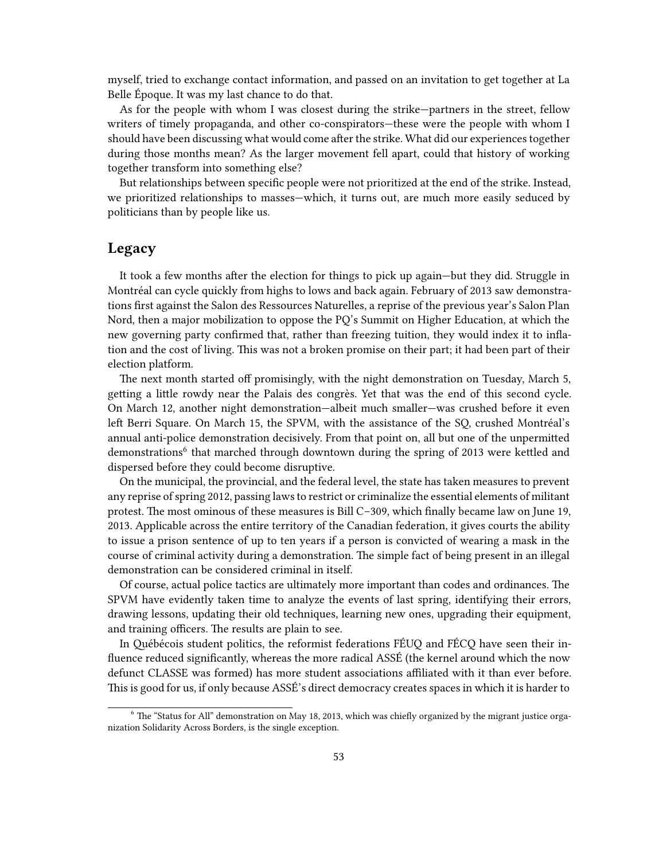myself, tried to exchange contact information, and passed on an invitation to get together at La Belle Époque. It was my last chance to do that.

As for the people with whom I was closest during the strike—partners in the street, fellow writers of timely propaganda, and other co-conspirators—these were the people with whom I should have been discussing what would come after the strike. What did our experiences together during those months mean? As the larger movement fell apart, could that history of working together transform into something else?

But relationships between specific people were not prioritized at the end of the strike. Instead, we prioritized relationships to masses—which, it turns out, are much more easily seduced by politicians than by people like us.

#### <span id="page-52-0"></span>**Legacy**

It took a few months after the election for things to pick up again—but they did. Struggle in Montréal can cycle quickly from highs to lows and back again. February of 2013 saw demonstrations first against the Salon des Ressources Naturelles, a reprise of the previous year's Salon Plan Nord, then a major mobilization to oppose the PQ's Summit on Higher Education, at which the new governing party confirmed that, rather than freezing tuition, they would index it to inflation and the cost of living. This was not a broken promise on their part; it had been part of their election platform.

The next month started off promisingly, with the night demonstration on Tuesday, March 5, getting a little rowdy near the Palais des congrès. Yet that was the end of this second cycle. On March 12, another night demonstration—albeit much smaller—was crushed before it even left Berri Square. On March 15, the SPVM, with the assistance of the SQ, crushed Montréal's annual anti-police demonstration decisively. From that point on, all but one of the unpermitted demonstrations<sup>6</sup> that marched through downtown during the spring of 2013 were kettled and dispersed before they could become disruptive.

On the municipal, the provincial, and the federal level, the state has taken measures to prevent any reprise of spring 2012, passing laws to restrict or criminalize the essential elements of militant protest. The most ominous of these measures is Bill C–309, which finally became law on June 19, 2013. Applicable across the entire territory of the Canadian federation, it gives courts the ability to issue a prison sentence of up to ten years if a person is convicted of wearing a mask in the course of criminal activity during a demonstration. The simple fact of being present in an illegal demonstration can be considered criminal in itself.

Of course, actual police tactics are ultimately more important than codes and ordinances. The SPVM have evidently taken time to analyze the events of last spring, identifying their errors, drawing lessons, updating their old techniques, learning new ones, upgrading their equipment, and training officers. The results are plain to see.

In Québécois student politics, the reformist federations FÉUQ and FÉCQ have seen their influence reduced significantly, whereas the more radical ASSÉ (the kernel around which the now defunct CLASSE was formed) has more student associations affiliated with it than ever before. This is good for us, if only because ASSÉ's direct democracy creates spaces in which it is harder to

 $6$  The "Status for All" demonstration on May 18, 2013, which was chiefly organized by the migrant justice organization Solidarity Across Borders, is the single exception.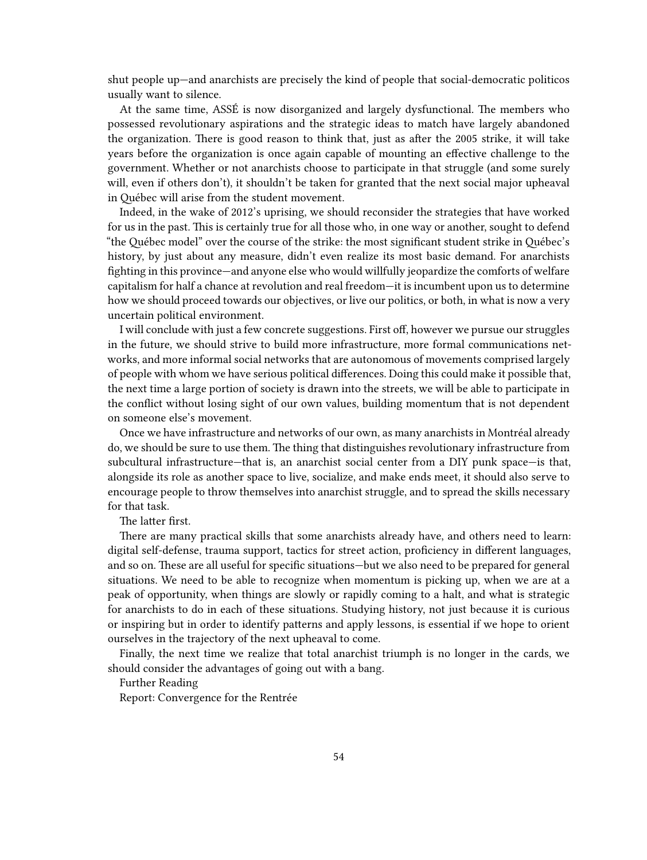shut people up—and anarchists are precisely the kind of people that social-democratic politicos usually want to silence.

At the same time, ASSÉ is now disorganized and largely dysfunctional. The members who possessed revolutionary aspirations and the strategic ideas to match have largely abandoned the organization. There is good reason to think that, just as after the 2005 strike, it will take years before the organization is once again capable of mounting an effective challenge to the government. Whether or not anarchists choose to participate in that struggle (and some surely will, even if others don't), it shouldn't be taken for granted that the next social major upheaval in Québec will arise from the student movement.

Indeed, in the wake of 2012's uprising, we should reconsider the strategies that have worked for us in the past. This is certainly true for all those who, in one way or another, sought to defend "the Québec model" over the course of the strike: the most significant student strike in Québec's history, by just about any measure, didn't even realize its most basic demand. For anarchists fighting in this province—and anyone else who would willfully jeopardize the comforts of welfare capitalism for half a chance at revolution and real freedom—it is incumbent upon us to determine how we should proceed towards our objectives, or live our politics, or both, in what is now a very uncertain political environment.

I will conclude with just a few concrete suggestions. First off, however we pursue our struggles in the future, we should strive to build more infrastructure, more formal communications networks, and more informal social networks that are autonomous of movements comprised largely of people with whom we have serious political differences. Doing this could make it possible that, the next time a large portion of society is drawn into the streets, we will be able to participate in the conflict without losing sight of our own values, building momentum that is not dependent on someone else's movement.

Once we have infrastructure and networks of our own, as many anarchists in Montréal already do, we should be sure to use them. The thing that distinguishes revolutionary infrastructure from subcultural infrastructure—that is, an anarchist social center from a DIY punk space—is that, alongside its role as another space to live, socialize, and make ends meet, it should also serve to encourage people to throw themselves into anarchist struggle, and to spread the skills necessary for that task.

The latter first.

There are many practical skills that some anarchists already have, and others need to learn: digital self-defense, trauma support, tactics for street action, proficiency in different languages, and so on. These are all useful for specific situations—but we also need to be prepared for general situations. We need to be able to recognize when momentum is picking up, when we are at a peak of opportunity, when things are slowly or rapidly coming to a halt, and what is strategic for anarchists to do in each of these situations. Studying history, not just because it is curious or inspiring but in order to identify patterns and apply lessons, is essential if we hope to orient ourselves in the trajectory of the next upheaval to come.

Finally, the next time we realize that total anarchist triumph is no longer in the cards, we should consider the advantages of going out with a bang.

Further Reading

Report: Convergence for the Rentrée